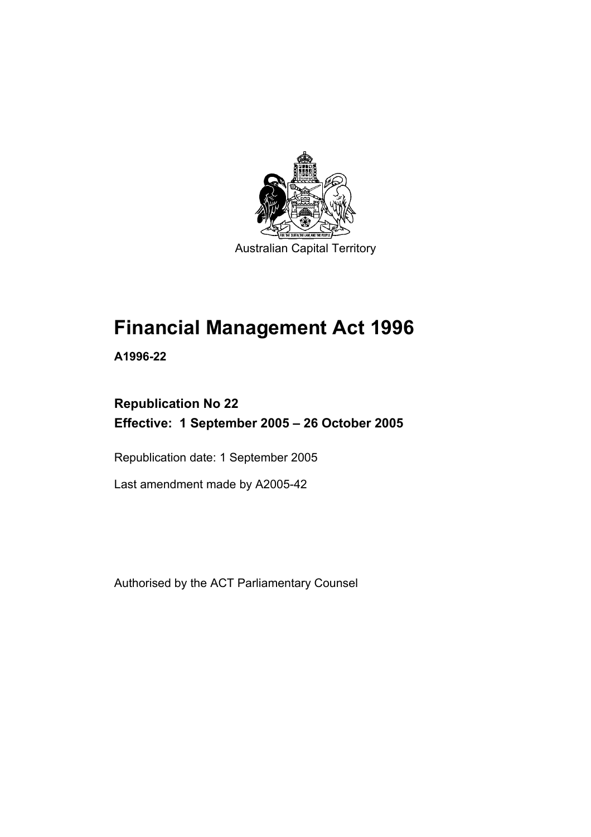

Australian Capital Territory

# **Financial Management Act 1996**

**A1996-22** 

# **Republication No 22 Effective: 1 September 2005 – 26 October 2005**

Republication date: 1 September 2005

Last amendment made by A2005-42

Authorised by the ACT Parliamentary Counsel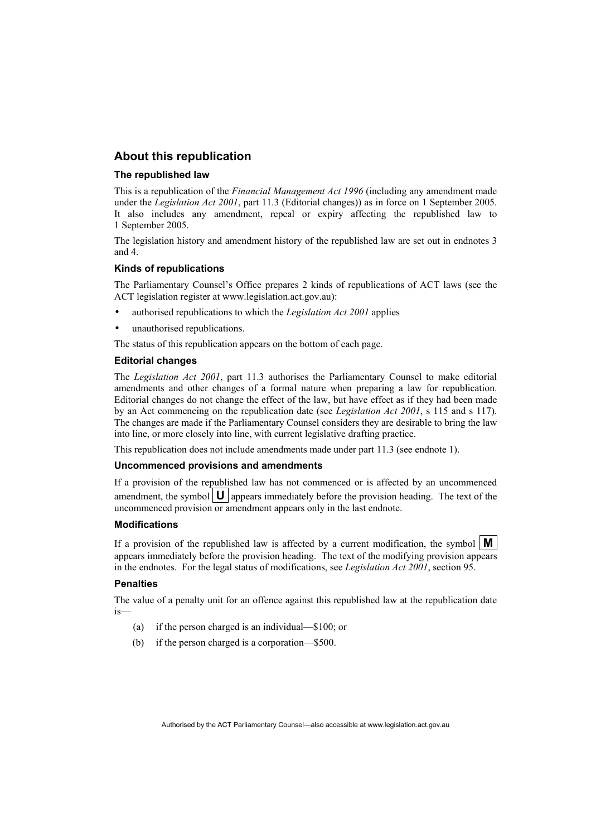#### **About this republication**

#### **The republished law**

This is a republication of the *Financial Management Act 1996* (including any amendment made under the *Legislation Act 2001*, part 11.3 (Editorial changes)) as in force on 1 September 2005*.*  It also includes any amendment, repeal or expiry affecting the republished law to 1 September 2005.

The legislation history and amendment history of the republished law are set out in endnotes 3 and 4.

#### **Kinds of republications**

The Parliamentary Counsel's Office prepares 2 kinds of republications of ACT laws (see the ACT legislation register at www.legislation.act.gov.au):

- authorised republications to which the *Legislation Act 2001* applies
- unauthorised republications.

The status of this republication appears on the bottom of each page.

#### **Editorial changes**

The *Legislation Act 2001*, part 11.3 authorises the Parliamentary Counsel to make editorial amendments and other changes of a formal nature when preparing a law for republication. Editorial changes do not change the effect of the law, but have effect as if they had been made by an Act commencing on the republication date (see *Legislation Act 2001*, s 115 and s 117). The changes are made if the Parliamentary Counsel considers they are desirable to bring the law into line, or more closely into line, with current legislative drafting practice.

This republication does not include amendments made under part 11.3 (see endnote 1).

#### **Uncommenced provisions and amendments**

If a provision of the republished law has not commenced or is affected by an uncommenced amendment, the symbol  $\mathbf{U}$  appears immediately before the provision heading. The text of the uncommenced provision or amendment appears only in the last endnote.

#### **Modifications**

If a provision of the republished law is affected by a current modification, the symbol  $\mathbf{M}$ appears immediately before the provision heading. The text of the modifying provision appears in the endnotes. For the legal status of modifications, see *Legislation Act 2001*, section 95.

#### **Penalties**

The value of a penalty unit for an offence against this republished law at the republication date is—

- (a) if the person charged is an individual—\$100; or
- (b) if the person charged is a corporation—\$500.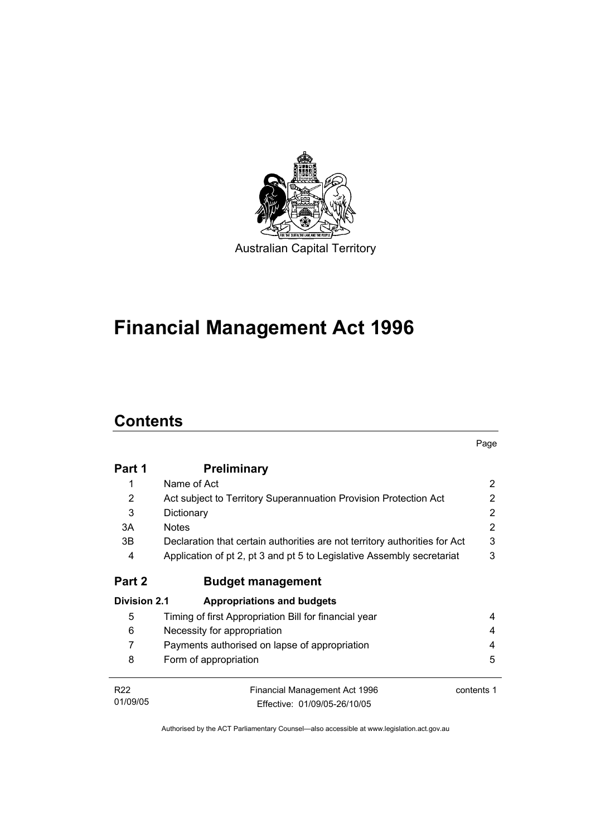

# **Financial Management Act 1996**

# **Contents**

|                     |                                                                            | Page       |
|---------------------|----------------------------------------------------------------------------|------------|
| Part 1              | <b>Preliminary</b>                                                         |            |
| 1                   | Name of Act                                                                | 2          |
| 2                   | Act subject to Territory Superannuation Provision Protection Act           | 2          |
| 3                   | Dictionary                                                                 | 2          |
| 3A                  | <b>Notes</b>                                                               | 2          |
| 3B                  | Declaration that certain authorities are not territory authorities for Act | 3          |
| 4                   | Application of pt 2, pt 3 and pt 5 to Legislative Assembly secretariat     | 3          |
| Part 2              | <b>Budget management</b>                                                   |            |
| <b>Division 2.1</b> | <b>Appropriations and budgets</b>                                          |            |
| 5                   | Timing of first Appropriation Bill for financial year                      | 4          |
| 6                   | Necessity for appropriation                                                | 4          |
| 7                   | Payments authorised on lapse of appropriation                              | 4          |
| 8                   | Form of appropriation                                                      | 5          |
| R <sub>22</sub>     | Financial Management Act 1996                                              | contents 1 |
| 01/09/05            | Fffective: 01/09/05-26/10/05                                               |            |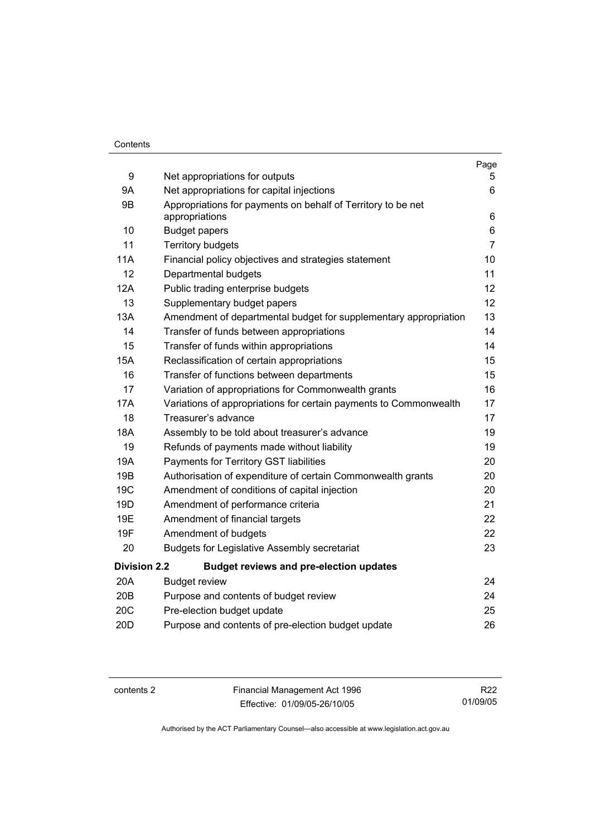#### **Contents**

|                     |                                                                                | Page           |
|---------------------|--------------------------------------------------------------------------------|----------------|
| 9                   | Net appropriations for outputs                                                 | 5.             |
| <b>9A</b>           | Net appropriations for capital injections                                      | 6              |
| 9B                  | Appropriations for payments on behalf of Territory to be net<br>appropriations | 6              |
| 10                  | <b>Budget papers</b>                                                           | 6              |
| 11                  | <b>Territory budgets</b>                                                       | $\overline{7}$ |
| <b>11A</b>          | Financial policy objectives and strategies statement                           | 10             |
| 12                  | Departmental budgets                                                           | 11             |
| 12A                 | Public trading enterprise budgets                                              | 12             |
| 13                  | Supplementary budget papers                                                    | 12             |
| 13A                 | Amendment of departmental budget for supplementary appropriation               | 13             |
| 14                  | Transfer of funds between appropriations                                       | 14             |
| 15                  | Transfer of funds within appropriations                                        | 14             |
| <b>15A</b>          | Reclassification of certain appropriations                                     | 15             |
| 16                  | Transfer of functions between departments                                      | 15             |
| 17                  | Variation of appropriations for Commonwealth grants                            | 16             |
| <b>17A</b>          | Variations of appropriations for certain payments to Commonwealth              | 17             |
| 18                  | Treasurer's advance                                                            | 17             |
| 18A                 | Assembly to be told about treasurer's advance                                  | 19             |
| 19                  | Refunds of payments made without liability                                     | 19             |
| 19A                 | Payments for Territory GST liabilities                                         | 20             |
| 19B                 | Authorisation of expenditure of certain Commonwealth grants                    | 20             |
| 19 <sub>C</sub>     | Amendment of conditions of capital injection                                   | 20             |
| 19D                 | Amendment of performance criteria                                              | 21             |
| 19E                 | Amendment of financial targets                                                 | 22             |
| 19F                 | Amendment of budgets                                                           | 22             |
| 20                  | <b>Budgets for Legislative Assembly secretariat</b>                            | 23             |
| <b>Division 2.2</b> | <b>Budget reviews and pre-election updates</b>                                 |                |
| 20A                 | <b>Budget review</b>                                                           | 24             |
| 20B                 | Purpose and contents of budget review                                          | 24             |
| 20C                 | Pre-election budget update                                                     | 25             |
| 20 <sub>D</sub>     | Purpose and contents of pre-election budget update                             | 26             |

contents 2 Financial Management Act 1996 Effective: 01/09/05-26/10/05

R22 01/09/05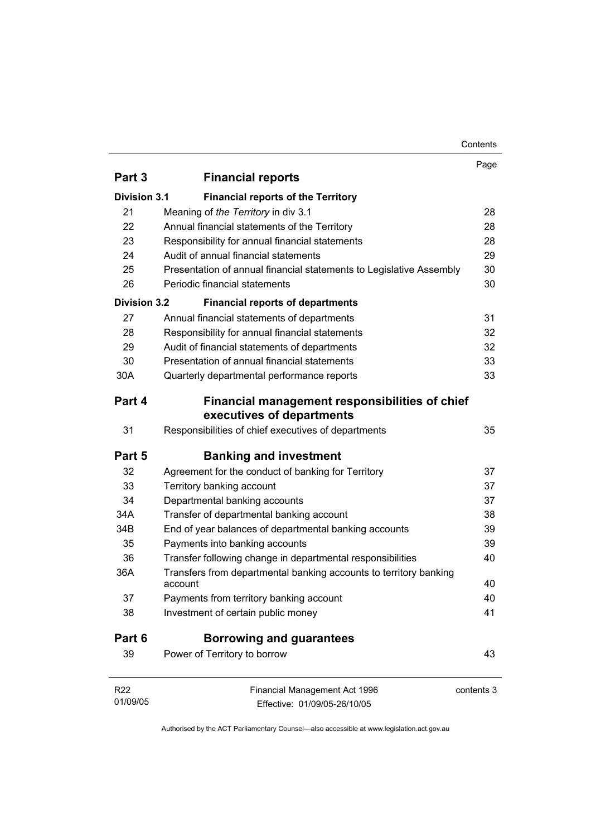#### Contents

|                     |                                                                              | Page       |
|---------------------|------------------------------------------------------------------------------|------------|
| Part 3              | <b>Financial reports</b>                                                     |            |
| <b>Division 3.1</b> | <b>Financial reports of the Territory</b>                                    |            |
| 21                  | Meaning of the Territory in div 3.1                                          | 28         |
| 22                  | Annual financial statements of the Territory                                 | 28         |
| 23                  | Responsibility for annual financial statements                               | 28         |
| 24                  | Audit of annual financial statements                                         | 29         |
| 25                  | Presentation of annual financial statements to Legislative Assembly          | 30         |
| 26                  | Periodic financial statements                                                | 30         |
| <b>Division 3.2</b> | <b>Financial reports of departments</b>                                      |            |
| 27                  | Annual financial statements of departments                                   | 31         |
| 28                  | Responsibility for annual financial statements                               | 32         |
| 29                  | Audit of financial statements of departments                                 | 32         |
| 30                  | Presentation of annual financial statements                                  | 33         |
| 30A                 | Quarterly departmental performance reports                                   | 33         |
| Part 4              | Financial management responsibilities of chief<br>executives of departments  |            |
| 31                  | Responsibilities of chief executives of departments                          | 35         |
| Part 5              | <b>Banking and investment</b>                                                |            |
| 32                  | Agreement for the conduct of banking for Territory                           | 37         |
| 33                  | Territory banking account                                                    | 37         |
| 34                  | Departmental banking accounts                                                | 37         |
| 34A                 | Transfer of departmental banking account                                     | 38         |
| 34B                 | End of year balances of departmental banking accounts                        | 39         |
| 35                  | Payments into banking accounts                                               | 39         |
| 36                  | Transfer following change in departmental responsibilities                   | 40         |
| 36A                 | Transfers from departmental banking accounts to territory banking<br>account | 40         |
| 37                  | Payments from territory banking account                                      | 40         |
| 38                  | Investment of certain public money                                           | 41         |
| Part 6              | <b>Borrowing and guarantees</b>                                              |            |
| 39                  | Power of Territory to borrow                                                 | 43         |
|                     |                                                                              |            |
| R <sub>22</sub>     | Financial Management Act 1996                                                | contents 3 |
| 01/09/05            | Effective: 01/09/05-26/10/05                                                 |            |
|                     |                                                                              |            |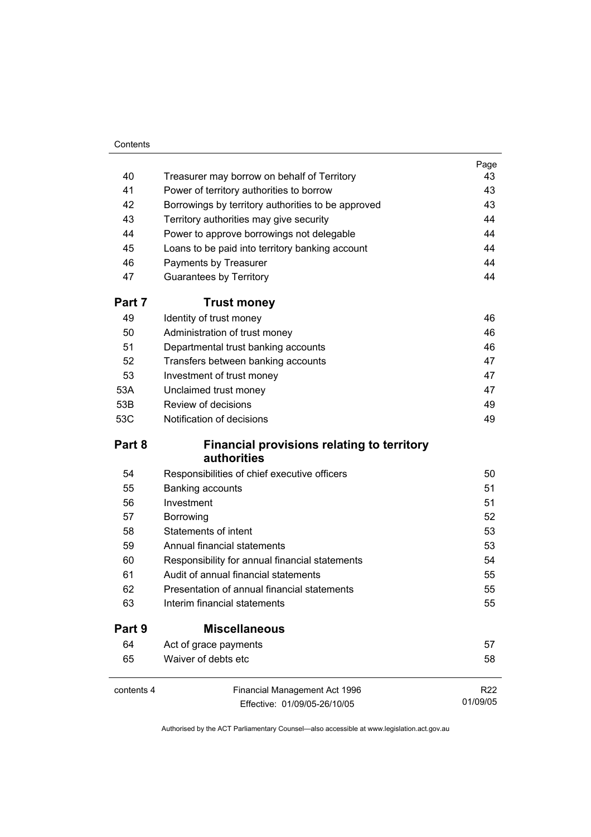#### **Contents**

|            |                                                                                               | Page     |
|------------|-----------------------------------------------------------------------------------------------|----------|
| 40         | Treasurer may borrow on behalf of Territory                                                   | 43       |
| 41         | Power of territory authorities to borrow                                                      | 43       |
| 42         | Borrowings by territory authorities to be approved<br>Territory authorities may give security | 43<br>44 |
| 43         |                                                                                               |          |
| 44         | Power to approve borrowings not delegable                                                     | 44       |
| 45         | Loans to be paid into territory banking account                                               | 44       |
| 46         | Payments by Treasurer                                                                         | 44       |
| 47         | <b>Guarantees by Territory</b>                                                                | 44       |
| Part 7     | <b>Trust money</b>                                                                            |          |
| 49         | Identity of trust money                                                                       | 46       |
| 50         | Administration of trust money                                                                 | 46       |
| 51         | Departmental trust banking accounts                                                           | 46       |
| 52         | Transfers between banking accounts                                                            | 47       |
| 53         | Investment of trust money                                                                     | 47       |
| 53A        | Unclaimed trust money                                                                         | 47       |
| 53B        | Review of decisions                                                                           | 49       |
| 53C        | Notification of decisions                                                                     | 49       |
| Part 8     | <b>Financial provisions relating to territory</b><br>authorities                              |          |
| 54         | Responsibilities of chief executive officers                                                  | 50       |
| 55         | Banking accounts                                                                              | 51       |
| 56         | Investment                                                                                    | 51       |
| 57         | Borrowing                                                                                     | 52       |
| 58         | <b>Statements of intent</b>                                                                   | 53       |
| 59         | Annual financial statements                                                                   | 53       |
| 60         | Responsibility for annual financial statements                                                | 54       |
| 61         | Audit of annual financial statements                                                          | 55       |
| 62         | Presentation of annual financial statements                                                   | 55       |
| 63         | Interim financial statements                                                                  | 55       |
| Part 9     | <b>Miscellaneous</b>                                                                          |          |
| 64         | Act of grace payments                                                                         | 57       |
| 65         | Waiver of debts etc                                                                           | 58       |
| contents 4 | Financial Management Act 1996                                                                 | R22      |
|            | Effective: 01/09/05-26/10/05                                                                  | 01/09/05 |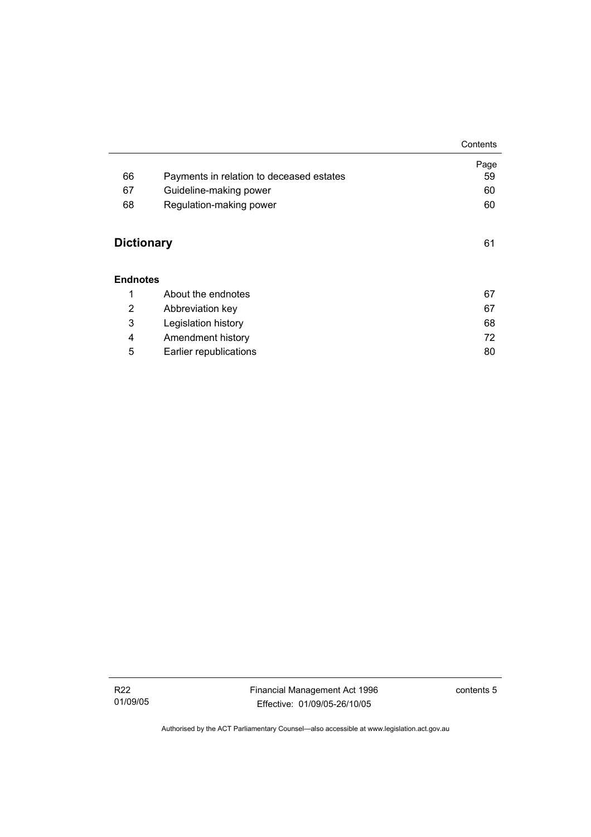|                   |                                          | Contents |
|-------------------|------------------------------------------|----------|
|                   |                                          | Page     |
| 66                | Payments in relation to deceased estates | 59       |
| 67                | Guideline-making power                   | 60       |
| 68                | Regulation-making power                  | 60       |
| <b>Dictionary</b> |                                          | 61       |
| <b>Endnotes</b>   |                                          |          |
| 1                 | About the endnotes                       | 67       |
| 2                 | Abbreviation key                         | 67       |
| 3                 | Legislation history                      | 68       |
| 4                 | Amendment history                        | 72       |
| 5                 | Earlier republications                   | 80       |

 $\overline{a}$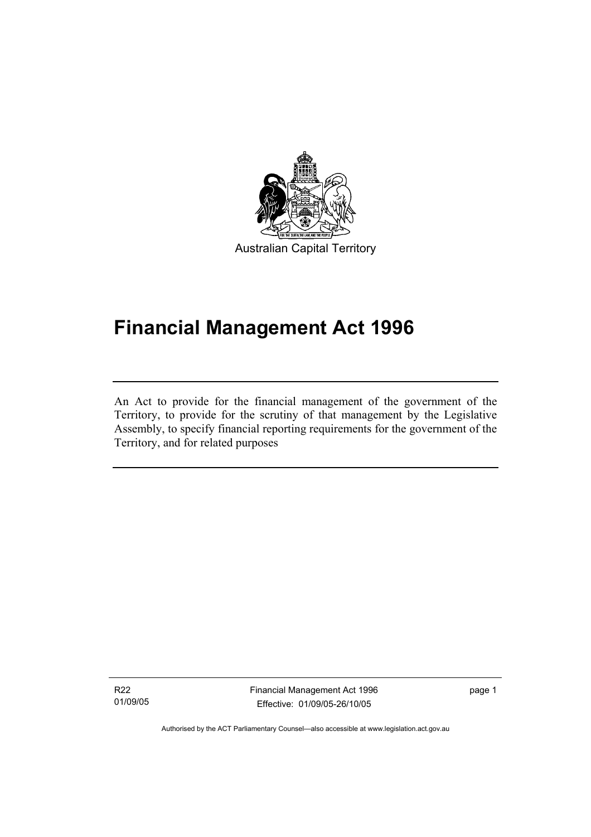

Australian Capital Territory

# **Financial Management Act 1996**

An Act to provide for the financial management of the government of the Territory, to provide for the scrutiny of that management by the Legislative Assembly, to specify financial reporting requirements for the government of the Territory, and for related purposes

R22 01/09/05

I

Financial Management Act 1996 Effective: 01/09/05-26/10/05

page 1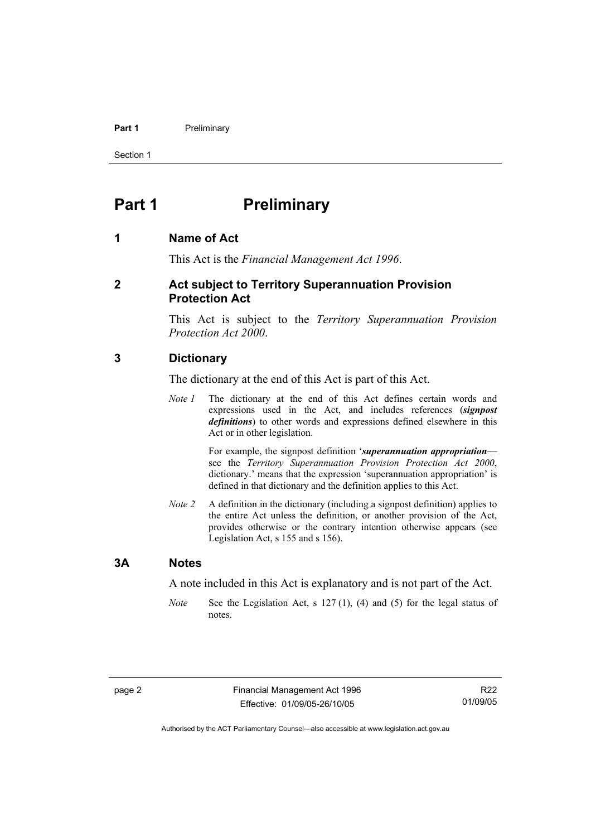#### **Part 1** Preliminary

Section 1

# **Part 1** Preliminary

#### **1 Name of Act**

This Act is the *Financial Management Act 1996*.

#### **2 Act subject to Territory Superannuation Provision Protection Act**

This Act is subject to the *Territory Superannuation Provision Protection Act 2000*.

#### **3 Dictionary**

The dictionary at the end of this Act is part of this Act.

*Note 1* The dictionary at the end of this Act defines certain words and expressions used in the Act, and includes references (*signpost definitions*) to other words and expressions defined elsewhere in this Act or in other legislation.

> For example, the signpost definition '*superannuation appropriation* see the *Territory Superannuation Provision Protection Act 2000*, dictionary.' means that the expression 'superannuation appropriation' is defined in that dictionary and the definition applies to this Act.

*Note 2* A definition in the dictionary (including a signpost definition) applies to the entire Act unless the definition, or another provision of the Act, provides otherwise or the contrary intention otherwise appears (see Legislation Act, s 155 and s 156).

#### **3A Notes**

A note included in this Act is explanatory and is not part of the Act.

*Note* See the Legislation Act, s 127 (1), (4) and (5) for the legal status of notes.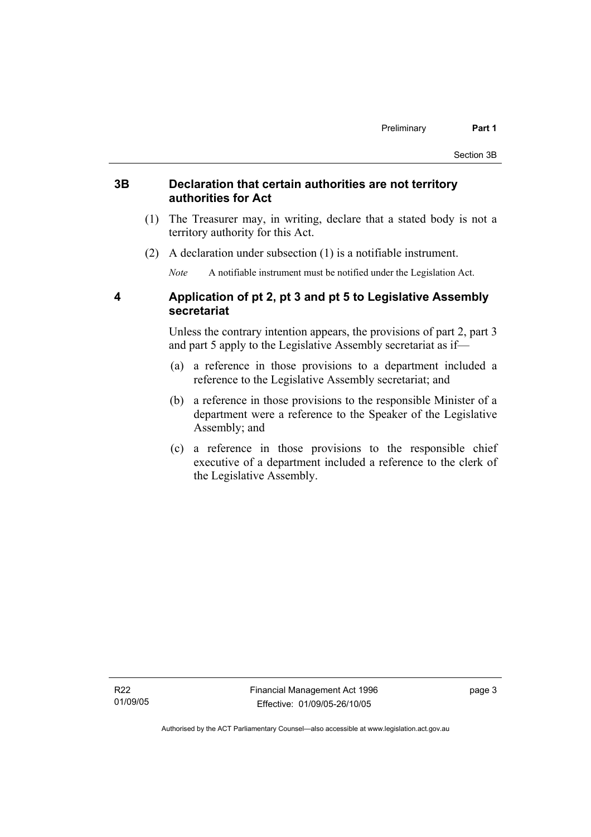#### **3B Declaration that certain authorities are not territory authorities for Act**

- (1) The Treasurer may, in writing, declare that a stated body is not a territory authority for this Act.
- (2) A declaration under subsection (1) is a notifiable instrument.

*Note* A notifiable instrument must be notified under the Legislation Act.

## **4 Application of pt 2, pt 3 and pt 5 to Legislative Assembly secretariat**

Unless the contrary intention appears, the provisions of part 2, part 3 and part 5 apply to the Legislative Assembly secretariat as if—

- (a) a reference in those provisions to a department included a reference to the Legislative Assembly secretariat; and
- (b) a reference in those provisions to the responsible Minister of a department were a reference to the Speaker of the Legislative Assembly; and
- (c) a reference in those provisions to the responsible chief executive of a department included a reference to the clerk of the Legislative Assembly.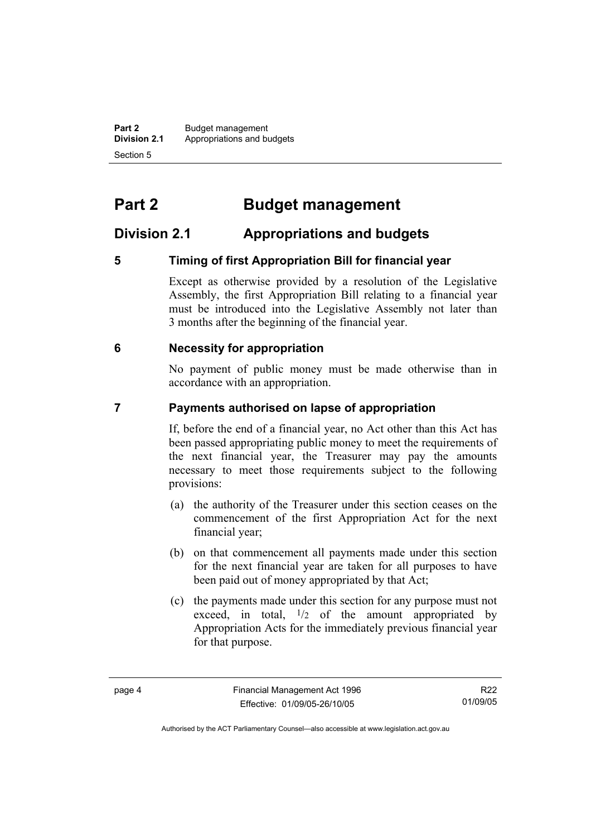**Part 2** Budget management<br>**Division 2.1** Appropriations and by **Division 2.1** Appropriations and budgets Section 5

# **Part 2 Budget management**

# **Division 2.1 Appropriations and budgets**

# **5 Timing of first Appropriation Bill for financial year**

Except as otherwise provided by a resolution of the Legislative Assembly, the first Appropriation Bill relating to a financial year must be introduced into the Legislative Assembly not later than 3 months after the beginning of the financial year.

## **6 Necessity for appropriation**

No payment of public money must be made otherwise than in accordance with an appropriation.

## **7 Payments authorised on lapse of appropriation**

If, before the end of a financial year, no Act other than this Act has been passed appropriating public money to meet the requirements of the next financial year, the Treasurer may pay the amounts necessary to meet those requirements subject to the following provisions:

- (a) the authority of the Treasurer under this section ceases on the commencement of the first Appropriation Act for the next financial year;
- (b) on that commencement all payments made under this section for the next financial year are taken for all purposes to have been paid out of money appropriated by that Act;
- (c) the payments made under this section for any purpose must not exceed, in total,  $\frac{1}{2}$  of the amount appropriated by Appropriation Acts for the immediately previous financial year for that purpose.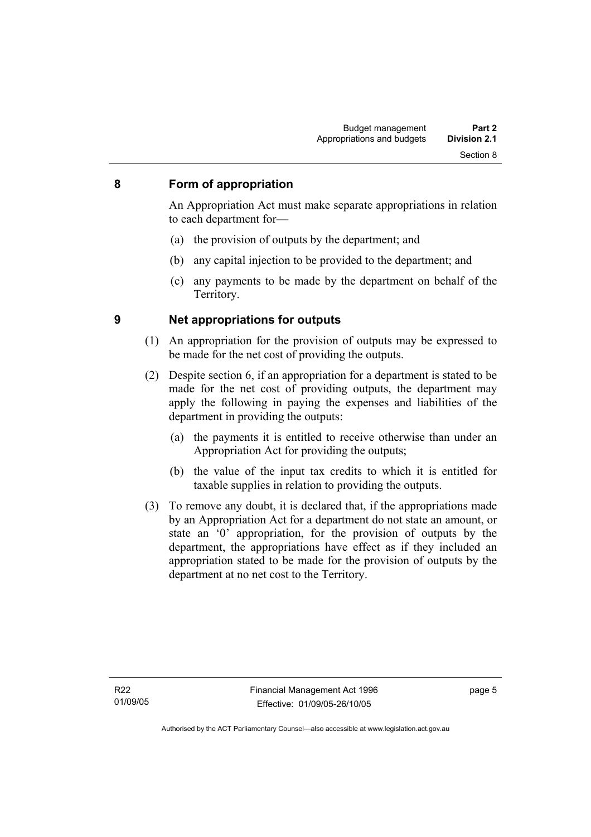#### **8 Form of appropriation**

An Appropriation Act must make separate appropriations in relation to each department for—

- (a) the provision of outputs by the department; and
- (b) any capital injection to be provided to the department; and
- (c) any payments to be made by the department on behalf of the Territory.

- **9 Net appropriations for outputs** 
	- (1) An appropriation for the provision of outputs may be expressed to be made for the net cost of providing the outputs.
	- (2) Despite section 6, if an appropriation for a department is stated to be made for the net cost of providing outputs, the department may apply the following in paying the expenses and liabilities of the department in providing the outputs:
		- (a) the payments it is entitled to receive otherwise than under an Appropriation Act for providing the outputs;
		- (b) the value of the input tax credits to which it is entitled for taxable supplies in relation to providing the outputs.
	- (3) To remove any doubt, it is declared that, if the appropriations made by an Appropriation Act for a department do not state an amount, or state an '0' appropriation, for the provision of outputs by the department, the appropriations have effect as if they included an appropriation stated to be made for the provision of outputs by the department at no net cost to the Territory.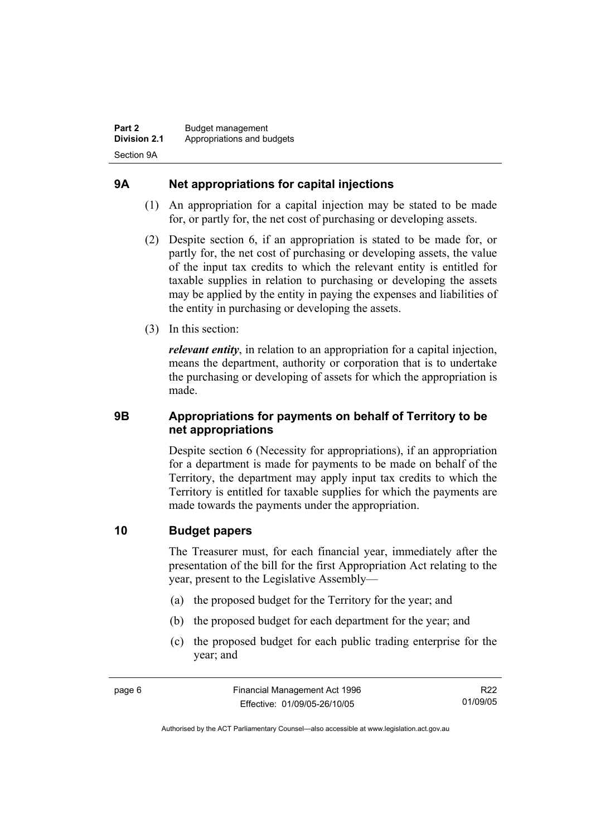# **9A Net appropriations for capital injections**

- (1) An appropriation for a capital injection may be stated to be made for, or partly for, the net cost of purchasing or developing assets.
- (2) Despite section 6, if an appropriation is stated to be made for, or partly for, the net cost of purchasing or developing assets, the value of the input tax credits to which the relevant entity is entitled for taxable supplies in relation to purchasing or developing the assets may be applied by the entity in paying the expenses and liabilities of the entity in purchasing or developing the assets.
- (3) In this section:

*relevant entity*, in relation to an appropriation for a capital injection, means the department, authority or corporation that is to undertake the purchasing or developing of assets for which the appropriation is made.

## **9B Appropriations for payments on behalf of Territory to be net appropriations**

Despite section 6 (Necessity for appropriations), if an appropriation for a department is made for payments to be made on behalf of the Territory, the department may apply input tax credits to which the Territory is entitled for taxable supplies for which the payments are made towards the payments under the appropriation.

## **10 Budget papers**

The Treasurer must, for each financial year, immediately after the presentation of the bill for the first Appropriation Act relating to the year, present to the Legislative Assembly—

- (a) the proposed budget for the Territory for the year; and
- (b) the proposed budget for each department for the year; and
- (c) the proposed budget for each public trading enterprise for the year; and

R22 01/09/05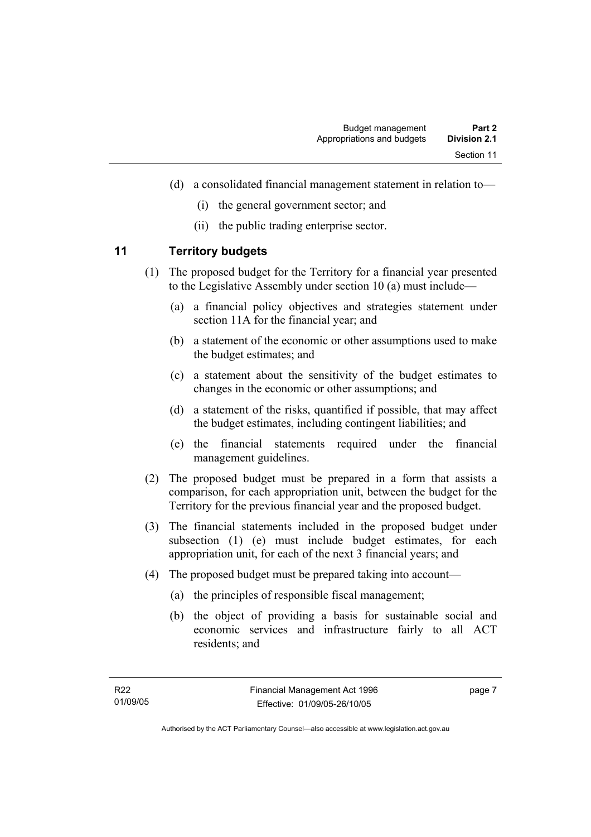- (d) a consolidated financial management statement in relation to—
	- (i) the general government sector; and
	- (ii) the public trading enterprise sector.

## **11 Territory budgets**

- (1) The proposed budget for the Territory for a financial year presented to the Legislative Assembly under section 10 (a) must include—
	- (a) a financial policy objectives and strategies statement under section 11A for the financial year; and
	- (b) a statement of the economic or other assumptions used to make the budget estimates; and
	- (c) a statement about the sensitivity of the budget estimates to changes in the economic or other assumptions; and
	- (d) a statement of the risks, quantified if possible, that may affect the budget estimates, including contingent liabilities; and
	- (e) the financial statements required under the financial management guidelines.
- (2) The proposed budget must be prepared in a form that assists a comparison, for each appropriation unit, between the budget for the Territory for the previous financial year and the proposed budget.
- (3) The financial statements included in the proposed budget under subsection (1) (e) must include budget estimates, for each appropriation unit, for each of the next 3 financial years; and
- (4) The proposed budget must be prepared taking into account—
	- (a) the principles of responsible fiscal management;
	- (b) the object of providing a basis for sustainable social and economic services and infrastructure fairly to all ACT residents; and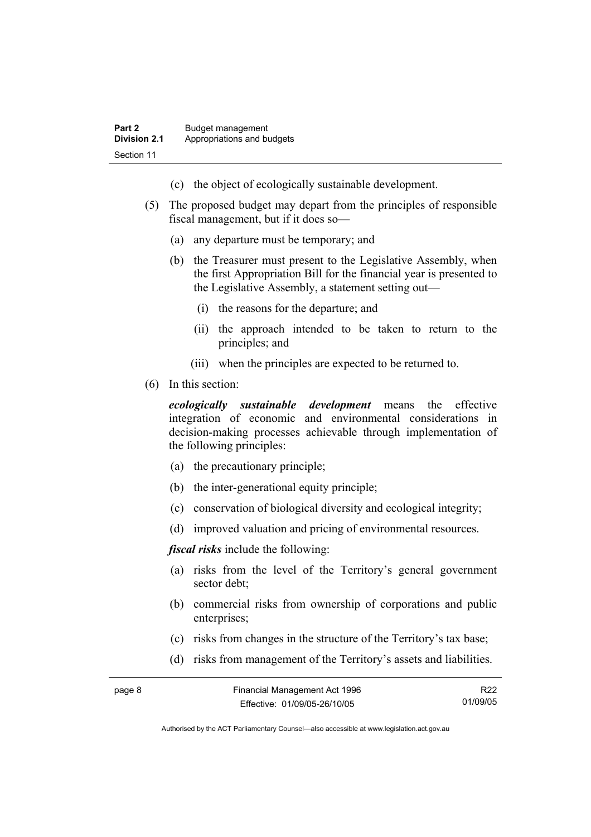- (c) the object of ecologically sustainable development.
- (5) The proposed budget may depart from the principles of responsible fiscal management, but if it does so—
	- (a) any departure must be temporary; and
	- (b) the Treasurer must present to the Legislative Assembly, when the first Appropriation Bill for the financial year is presented to the Legislative Assembly, a statement setting out—
		- (i) the reasons for the departure; and
		- (ii) the approach intended to be taken to return to the principles; and
		- (iii) when the principles are expected to be returned to.
- (6) In this section:

*ecologically sustainable development* means the effective integration of economic and environmental considerations in decision-making processes achievable through implementation of the following principles:

- (a) the precautionary principle;
- (b) the inter-generational equity principle;
- (c) conservation of biological diversity and ecological integrity;
- (d) improved valuation and pricing of environmental resources.

*fiscal risks* include the following:

- (a) risks from the level of the Territory's general government sector debt;
- (b) commercial risks from ownership of corporations and public enterprises:
- (c) risks from changes in the structure of the Territory's tax base;
- (d) risks from management of the Territory's assets and liabilities.

| page 8 | Financial Management Act 1996 | R22      |
|--------|-------------------------------|----------|
|        | Effective: 01/09/05-26/10/05  | 01/09/05 |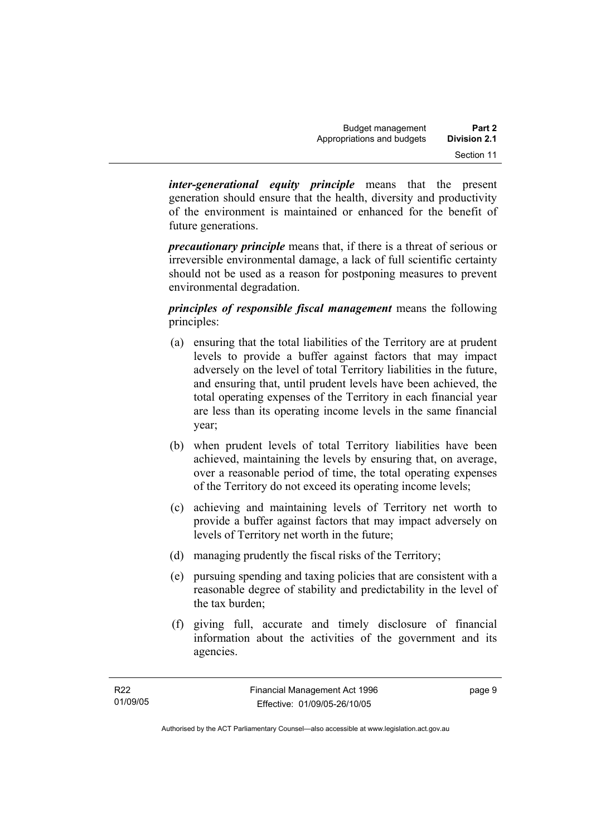*inter-generational equity principle* means that the present generation should ensure that the health, diversity and productivity of the environment is maintained or enhanced for the benefit of future generations.

*precautionary principle* means that, if there is a threat of serious or irreversible environmental damage, a lack of full scientific certainty should not be used as a reason for postponing measures to prevent environmental degradation.

*principles of responsible fiscal management* means the following principles:

- (a) ensuring that the total liabilities of the Territory are at prudent levels to provide a buffer against factors that may impact adversely on the level of total Territory liabilities in the future, and ensuring that, until prudent levels have been achieved, the total operating expenses of the Territory in each financial year are less than its operating income levels in the same financial year;
- (b) when prudent levels of total Territory liabilities have been achieved, maintaining the levels by ensuring that, on average, over a reasonable period of time, the total operating expenses of the Territory do not exceed its operating income levels;
- (c) achieving and maintaining levels of Territory net worth to provide a buffer against factors that may impact adversely on levels of Territory net worth in the future;
- (d) managing prudently the fiscal risks of the Territory;
- (e) pursuing spending and taxing policies that are consistent with a reasonable degree of stability and predictability in the level of the tax burden;
- (f) giving full, accurate and timely disclosure of financial information about the activities of the government and its agencies.

page 9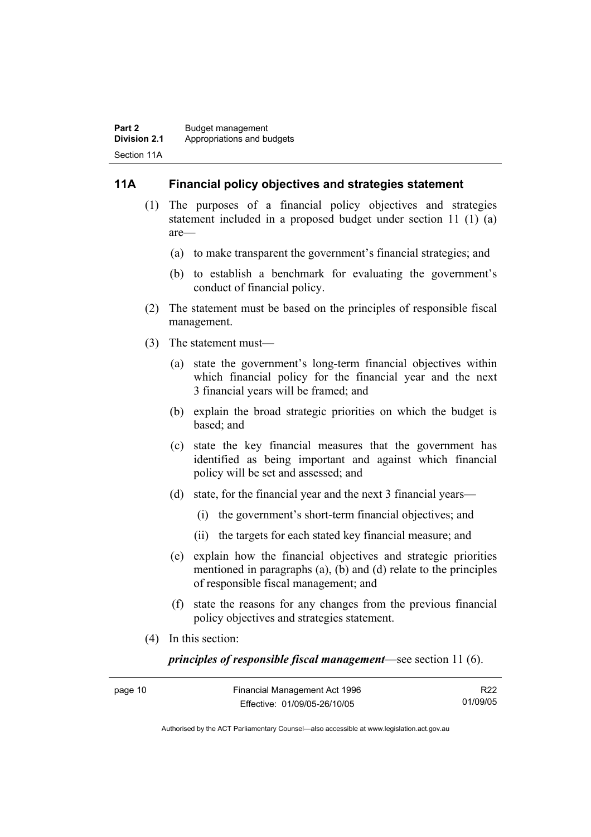#### **11A Financial policy objectives and strategies statement**

- (1) The purposes of a financial policy objectives and strategies statement included in a proposed budget under section 11 (1) (a) are—
	- (a) to make transparent the government's financial strategies; and
	- (b) to establish a benchmark for evaluating the government's conduct of financial policy.
- (2) The statement must be based on the principles of responsible fiscal management.
- (3) The statement must—
	- (a) state the government's long-term financial objectives within which financial policy for the financial year and the next 3 financial years will be framed; and
	- (b) explain the broad strategic priorities on which the budget is based; and
	- (c) state the key financial measures that the government has identified as being important and against which financial policy will be set and assessed; and
	- (d) state, for the financial year and the next 3 financial years—
		- (i) the government's short-term financial objectives; and
		- (ii) the targets for each stated key financial measure; and
	- (e) explain how the financial objectives and strategic priorities mentioned in paragraphs (a), (b) and (d) relate to the principles of responsible fiscal management; and
	- (f) state the reasons for any changes from the previous financial policy objectives and strategies statement.
- (4) In this section:

*principles of responsible fiscal management*—see section 11 (6).

| page 10 | Financial Management Act 1996 | R <sub>22</sub> |
|---------|-------------------------------|-----------------|
|         | Effective: 01/09/05-26/10/05  | 01/09/05        |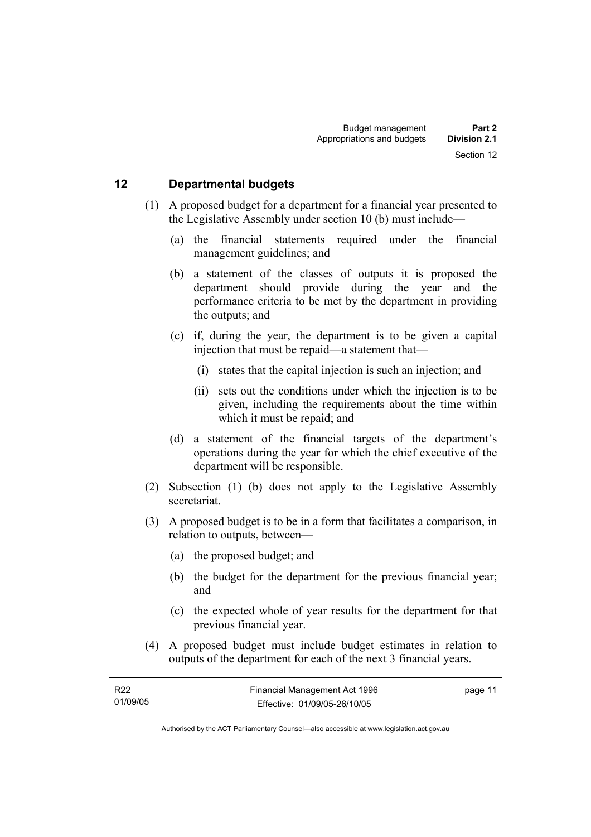#### **12 Departmental budgets**

- (1) A proposed budget for a department for a financial year presented to the Legislative Assembly under section 10 (b) must include—
	- (a) the financial statements required under the financial management guidelines; and
	- (b) a statement of the classes of outputs it is proposed the department should provide during the year and the performance criteria to be met by the department in providing the outputs; and
	- (c) if, during the year, the department is to be given a capital injection that must be repaid—a statement that—
		- (i) states that the capital injection is such an injection; and
		- (ii) sets out the conditions under which the injection is to be given, including the requirements about the time within which it must be repaid; and
	- (d) a statement of the financial targets of the department's operations during the year for which the chief executive of the department will be responsible.
- (2) Subsection (1) (b) does not apply to the Legislative Assembly secretariat.
- (3) A proposed budget is to be in a form that facilitates a comparison, in relation to outputs, between—
	- (a) the proposed budget; and
	- (b) the budget for the department for the previous financial year; and
	- (c) the expected whole of year results for the department for that previous financial year.
- (4) A proposed budget must include budget estimates in relation to outputs of the department for each of the next 3 financial years.

| R22      | Financial Management Act 1996 | page 11 |
|----------|-------------------------------|---------|
| 01/09/05 | Effective: 01/09/05-26/10/05  |         |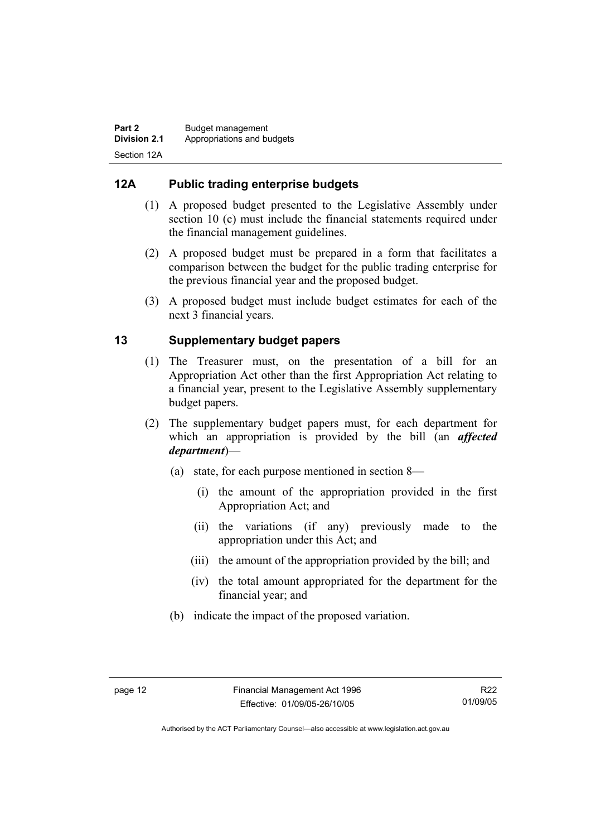# **12A Public trading enterprise budgets**

- (1) A proposed budget presented to the Legislative Assembly under section 10 (c) must include the financial statements required under the financial management guidelines.
- (2) A proposed budget must be prepared in a form that facilitates a comparison between the budget for the public trading enterprise for the previous financial year and the proposed budget.
- (3) A proposed budget must include budget estimates for each of the next 3 financial years.

# **13 Supplementary budget papers**

- (1) The Treasurer must, on the presentation of a bill for an Appropriation Act other than the first Appropriation Act relating to a financial year, present to the Legislative Assembly supplementary budget papers.
- (2) The supplementary budget papers must, for each department for which an appropriation is provided by the bill (an *affected department*)—
	- (a) state, for each purpose mentioned in section 8—
		- (i) the amount of the appropriation provided in the first Appropriation Act; and
		- (ii) the variations (if any) previously made to the appropriation under this Act; and
		- (iii) the amount of the appropriation provided by the bill; and
		- (iv) the total amount appropriated for the department for the financial year; and
	- (b) indicate the impact of the proposed variation.

Authorised by the ACT Parliamentary Counsel—also accessible at www.legislation.act.gov.au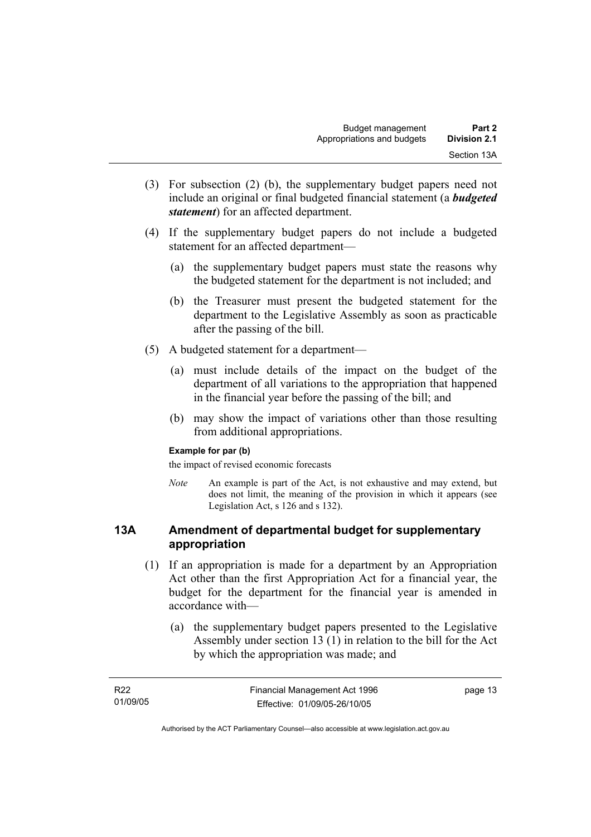- (3) For subsection (2) (b), the supplementary budget papers need not include an original or final budgeted financial statement (a *budgeted statement*) for an affected department.
- (4) If the supplementary budget papers do not include a budgeted statement for an affected department—
	- (a) the supplementary budget papers must state the reasons why the budgeted statement for the department is not included; and
	- (b) the Treasurer must present the budgeted statement for the department to the Legislative Assembly as soon as practicable after the passing of the bill.
- (5) A budgeted statement for a department—
	- (a) must include details of the impact on the budget of the department of all variations to the appropriation that happened in the financial year before the passing of the bill; and
	- (b) may show the impact of variations other than those resulting from additional appropriations.

#### **Example for par (b)**

the impact of revised economic forecasts

*Note* An example is part of the Act, is not exhaustive and may extend, but does not limit, the meaning of the provision in which it appears (see Legislation Act, s 126 and s 132).

#### **13A Amendment of departmental budget for supplementary appropriation**

- (1) If an appropriation is made for a department by an Appropriation Act other than the first Appropriation Act for a financial year, the budget for the department for the financial year is amended in accordance with—
	- (a) the supplementary budget papers presented to the Legislative Assembly under section 13 (1) in relation to the bill for the Act by which the appropriation was made; and

| R22      | Financial Management Act 1996 | page 13 |
|----------|-------------------------------|---------|
| 01/09/05 | Effective: 01/09/05-26/10/05  |         |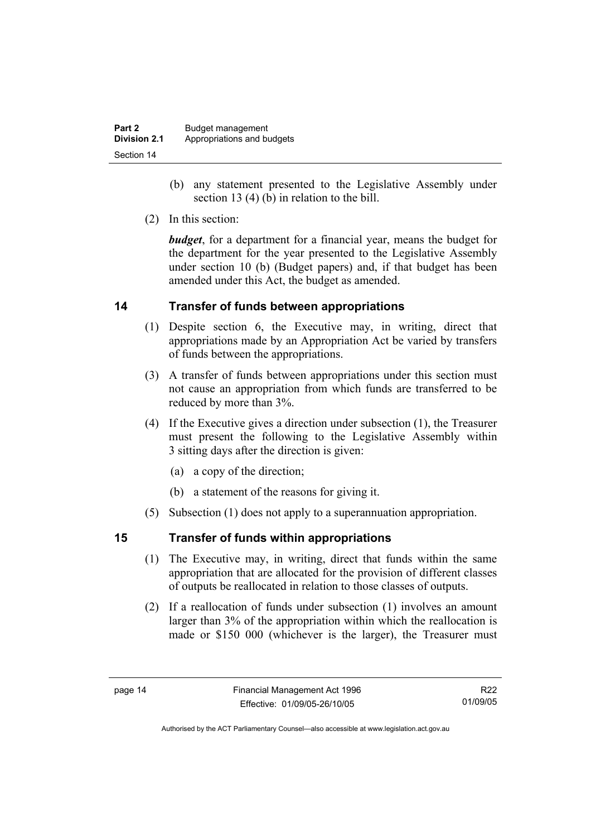| Part 2              | Budget management          |
|---------------------|----------------------------|
| <b>Division 2.1</b> | Appropriations and budgets |
| Section 14          |                            |

- (b) any statement presented to the Legislative Assembly under section 13 (4) (b) in relation to the bill.
- (2) In this section:

*budget*, for a department for a financial year, means the budget for the department for the year presented to the Legislative Assembly under section 10 (b) (Budget papers) and, if that budget has been amended under this Act, the budget as amended.

## **14 Transfer of funds between appropriations**

- (1) Despite section 6, the Executive may, in writing, direct that appropriations made by an Appropriation Act be varied by transfers of funds between the appropriations.
- (3) A transfer of funds between appropriations under this section must not cause an appropriation from which funds are transferred to be reduced by more than 3%.
- (4) If the Executive gives a direction under subsection (1), the Treasurer must present the following to the Legislative Assembly within 3 sitting days after the direction is given:
	- (a) a copy of the direction;
	- (b) a statement of the reasons for giving it.
- (5) Subsection (1) does not apply to a superannuation appropriation.

## **15 Transfer of funds within appropriations**

- (1) The Executive may, in writing, direct that funds within the same appropriation that are allocated for the provision of different classes of outputs be reallocated in relation to those classes of outputs.
- (2) If a reallocation of funds under subsection (1) involves an amount larger than 3% of the appropriation within which the reallocation is made or \$150 000 (whichever is the larger), the Treasurer must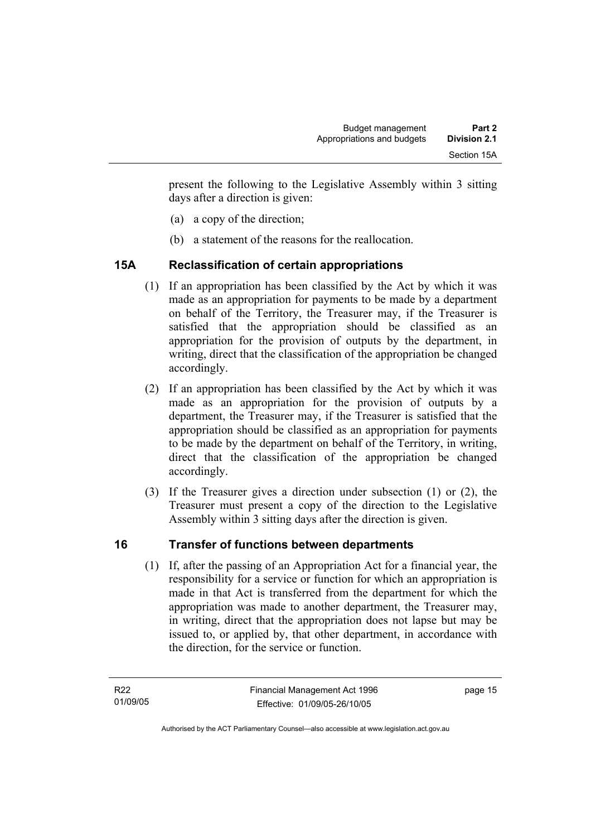present the following to the Legislative Assembly within 3 sitting days after a direction is given:

- (a) a copy of the direction;
- (b) a statement of the reasons for the reallocation.

# **15A Reclassification of certain appropriations**

- (1) If an appropriation has been classified by the Act by which it was made as an appropriation for payments to be made by a department on behalf of the Territory, the Treasurer may, if the Treasurer is satisfied that the appropriation should be classified as an appropriation for the provision of outputs by the department, in writing, direct that the classification of the appropriation be changed accordingly.
- (2) If an appropriation has been classified by the Act by which it was made as an appropriation for the provision of outputs by a department, the Treasurer may, if the Treasurer is satisfied that the appropriation should be classified as an appropriation for payments to be made by the department on behalf of the Territory, in writing, direct that the classification of the appropriation be changed accordingly.
- (3) If the Treasurer gives a direction under subsection (1) or (2), the Treasurer must present a copy of the direction to the Legislative Assembly within 3 sitting days after the direction is given.

## **16 Transfer of functions between departments**

 (1) If, after the passing of an Appropriation Act for a financial year, the responsibility for a service or function for which an appropriation is made in that Act is transferred from the department for which the appropriation was made to another department, the Treasurer may, in writing, direct that the appropriation does not lapse but may be issued to, or applied by, that other department, in accordance with the direction, for the service or function.

page 15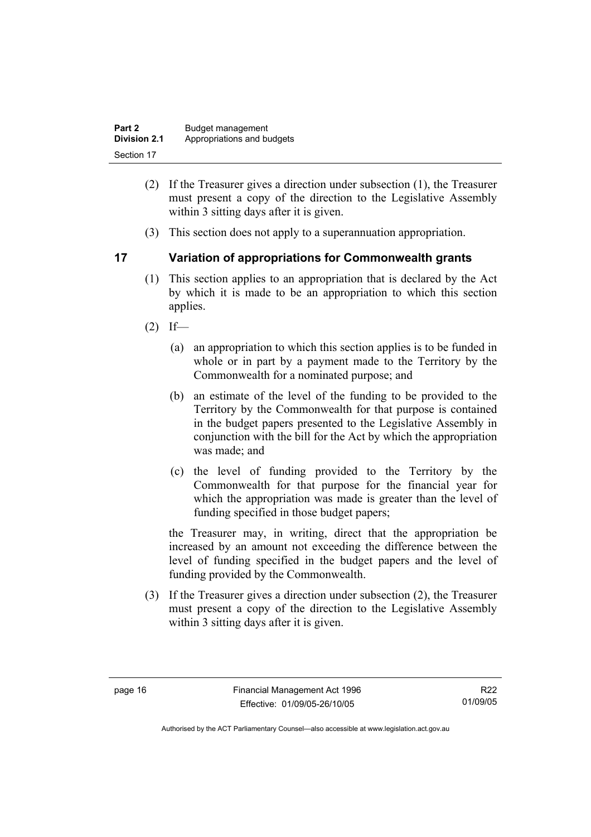| Part 2              | Budget management          |
|---------------------|----------------------------|
| <b>Division 2.1</b> | Appropriations and budgets |
| Section 17          |                            |

- (2) If the Treasurer gives a direction under subsection (1), the Treasurer must present a copy of the direction to the Legislative Assembly within 3 sitting days after it is given.
- (3) This section does not apply to a superannuation appropriation.

## **17 Variation of appropriations for Commonwealth grants**

- (1) This section applies to an appropriation that is declared by the Act by which it is made to be an appropriation to which this section applies.
- $(2)$  If—
	- (a) an appropriation to which this section applies is to be funded in whole or in part by a payment made to the Territory by the Commonwealth for a nominated purpose; and
	- (b) an estimate of the level of the funding to be provided to the Territory by the Commonwealth for that purpose is contained in the budget papers presented to the Legislative Assembly in conjunction with the bill for the Act by which the appropriation was made; and
	- (c) the level of funding provided to the Territory by the Commonwealth for that purpose for the financial year for which the appropriation was made is greater than the level of funding specified in those budget papers;

the Treasurer may, in writing, direct that the appropriation be increased by an amount not exceeding the difference between the level of funding specified in the budget papers and the level of funding provided by the Commonwealth.

 (3) If the Treasurer gives a direction under subsection (2), the Treasurer must present a copy of the direction to the Legislative Assembly within 3 sitting days after it is given.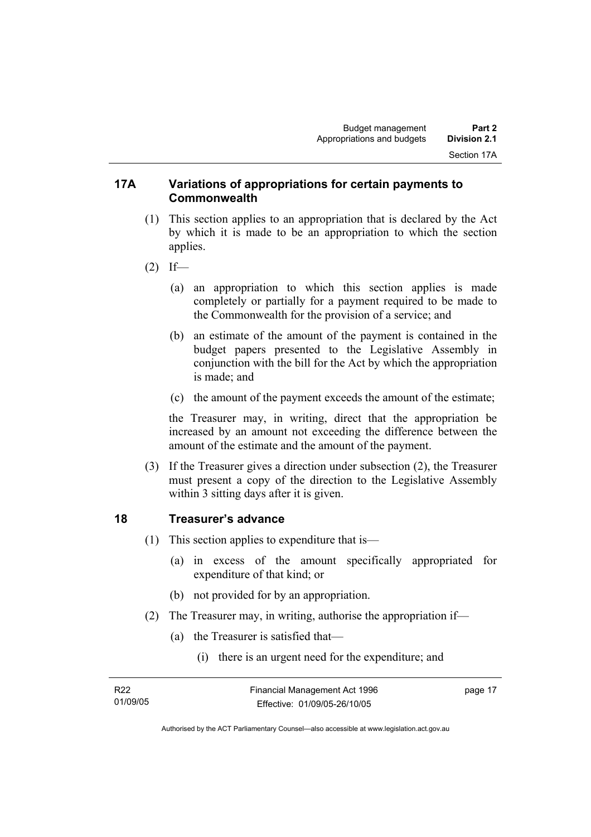#### **17A Variations of appropriations for certain payments to Commonwealth**

- (1) This section applies to an appropriation that is declared by the Act by which it is made to be an appropriation to which the section applies.
- $(2)$  If—
	- (a) an appropriation to which this section applies is made completely or partially for a payment required to be made to the Commonwealth for the provision of a service; and
	- (b) an estimate of the amount of the payment is contained in the budget papers presented to the Legislative Assembly in conjunction with the bill for the Act by which the appropriation is made; and
	- (c) the amount of the payment exceeds the amount of the estimate;

the Treasurer may, in writing, direct that the appropriation be increased by an amount not exceeding the difference between the amount of the estimate and the amount of the payment.

 (3) If the Treasurer gives a direction under subsection (2), the Treasurer must present a copy of the direction to the Legislative Assembly within 3 sitting days after it is given.

#### **18 Treasurer's advance**

- (1) This section applies to expenditure that is—
	- (a) in excess of the amount specifically appropriated for expenditure of that kind; or
	- (b) not provided for by an appropriation.
- (2) The Treasurer may, in writing, authorise the appropriation if—
	- (a) the Treasurer is satisfied that—
		- (i) there is an urgent need for the expenditure; and

| R22      | Financial Management Act 1996 | page 17 |
|----------|-------------------------------|---------|
| 01/09/05 | Effective: 01/09/05-26/10/05  |         |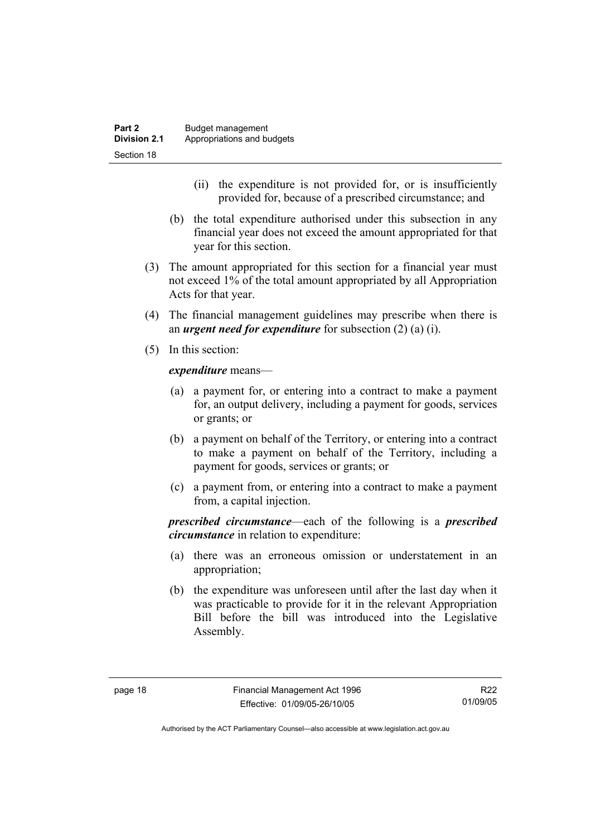- (ii) the expenditure is not provided for, or is insufficiently provided for, because of a prescribed circumstance; and
- (b) the total expenditure authorised under this subsection in any financial year does not exceed the amount appropriated for that year for this section.
- (3) The amount appropriated for this section for a financial year must not exceed 1% of the total amount appropriated by all Appropriation Acts for that year.
- (4) The financial management guidelines may prescribe when there is an *urgent need for expenditure* for subsection (2) (a) (i).
- (5) In this section:

*expenditure* means—

- (a) a payment for, or entering into a contract to make a payment for, an output delivery, including a payment for goods, services or grants; or
- (b) a payment on behalf of the Territory, or entering into a contract to make a payment on behalf of the Territory, including a payment for goods, services or grants; or
- (c) a payment from, or entering into a contract to make a payment from, a capital injection.

*prescribed circumstance*—each of the following is a *prescribed circumstance* in relation to expenditure:

- (a) there was an erroneous omission or understatement in an appropriation;
- (b) the expenditure was unforeseen until after the last day when it was practicable to provide for it in the relevant Appropriation Bill before the bill was introduced into the Legislative Assembly.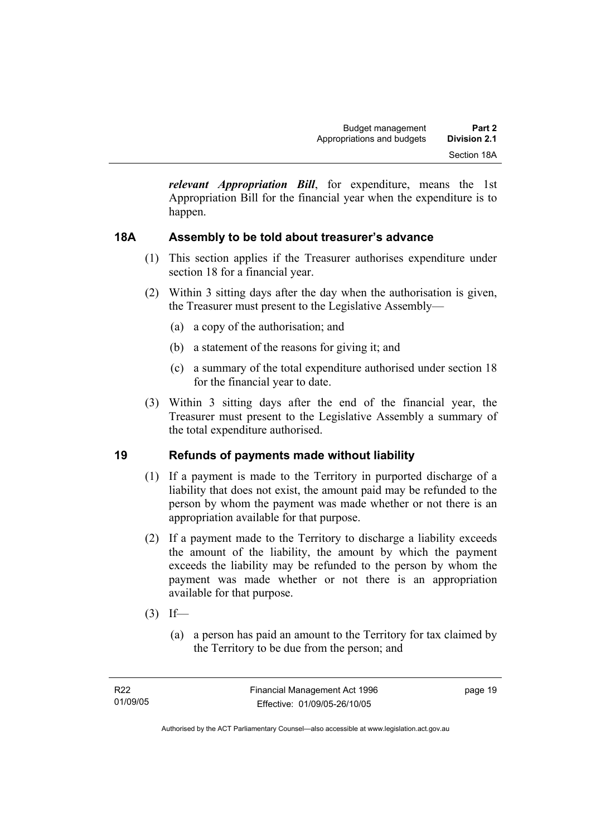*relevant Appropriation Bill*, for expenditure, means the 1st Appropriation Bill for the financial year when the expenditure is to happen.

# **18A Assembly to be told about treasurer's advance**

- (1) This section applies if the Treasurer authorises expenditure under section 18 for a financial year.
- (2) Within 3 sitting days after the day when the authorisation is given, the Treasurer must present to the Legislative Assembly—
	- (a) a copy of the authorisation; and
	- (b) a statement of the reasons for giving it; and
	- (c) a summary of the total expenditure authorised under section 18 for the financial year to date.
- (3) Within 3 sitting days after the end of the financial year, the Treasurer must present to the Legislative Assembly a summary of the total expenditure authorised.

## **19 Refunds of payments made without liability**

- (1) If a payment is made to the Territory in purported discharge of a liability that does not exist, the amount paid may be refunded to the person by whom the payment was made whether or not there is an appropriation available for that purpose.
- (2) If a payment made to the Territory to discharge a liability exceeds the amount of the liability, the amount by which the payment exceeds the liability may be refunded to the person by whom the payment was made whether or not there is an appropriation available for that purpose.
- $(3)$  If—
	- (a) a person has paid an amount to the Territory for tax claimed by the Territory to be due from the person; and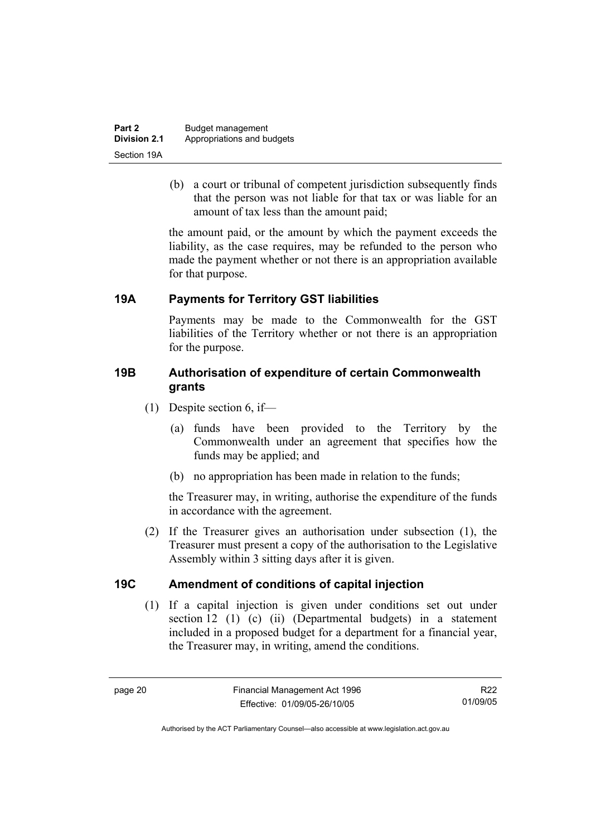| Part 2              | Budget management          |
|---------------------|----------------------------|
| <b>Division 2.1</b> | Appropriations and budgets |
| Section 19A         |                            |

 (b) a court or tribunal of competent jurisdiction subsequently finds that the person was not liable for that tax or was liable for an amount of tax less than the amount paid;

the amount paid, or the amount by which the payment exceeds the liability, as the case requires, may be refunded to the person who made the payment whether or not there is an appropriation available for that purpose.

## **19A Payments for Territory GST liabilities**

Payments may be made to the Commonwealth for the GST liabilities of the Territory whether or not there is an appropriation for the purpose.

#### **19B Authorisation of expenditure of certain Commonwealth grants**

- (1) Despite section 6, if—
	- (a) funds have been provided to the Territory by the Commonwealth under an agreement that specifies how the funds may be applied; and
	- (b) no appropriation has been made in relation to the funds;

the Treasurer may, in writing, authorise the expenditure of the funds in accordance with the agreement.

 (2) If the Treasurer gives an authorisation under subsection (1), the Treasurer must present a copy of the authorisation to the Legislative Assembly within 3 sitting days after it is given.

## **19C Amendment of conditions of capital injection**

 (1) If a capital injection is given under conditions set out under section 12 (1) (c) (ii) (Departmental budgets) in a statement included in a proposed budget for a department for a financial year, the Treasurer may, in writing, amend the conditions.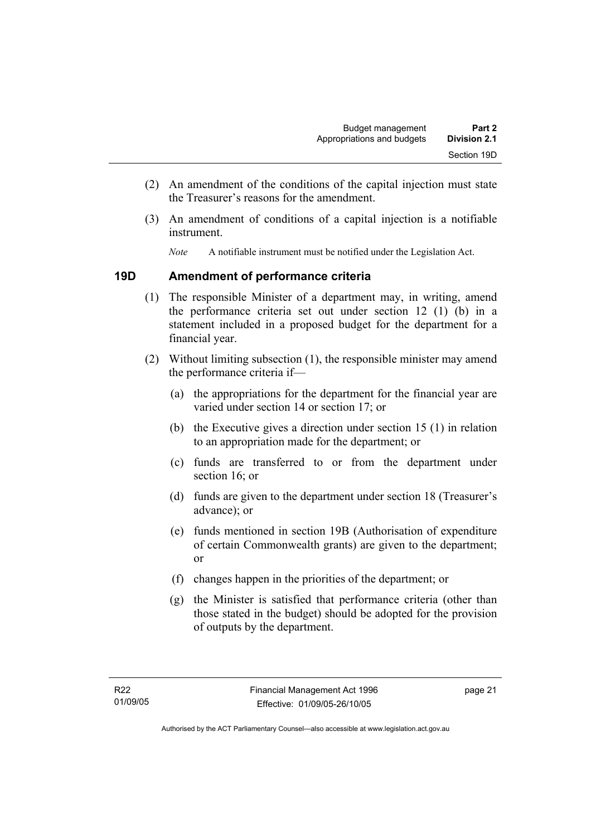- (2) An amendment of the conditions of the capital injection must state the Treasurer's reasons for the amendment.
- (3) An amendment of conditions of a capital injection is a notifiable instrument.
	- *Note* A notifiable instrument must be notified under the Legislation Act.

#### **19D Amendment of performance criteria**

- (1) The responsible Minister of a department may, in writing, amend the performance criteria set out under section 12 (1) (b) in a statement included in a proposed budget for the department for a financial year.
- (2) Without limiting subsection (1), the responsible minister may amend the performance criteria if—
	- (a) the appropriations for the department for the financial year are varied under section 14 or section 17; or
	- (b) the Executive gives a direction under section 15 (1) in relation to an appropriation made for the department; or
	- (c) funds are transferred to or from the department under section 16; or
	- (d) funds are given to the department under section 18 (Treasurer's advance); or
	- (e) funds mentioned in section 19B (Authorisation of expenditure of certain Commonwealth grants) are given to the department; or
	- (f) changes happen in the priorities of the department; or
	- (g) the Minister is satisfied that performance criteria (other than those stated in the budget) should be adopted for the provision of outputs by the department.

page 21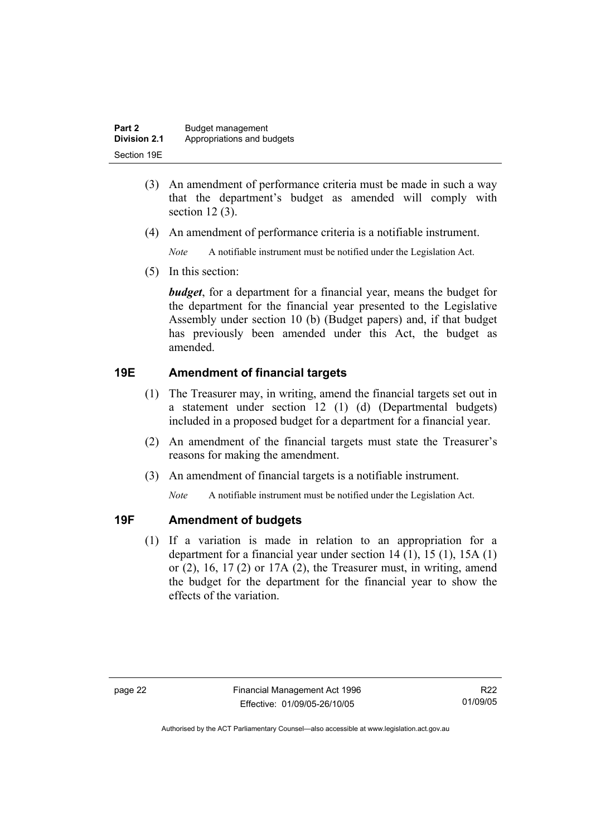| Part 2       | Budget management          |
|--------------|----------------------------|
| Division 2.1 | Appropriations and budgets |
| Section 19E  |                            |

- (3) An amendment of performance criteria must be made in such a way that the department's budget as amended will comply with section 12 (3).
- (4) An amendment of performance criteria is a notifiable instrument.

*Note* A notifiable instrument must be notified under the Legislation Act.

(5) In this section:

*budget*, for a department for a financial year, means the budget for the department for the financial year presented to the Legislative Assembly under section 10 (b) (Budget papers) and, if that budget has previously been amended under this Act, the budget as amended.

# **19E Amendment of financial targets**

- (1) The Treasurer may, in writing, amend the financial targets set out in a statement under section 12 (1) (d) (Departmental budgets) included in a proposed budget for a department for a financial year.
- (2) An amendment of the financial targets must state the Treasurer's reasons for making the amendment.
- (3) An amendment of financial targets is a notifiable instrument.

*Note* A notifiable instrument must be notified under the Legislation Act.

## **19F Amendment of budgets**

 (1) If a variation is made in relation to an appropriation for a department for a financial year under section 14 (1), 15 (1), 15A (1) or  $(2)$ ,  $16$ ,  $17(2)$  or  $17A(2)$ , the Treasurer must, in writing, amend the budget for the department for the financial year to show the effects of the variation.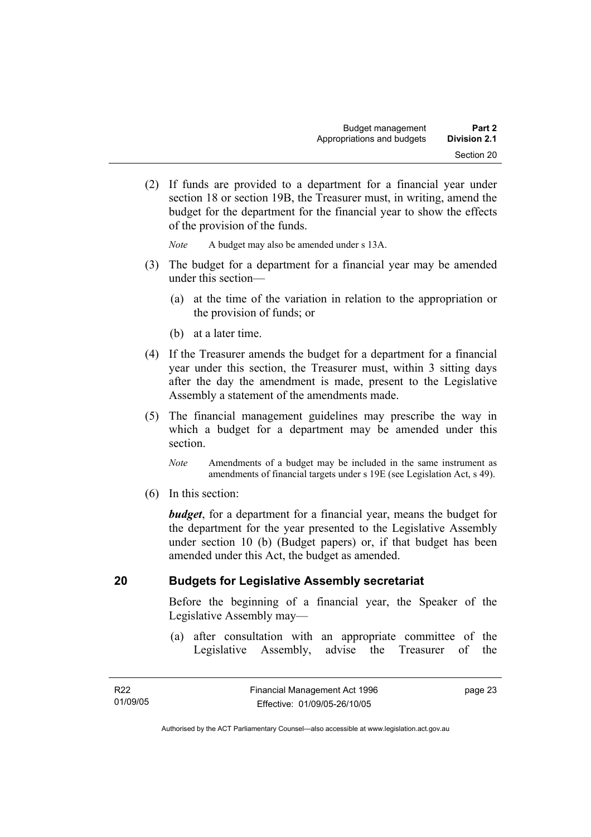(2) If funds are provided to a department for a financial year under section 18 or section 19B, the Treasurer must, in writing, amend the budget for the department for the financial year to show the effects of the provision of the funds.

*Note* A budget may also be amended under s 13A.

- (3) The budget for a department for a financial year may be amended under this section—
	- (a) at the time of the variation in relation to the appropriation or the provision of funds; or
	- (b) at a later time.
- (4) If the Treasurer amends the budget for a department for a financial year under this section, the Treasurer must, within 3 sitting days after the day the amendment is made, present to the Legislative Assembly a statement of the amendments made.
- (5) The financial management guidelines may prescribe the way in which a budget for a department may be amended under this section.
	- *Note* Amendments of a budget may be included in the same instrument as amendments of financial targets under s 19E (see Legislation Act, s 49).
- (6) In this section:

*budget*, for a department for a financial year, means the budget for the department for the year presented to the Legislative Assembly under section 10 (b) (Budget papers) or, if that budget has been amended under this Act, the budget as amended.

#### **20 Budgets for Legislative Assembly secretariat**

Before the beginning of a financial year, the Speaker of the Legislative Assembly may—

 (a) after consultation with an appropriate committee of the Legislative Assembly, advise the Treasurer of the

page 23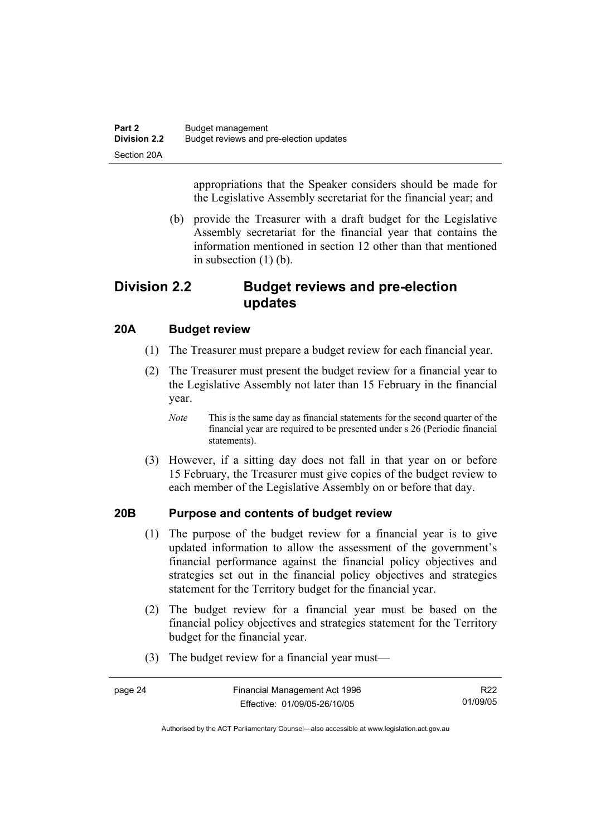appropriations that the Speaker considers should be made for the Legislative Assembly secretariat for the financial year; and

 (b) provide the Treasurer with a draft budget for the Legislative Assembly secretariat for the financial year that contains the information mentioned in section 12 other than that mentioned in subsection (1) (b).

# **Division 2.2 Budget reviews and pre-election updates**

## **20A Budget review**

- (1) The Treasurer must prepare a budget review for each financial year.
- (2) The Treasurer must present the budget review for a financial year to the Legislative Assembly not later than 15 February in the financial year.
	- *Note* This is the same day as financial statements for the second quarter of the financial year are required to be presented under s 26 (Periodic financial statements).
- (3) However, if a sitting day does not fall in that year on or before 15 February, the Treasurer must give copies of the budget review to each member of the Legislative Assembly on or before that day.

## **20B Purpose and contents of budget review**

- (1) The purpose of the budget review for a financial year is to give updated information to allow the assessment of the government's financial performance against the financial policy objectives and strategies set out in the financial policy objectives and strategies statement for the Territory budget for the financial year.
- (2) The budget review for a financial year must be based on the financial policy objectives and strategies statement for the Territory budget for the financial year.
- (3) The budget review for a financial year must—

| page 24 | Financial Management Act 1996 | R22      |
|---------|-------------------------------|----------|
|         | Effective: 01/09/05-26/10/05  | 01/09/05 |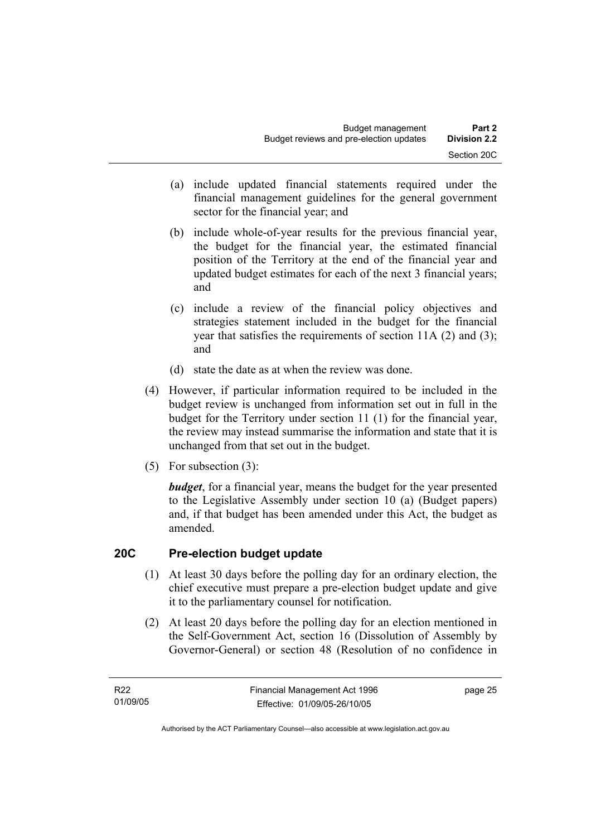- (a) include updated financial statements required under the financial management guidelines for the general government sector for the financial year; and
- (b) include whole-of-year results for the previous financial year, the budget for the financial year, the estimated financial position of the Territory at the end of the financial year and updated budget estimates for each of the next 3 financial years; and
- (c) include a review of the financial policy objectives and strategies statement included in the budget for the financial year that satisfies the requirements of section 11A (2) and (3); and
- (d) state the date as at when the review was done.
- (4) However, if particular information required to be included in the budget review is unchanged from information set out in full in the budget for the Territory under section 11 (1) for the financial year, the review may instead summarise the information and state that it is unchanged from that set out in the budget.
- (5) For subsection (3):

*budget*, for a financial year, means the budget for the year presented to the Legislative Assembly under section 10 (a) (Budget papers) and, if that budget has been amended under this Act, the budget as amended.

## **20C Pre-election budget update**

- (1) At least 30 days before the polling day for an ordinary election, the chief executive must prepare a pre-election budget update and give it to the parliamentary counsel for notification.
- (2) At least 20 days before the polling day for an election mentioned in the Self-Government Act, section 16 (Dissolution of Assembly by Governor-General) or section 48 (Resolution of no confidence in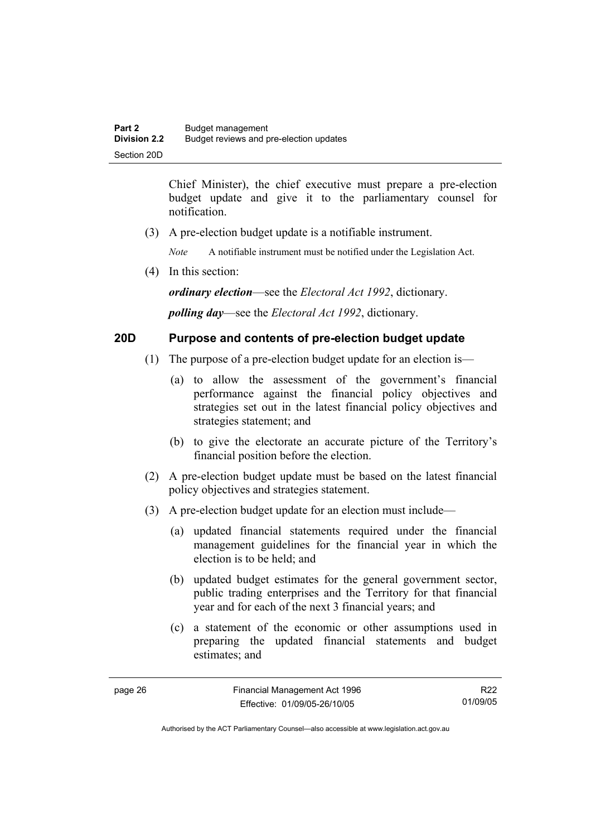Chief Minister), the chief executive must prepare a pre-election budget update and give it to the parliamentary counsel for notification.

(3) A pre-election budget update is a notifiable instrument.

*Note* A notifiable instrument must be notified under the Legislation Act.

(4) In this section:

*ordinary election*—see the *Electoral Act 1992*, dictionary.

*polling day*—see the *Electoral Act 1992*, dictionary.

#### **20D Purpose and contents of pre-election budget update**

- (1) The purpose of a pre-election budget update for an election is—
	- (a) to allow the assessment of the government's financial performance against the financial policy objectives and strategies set out in the latest financial policy objectives and strategies statement; and
	- (b) to give the electorate an accurate picture of the Territory's financial position before the election.
- (2) A pre-election budget update must be based on the latest financial policy objectives and strategies statement.
- (3) A pre-election budget update for an election must include—
	- (a) updated financial statements required under the financial management guidelines for the financial year in which the election is to be held; and
	- (b) updated budget estimates for the general government sector, public trading enterprises and the Territory for that financial year and for each of the next 3 financial years; and
	- (c) a statement of the economic or other assumptions used in preparing the updated financial statements and budget estimates; and

R22 01/09/05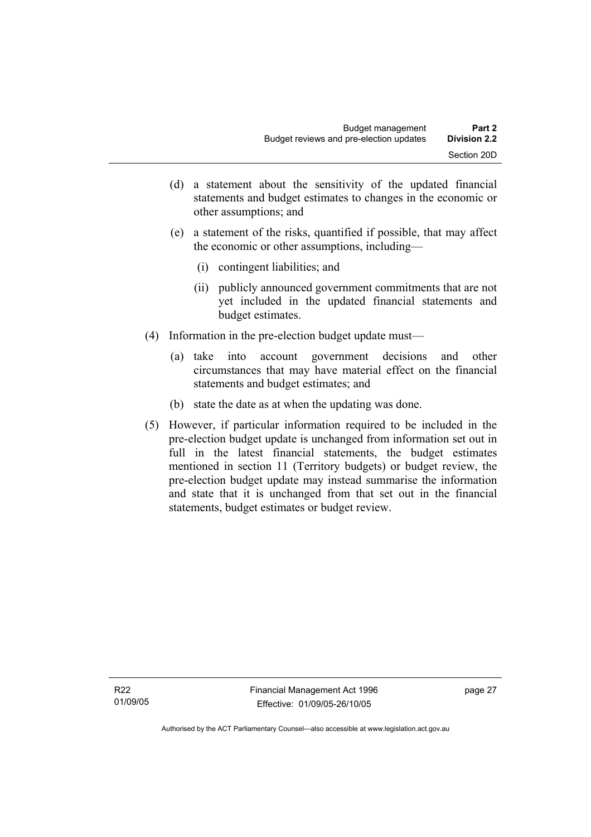- (d) a statement about the sensitivity of the updated financial statements and budget estimates to changes in the economic or other assumptions; and
- (e) a statement of the risks, quantified if possible, that may affect the economic or other assumptions, including—
	- (i) contingent liabilities; and
	- (ii) publicly announced government commitments that are not yet included in the updated financial statements and budget estimates.
- (4) Information in the pre-election budget update must—
	- (a) take into account government decisions and other circumstances that may have material effect on the financial statements and budget estimates; and
	- (b) state the date as at when the updating was done.
- (5) However, if particular information required to be included in the pre-election budget update is unchanged from information set out in full in the latest financial statements, the budget estimates mentioned in section 11 (Territory budgets) or budget review, the pre-election budget update may instead summarise the information and state that it is unchanged from that set out in the financial statements, budget estimates or budget review.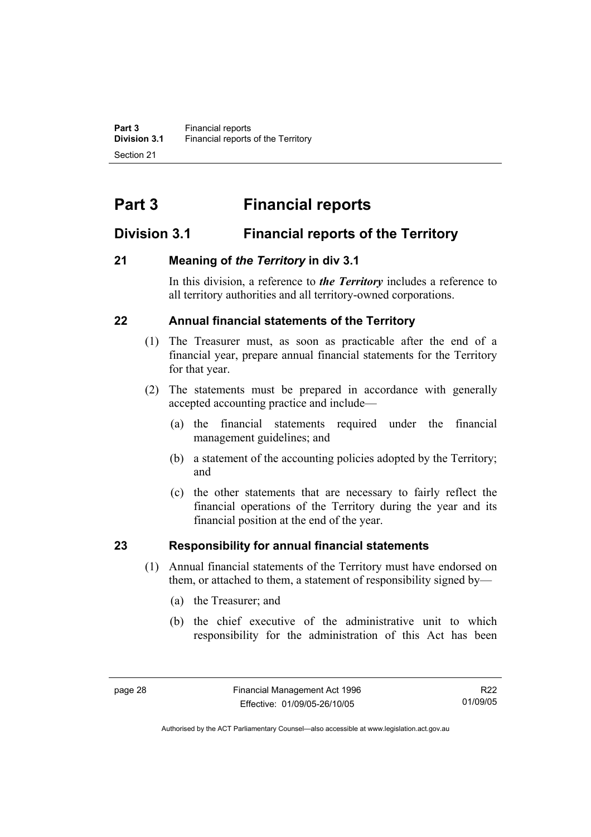# **Part 3 Financial reports**

# **Division 3.1 Financial reports of the Territory**

# **21 Meaning of** *the Territory* **in div 3.1**

In this division, a reference to *the Territory* includes a reference to all territory authorities and all territory-owned corporations.

# **22 Annual financial statements of the Territory**

- (1) The Treasurer must, as soon as practicable after the end of a financial year, prepare annual financial statements for the Territory for that year.
- (2) The statements must be prepared in accordance with generally accepted accounting practice and include—
	- (a) the financial statements required under the financial management guidelines; and
	- (b) a statement of the accounting policies adopted by the Territory; and
	- (c) the other statements that are necessary to fairly reflect the financial operations of the Territory during the year and its financial position at the end of the year.

# **23 Responsibility for annual financial statements**

- (1) Annual financial statements of the Territory must have endorsed on them, or attached to them, a statement of responsibility signed by—
	- (a) the Treasurer; and
	- (b) the chief executive of the administrative unit to which responsibility for the administration of this Act has been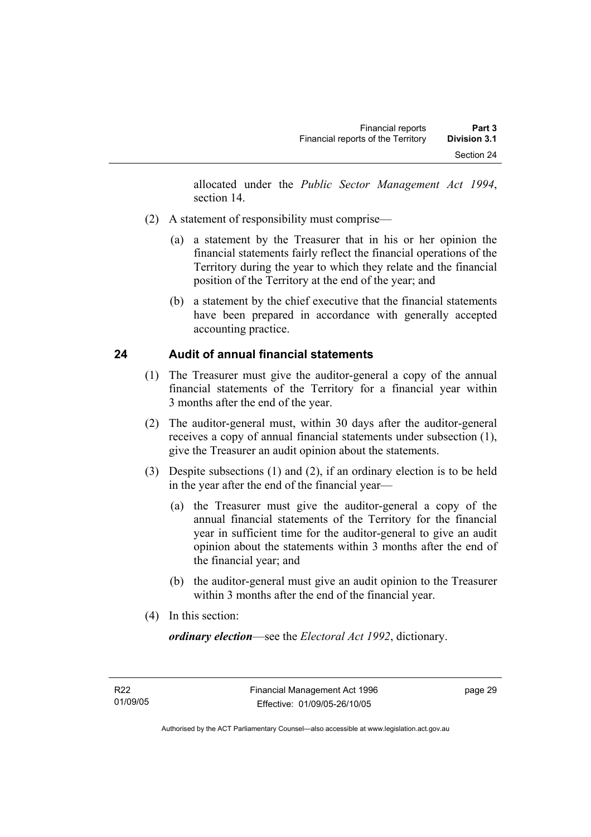allocated under the *Public Sector Management Act 1994*, section 14.

- (2) A statement of responsibility must comprise—
	- (a) a statement by the Treasurer that in his or her opinion the financial statements fairly reflect the financial operations of the Territory during the year to which they relate and the financial position of the Territory at the end of the year; and
	- (b) a statement by the chief executive that the financial statements have been prepared in accordance with generally accepted accounting practice.

## **24 Audit of annual financial statements**

- (1) The Treasurer must give the auditor-general a copy of the annual financial statements of the Territory for a financial year within 3 months after the end of the year.
- (2) The auditor-general must, within 30 days after the auditor-general receives a copy of annual financial statements under subsection (1), give the Treasurer an audit opinion about the statements.
- (3) Despite subsections (1) and (2), if an ordinary election is to be held in the year after the end of the financial year—
	- (a) the Treasurer must give the auditor-general a copy of the annual financial statements of the Territory for the financial year in sufficient time for the auditor-general to give an audit opinion about the statements within 3 months after the end of the financial year; and
	- (b) the auditor-general must give an audit opinion to the Treasurer within 3 months after the end of the financial year.
- (4) In this section:

*ordinary election*—see the *Electoral Act 1992*, dictionary.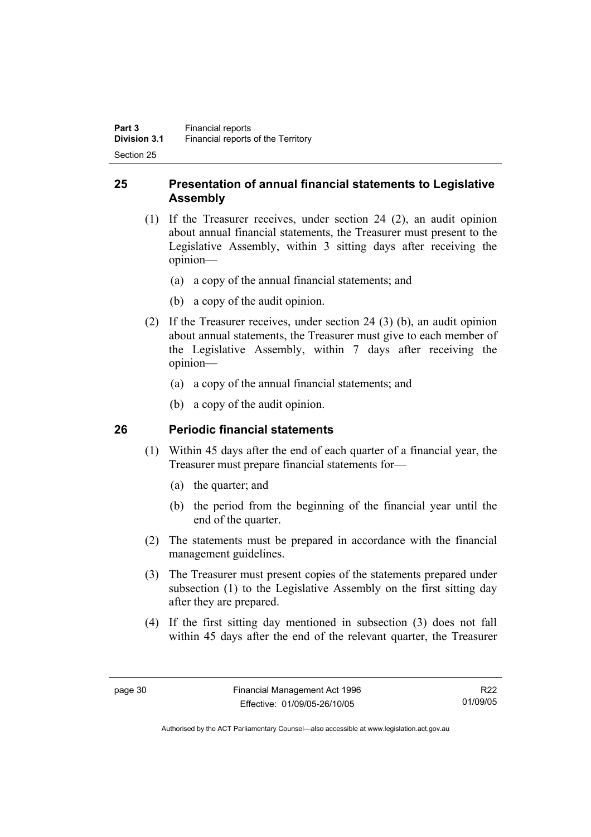## **25 Presentation of annual financial statements to Legislative Assembly**

- (1) If the Treasurer receives, under section 24 (2), an audit opinion about annual financial statements, the Treasurer must present to the Legislative Assembly, within 3 sitting days after receiving the opinion—
	- (a) a copy of the annual financial statements; and
	- (b) a copy of the audit opinion.
- (2) If the Treasurer receives, under section 24 (3) (b), an audit opinion about annual statements, the Treasurer must give to each member of the Legislative Assembly, within 7 days after receiving the opinion—
	- (a) a copy of the annual financial statements; and
	- (b) a copy of the audit opinion.

## **26 Periodic financial statements**

- (1) Within 45 days after the end of each quarter of a financial year, the Treasurer must prepare financial statements for—
	- (a) the quarter; and
	- (b) the period from the beginning of the financial year until the end of the quarter.
- (2) The statements must be prepared in accordance with the financial management guidelines.
- (3) The Treasurer must present copies of the statements prepared under subsection (1) to the Legislative Assembly on the first sitting day after they are prepared.
- (4) If the first sitting day mentioned in subsection (3) does not fall within 45 days after the end of the relevant quarter, the Treasurer

R22 01/09/05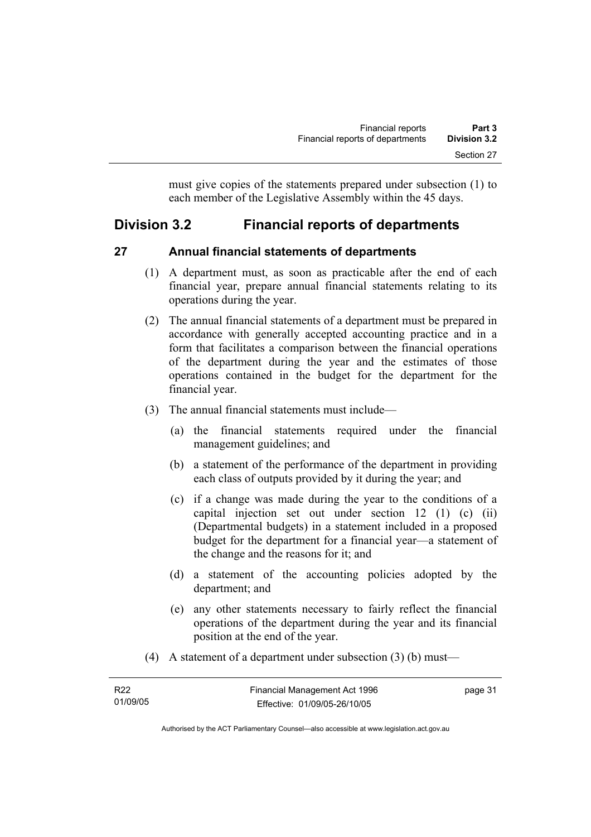must give copies of the statements prepared under subsection (1) to each member of the Legislative Assembly within the 45 days.

# **Division 3.2 Financial reports of departments**

## **27 Annual financial statements of departments**

- (1) A department must, as soon as practicable after the end of each financial year, prepare annual financial statements relating to its operations during the year.
- (2) The annual financial statements of a department must be prepared in accordance with generally accepted accounting practice and in a form that facilitates a comparison between the financial operations of the department during the year and the estimates of those operations contained in the budget for the department for the financial year.
- (3) The annual financial statements must include—
	- (a) the financial statements required under the financial management guidelines; and
	- (b) a statement of the performance of the department in providing each class of outputs provided by it during the year; and
	- (c) if a change was made during the year to the conditions of a capital injection set out under section 12 (1) (c) (ii) (Departmental budgets) in a statement included in a proposed budget for the department for a financial year—a statement of the change and the reasons for it; and
	- (d) a statement of the accounting policies adopted by the department; and
	- (e) any other statements necessary to fairly reflect the financial operations of the department during the year and its financial position at the end of the year.
- (4) A statement of a department under subsection (3) (b) must—

| R <sub>22</sub> | Financial Management Act 1996 | page 31 |
|-----------------|-------------------------------|---------|
| 01/09/05        | Effective: 01/09/05-26/10/05  |         |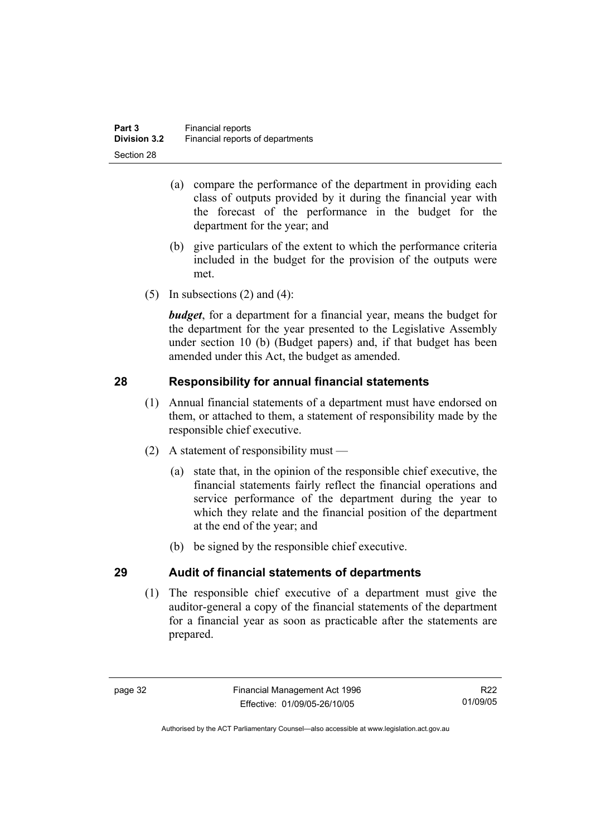- (a) compare the performance of the department in providing each class of outputs provided by it during the financial year with the forecast of the performance in the budget for the department for the year; and
- (b) give particulars of the extent to which the performance criteria included in the budget for the provision of the outputs were met.
- (5) In subsections  $(2)$  and  $(4)$ :

*budget*, for a department for a financial year, means the budget for the department for the year presented to the Legislative Assembly under section 10 (b) (Budget papers) and, if that budget has been amended under this Act, the budget as amended.

# **28 Responsibility for annual financial statements**

- (1) Annual financial statements of a department must have endorsed on them, or attached to them, a statement of responsibility made by the responsible chief executive.
- (2) A statement of responsibility must
	- (a) state that, in the opinion of the responsible chief executive, the financial statements fairly reflect the financial operations and service performance of the department during the year to which they relate and the financial position of the department at the end of the year; and
	- (b) be signed by the responsible chief executive.

# **29 Audit of financial statements of departments**

 (1) The responsible chief executive of a department must give the auditor-general a copy of the financial statements of the department for a financial year as soon as practicable after the statements are prepared.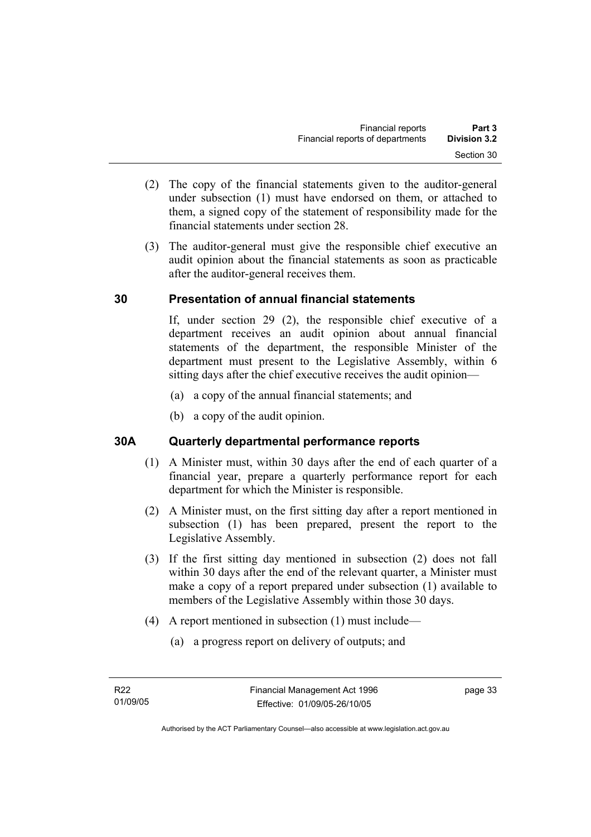- (2) The copy of the financial statements given to the auditor-general under subsection (1) must have endorsed on them, or attached to them, a signed copy of the statement of responsibility made for the financial statements under section 28.
- (3) The auditor-general must give the responsible chief executive an audit opinion about the financial statements as soon as practicable after the auditor-general receives them.

## **30 Presentation of annual financial statements**

If, under section 29 (2), the responsible chief executive of a department receives an audit opinion about annual financial statements of the department, the responsible Minister of the department must present to the Legislative Assembly, within 6 sitting days after the chief executive receives the audit opinion—

- (a) a copy of the annual financial statements; and
- (b) a copy of the audit opinion.

## **30A Quarterly departmental performance reports**

- (1) A Minister must, within 30 days after the end of each quarter of a financial year, prepare a quarterly performance report for each department for which the Minister is responsible.
- (2) A Minister must, on the first sitting day after a report mentioned in subsection (1) has been prepared, present the report to the Legislative Assembly.
- (3) If the first sitting day mentioned in subsection (2) does not fall within 30 days after the end of the relevant quarter, a Minister must make a copy of a report prepared under subsection (1) available to members of the Legislative Assembly within those 30 days.
- (4) A report mentioned in subsection (1) must include—
	- (a) a progress report on delivery of outputs; and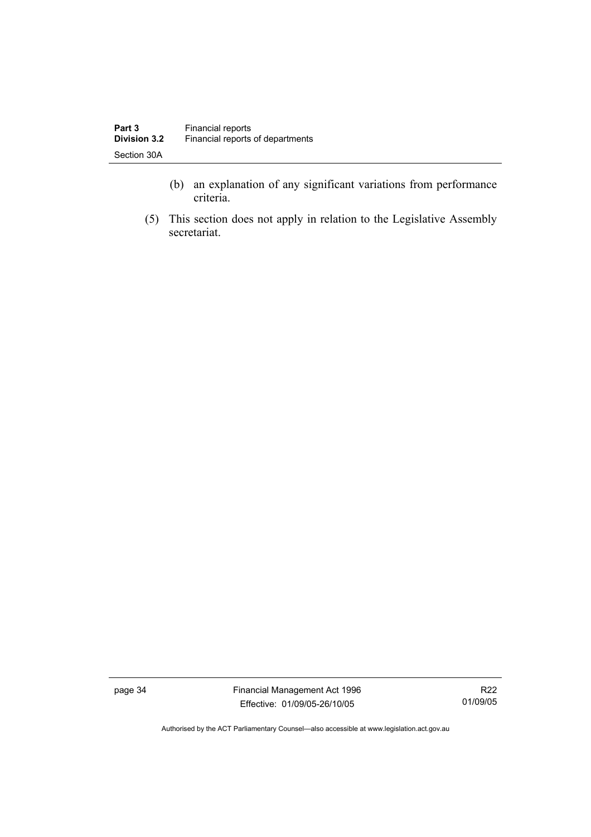- (b) an explanation of any significant variations from performance criteria.
- (5) This section does not apply in relation to the Legislative Assembly secretariat.

page 34 Financial Management Act 1996 Effective: 01/09/05-26/10/05

R22 01/09/05

Authorised by the ACT Parliamentary Counsel—also accessible at www.legislation.act.gov.au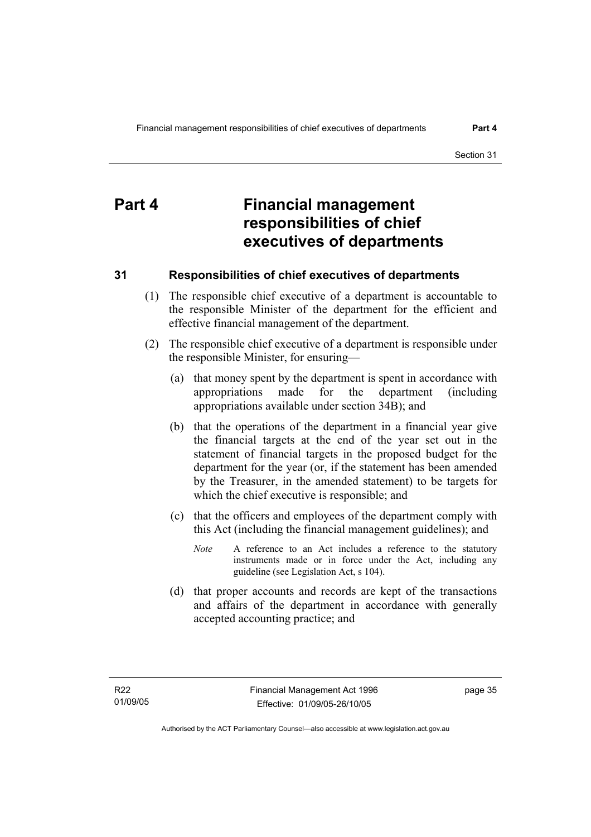# **Part 4 Financial management responsibilities of chief executives of departments**

## **31 Responsibilities of chief executives of departments**

- (1) The responsible chief executive of a department is accountable to the responsible Minister of the department for the efficient and effective financial management of the department.
- (2) The responsible chief executive of a department is responsible under the responsible Minister, for ensuring—
	- (a) that money spent by the department is spent in accordance with appropriations made for the department (including appropriations available under section 34B); and
	- (b) that the operations of the department in a financial year give the financial targets at the end of the year set out in the statement of financial targets in the proposed budget for the department for the year (or, if the statement has been amended by the Treasurer, in the amended statement) to be targets for which the chief executive is responsible; and
	- (c) that the officers and employees of the department comply with this Act (including the financial management guidelines); and
		- *Note* A reference to an Act includes a reference to the statutory instruments made or in force under the Act, including any guideline (see Legislation Act, s 104).
	- (d) that proper accounts and records are kept of the transactions and affairs of the department in accordance with generally accepted accounting practice; and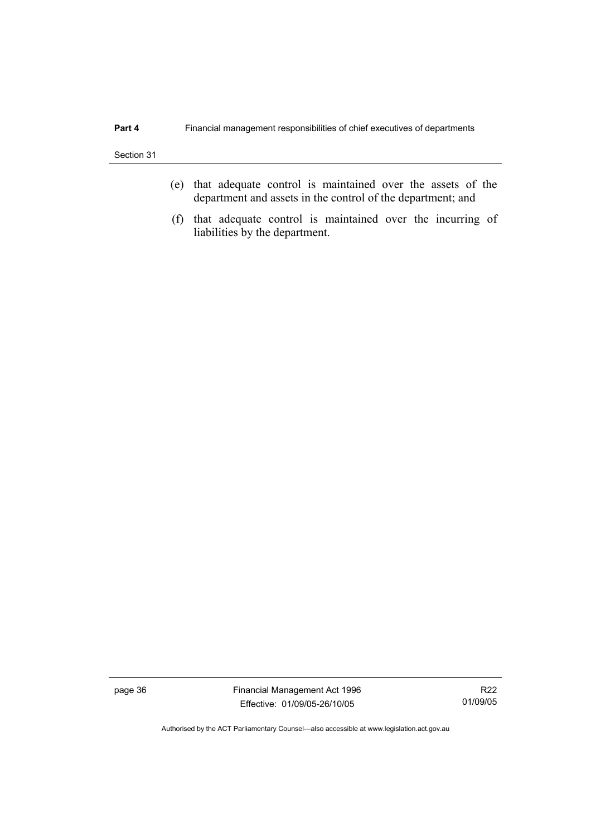- (e) that adequate control is maintained over the assets of the department and assets in the control of the department; and
- (f) that adequate control is maintained over the incurring of liabilities by the department.

page 36 Financial Management Act 1996 Effective: 01/09/05-26/10/05

R22 01/09/05

Authorised by the ACT Parliamentary Counsel—also accessible at www.legislation.act.gov.au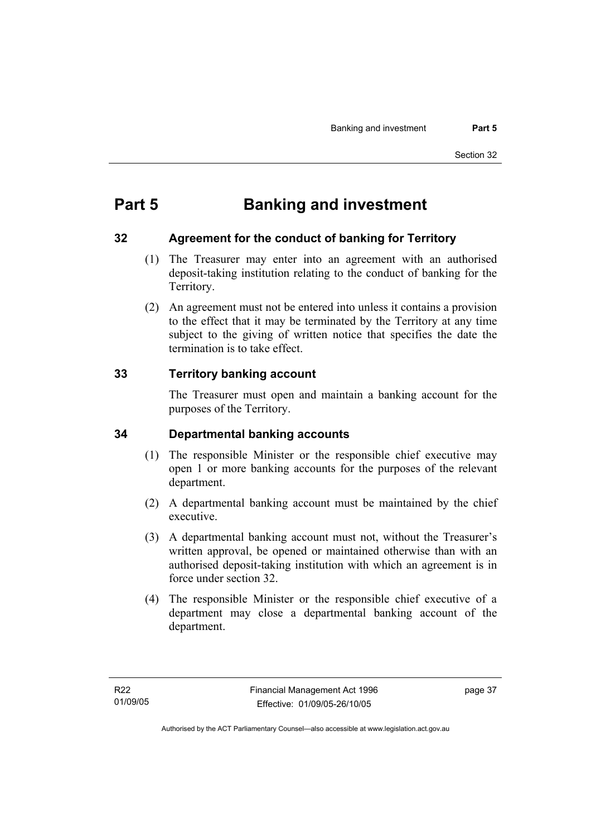# **Part 5 Banking and investment**

## **32 Agreement for the conduct of banking for Territory**

- (1) The Treasurer may enter into an agreement with an authorised deposit-taking institution relating to the conduct of banking for the Territory.
- (2) An agreement must not be entered into unless it contains a provision to the effect that it may be terminated by the Territory at any time subject to the giving of written notice that specifies the date the termination is to take effect.

## **33 Territory banking account**

The Treasurer must open and maintain a banking account for the purposes of the Territory.

## **34 Departmental banking accounts**

- (1) The responsible Minister or the responsible chief executive may open 1 or more banking accounts for the purposes of the relevant department.
- (2) A departmental banking account must be maintained by the chief executive.
- (3) A departmental banking account must not, without the Treasurer's written approval, be opened or maintained otherwise than with an authorised deposit-taking institution with which an agreement is in force under section 32.
- (4) The responsible Minister or the responsible chief executive of a department may close a departmental banking account of the department.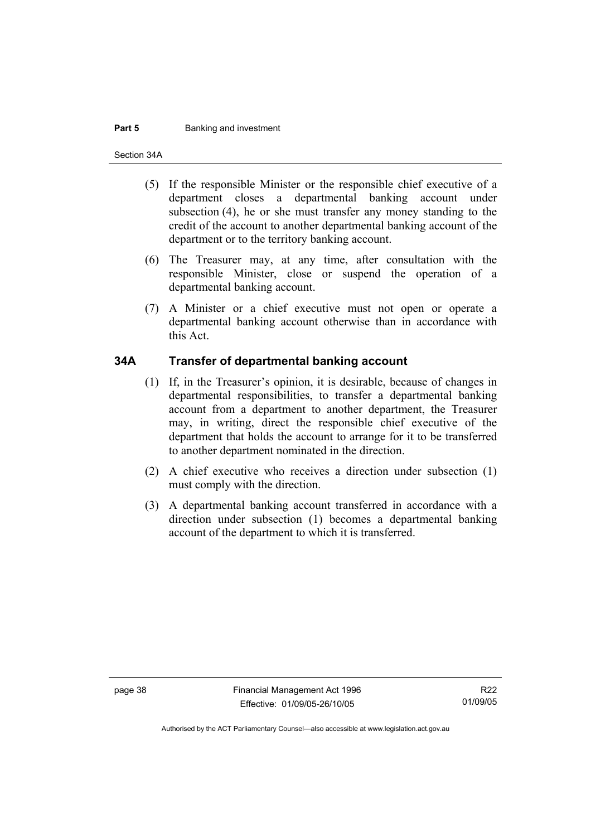#### **Part 5 Banking and investment**

Section 34A

- (5) If the responsible Minister or the responsible chief executive of a department closes a departmental banking account under subsection (4), he or she must transfer any money standing to the credit of the account to another departmental banking account of the department or to the territory banking account.
- (6) The Treasurer may, at any time, after consultation with the responsible Minister, close or suspend the operation of a departmental banking account.
- (7) A Minister or a chief executive must not open or operate a departmental banking account otherwise than in accordance with this Act.

#### **34A Transfer of departmental banking account**

- (1) If, in the Treasurer's opinion, it is desirable, because of changes in departmental responsibilities, to transfer a departmental banking account from a department to another department, the Treasurer may, in writing, direct the responsible chief executive of the department that holds the account to arrange for it to be transferred to another department nominated in the direction.
- (2) A chief executive who receives a direction under subsection (1) must comply with the direction.
- (3) A departmental banking account transferred in accordance with a direction under subsection (1) becomes a departmental banking account of the department to which it is transferred.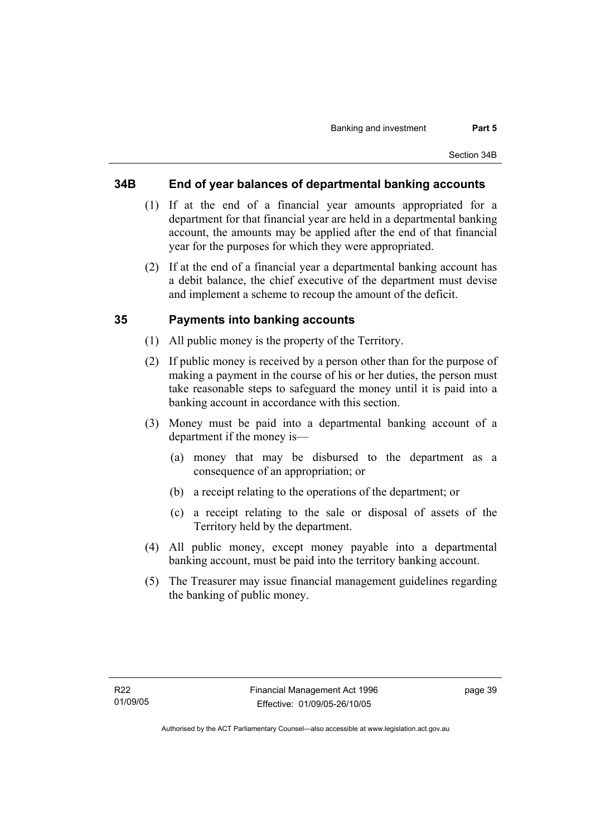#### **34B End of year balances of departmental banking accounts**

- (1) If at the end of a financial year amounts appropriated for a department for that financial year are held in a departmental banking account, the amounts may be applied after the end of that financial year for the purposes for which they were appropriated.
- (2) If at the end of a financial year a departmental banking account has a debit balance, the chief executive of the department must devise and implement a scheme to recoup the amount of the deficit.

#### **35 Payments into banking accounts**

- (1) All public money is the property of the Territory.
- (2) If public money is received by a person other than for the purpose of making a payment in the course of his or her duties, the person must take reasonable steps to safeguard the money until it is paid into a banking account in accordance with this section.
- (3) Money must be paid into a departmental banking account of a department if the money is—
	- (a) money that may be disbursed to the department as a consequence of an appropriation; or
	- (b) a receipt relating to the operations of the department; or
	- (c) a receipt relating to the sale or disposal of assets of the Territory held by the department.
- (4) All public money, except money payable into a departmental banking account, must be paid into the territory banking account.
- (5) The Treasurer may issue financial management guidelines regarding the banking of public money.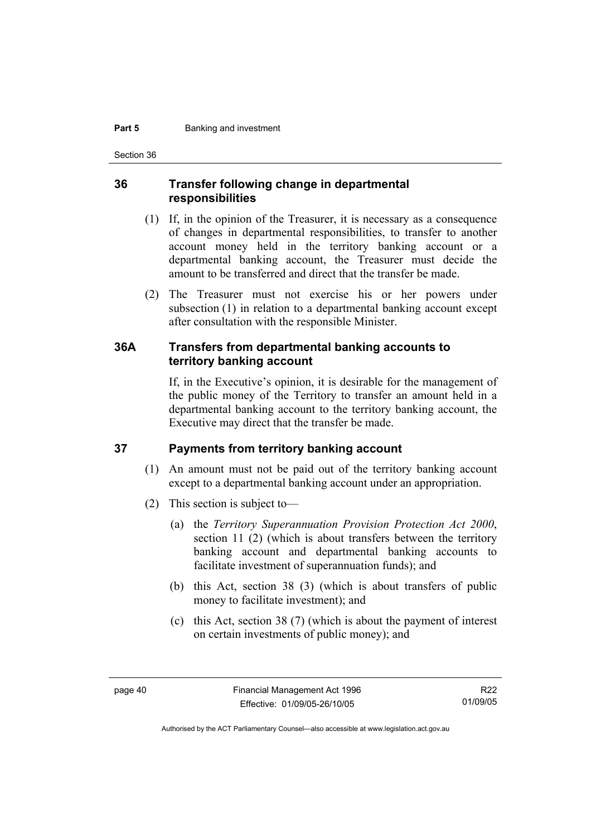#### **Part 5 Banking and investment**

Section 36

#### **36 Transfer following change in departmental responsibilities**

- (1) If, in the opinion of the Treasurer, it is necessary as a consequence of changes in departmental responsibilities, to transfer to another account money held in the territory banking account or a departmental banking account, the Treasurer must decide the amount to be transferred and direct that the transfer be made.
- (2) The Treasurer must not exercise his or her powers under subsection (1) in relation to a departmental banking account except after consultation with the responsible Minister.

#### **36A Transfers from departmental banking accounts to territory banking account**

If, in the Executive's opinion, it is desirable for the management of the public money of the Territory to transfer an amount held in a departmental banking account to the territory banking account, the Executive may direct that the transfer be made.

#### **37 Payments from territory banking account**

- (1) An amount must not be paid out of the territory banking account except to a departmental banking account under an appropriation.
- (2) This section is subject to—
	- (a) the *Territory Superannuation Provision Protection Act 2000*, section 11 (2) (which is about transfers between the territory banking account and departmental banking accounts to facilitate investment of superannuation funds); and
	- (b) this Act, section 38 (3) (which is about transfers of public money to facilitate investment); and
	- (c) this Act, section 38 (7) (which is about the payment of interest on certain investments of public money); and

Authorised by the ACT Parliamentary Counsel—also accessible at www.legislation.act.gov.au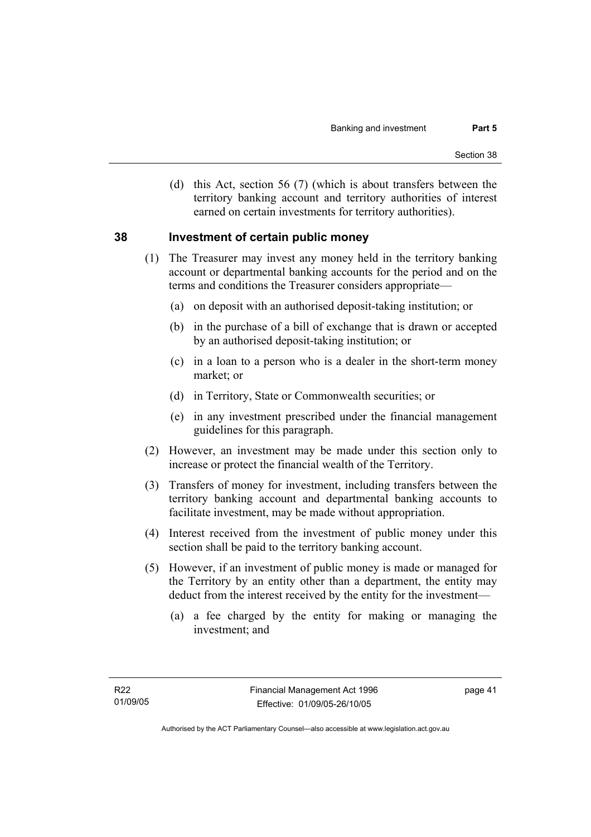(d) this Act, section 56 (7) (which is about transfers between the territory banking account and territory authorities of interest earned on certain investments for territory authorities).

#### **38 Investment of certain public money**

- (1) The Treasurer may invest any money held in the territory banking account or departmental banking accounts for the period and on the terms and conditions the Treasurer considers appropriate—
	- (a) on deposit with an authorised deposit-taking institution; or
	- (b) in the purchase of a bill of exchange that is drawn or accepted by an authorised deposit-taking institution; or
	- (c) in a loan to a person who is a dealer in the short-term money market; or
	- (d) in Territory, State or Commonwealth securities; or
	- (e) in any investment prescribed under the financial management guidelines for this paragraph.
- (2) However, an investment may be made under this section only to increase or protect the financial wealth of the Territory.
- (3) Transfers of money for investment, including transfers between the territory banking account and departmental banking accounts to facilitate investment, may be made without appropriation.
- (4) Interest received from the investment of public money under this section shall be paid to the territory banking account.
- (5) However, if an investment of public money is made or managed for the Territory by an entity other than a department, the entity may deduct from the interest received by the entity for the investment—
	- (a) a fee charged by the entity for making or managing the investment; and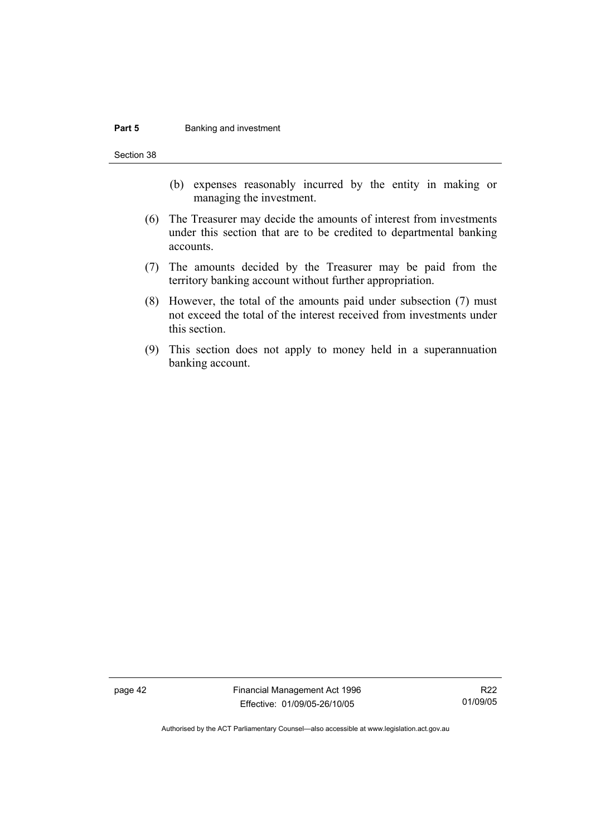#### **Part 5 Banking and investment**

Section 38

- (b) expenses reasonably incurred by the entity in making or managing the investment.
- (6) The Treasurer may decide the amounts of interest from investments under this section that are to be credited to departmental banking accounts.
- (7) The amounts decided by the Treasurer may be paid from the territory banking account without further appropriation.
- (8) However, the total of the amounts paid under subsection (7) must not exceed the total of the interest received from investments under this section.
- (9) This section does not apply to money held in a superannuation banking account.

page 42 Financial Management Act 1996 Effective: 01/09/05-26/10/05

R22 01/09/05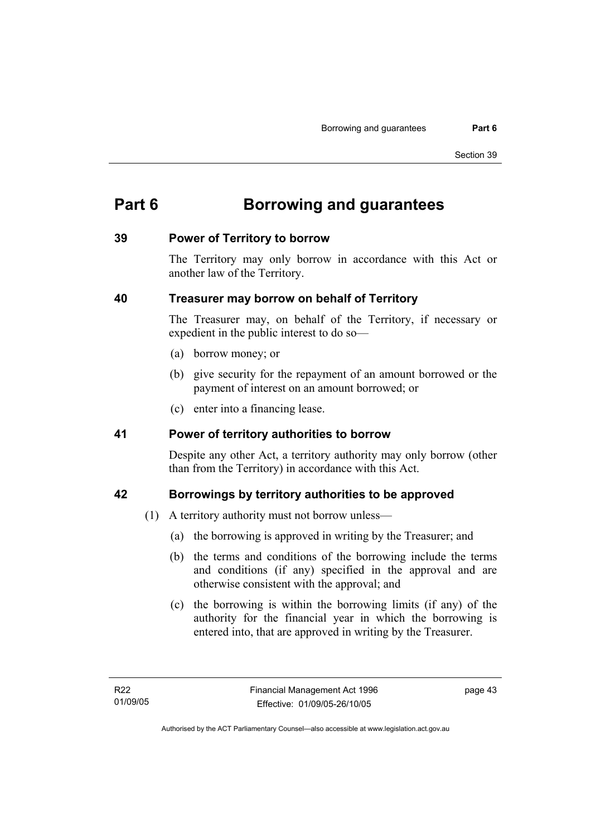# **Part 6 Borrowing and guarantees**

#### **39 Power of Territory to borrow**

The Territory may only borrow in accordance with this Act or another law of the Territory.

#### **40 Treasurer may borrow on behalf of Territory**

The Treasurer may, on behalf of the Territory, if necessary or expedient in the public interest to do so—

- (a) borrow money; or
- (b) give security for the repayment of an amount borrowed or the payment of interest on an amount borrowed; or
- (c) enter into a financing lease.

#### **41 Power of territory authorities to borrow**

Despite any other Act, a territory authority may only borrow (other than from the Territory) in accordance with this Act.

#### **42 Borrowings by territory authorities to be approved**

- (1) A territory authority must not borrow unless—
	- (a) the borrowing is approved in writing by the Treasurer; and
	- (b) the terms and conditions of the borrowing include the terms and conditions (if any) specified in the approval and are otherwise consistent with the approval; and
	- (c) the borrowing is within the borrowing limits (if any) of the authority for the financial year in which the borrowing is entered into, that are approved in writing by the Treasurer.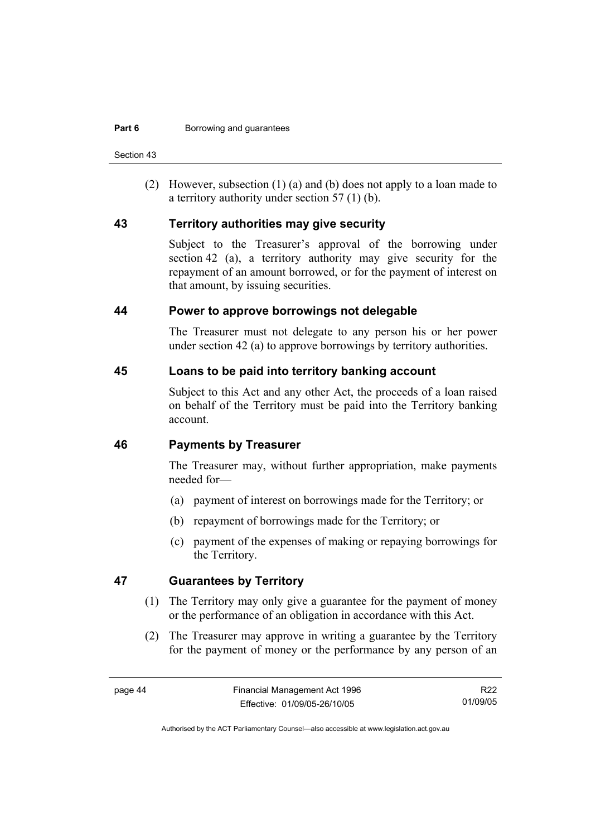Section 43

 (2) However, subsection (1) (a) and (b) does not apply to a loan made to a territory authority under section 57 (1) (b).

#### **43 Territory authorities may give security**

Subject to the Treasurer's approval of the borrowing under section 42 (a), a territory authority may give security for the repayment of an amount borrowed, or for the payment of interest on that amount, by issuing securities.

#### **44 Power to approve borrowings not delegable**

The Treasurer must not delegate to any person his or her power under section 42 (a) to approve borrowings by territory authorities.

#### **45 Loans to be paid into territory banking account**

Subject to this Act and any other Act, the proceeds of a loan raised on behalf of the Territory must be paid into the Territory banking account.

#### **46 Payments by Treasurer**

The Treasurer may, without further appropriation, make payments needed for—

- (a) payment of interest on borrowings made for the Territory; or
- (b) repayment of borrowings made for the Territory; or
- (c) payment of the expenses of making or repaying borrowings for the Territory.

## **47 Guarantees by Territory**

- (1) The Territory may only give a guarantee for the payment of money or the performance of an obligation in accordance with this Act.
- (2) The Treasurer may approve in writing a guarantee by the Territory for the payment of money or the performance by any person of an

R22 01/09/05

Authorised by the ACT Parliamentary Counsel—also accessible at www.legislation.act.gov.au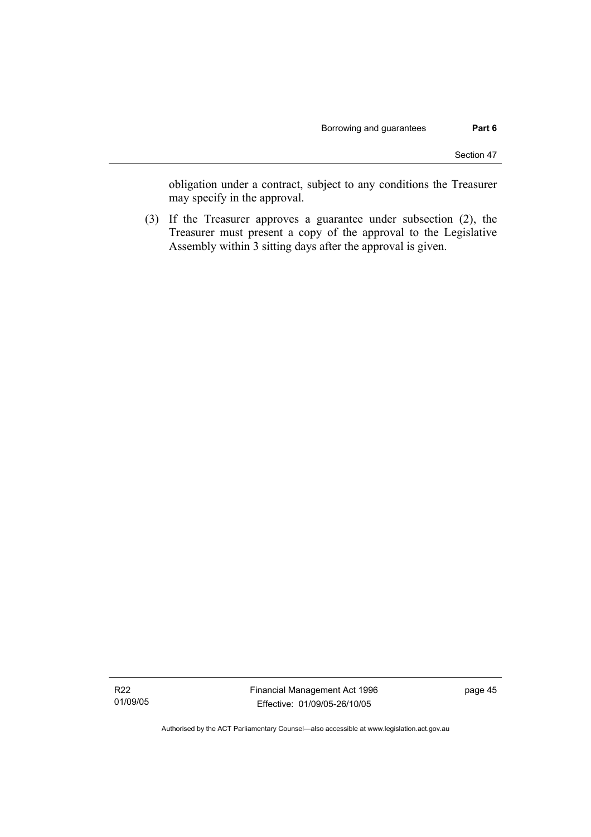obligation under a contract, subject to any conditions the Treasurer may specify in the approval.

 (3) If the Treasurer approves a guarantee under subsection (2), the Treasurer must present a copy of the approval to the Legislative Assembly within 3 sitting days after the approval is given.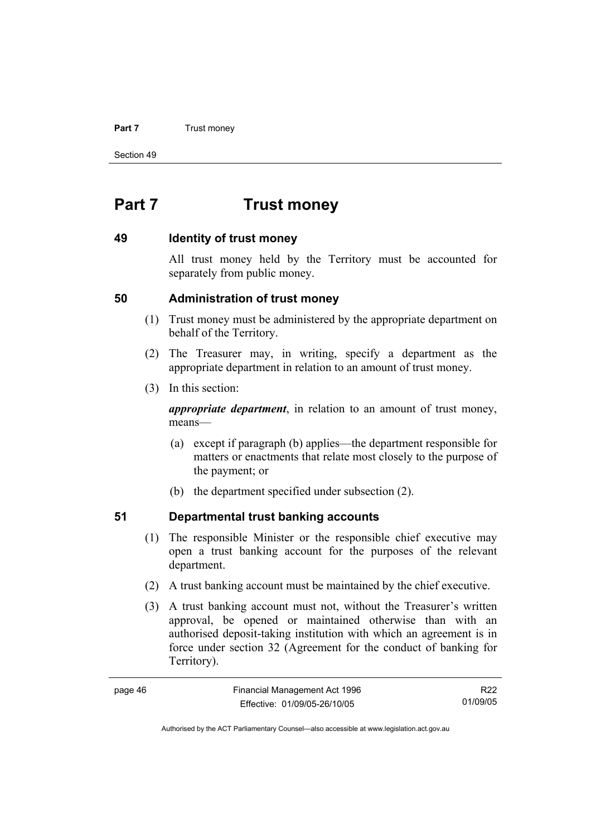#### **Part 7 Trust money**

Section 49

# **Part 7 Trust money**

#### **49 Identity of trust money**

All trust money held by the Territory must be accounted for separately from public money.

#### **50 Administration of trust money**

- (1) Trust money must be administered by the appropriate department on behalf of the Territory.
- (2) The Treasurer may, in writing, specify a department as the appropriate department in relation to an amount of trust money.
- (3) In this section:

*appropriate department*, in relation to an amount of trust money, means—

- (a) except if paragraph (b) applies—the department responsible for matters or enactments that relate most closely to the purpose of the payment; or
- (b) the department specified under subsection (2).

## **51 Departmental trust banking accounts**

- (1) The responsible Minister or the responsible chief executive may open a trust banking account for the purposes of the relevant department.
- (2) A trust banking account must be maintained by the chief executive.
- (3) A trust banking account must not, without the Treasurer's written approval, be opened or maintained otherwise than with an authorised deposit-taking institution with which an agreement is in force under section 32 (Agreement for the conduct of banking for Territory).

| page 46 | Financial Management Act 1996 | R <sub>22</sub> |
|---------|-------------------------------|-----------------|
|         | Effective: 01/09/05-26/10/05  | 01/09/05        |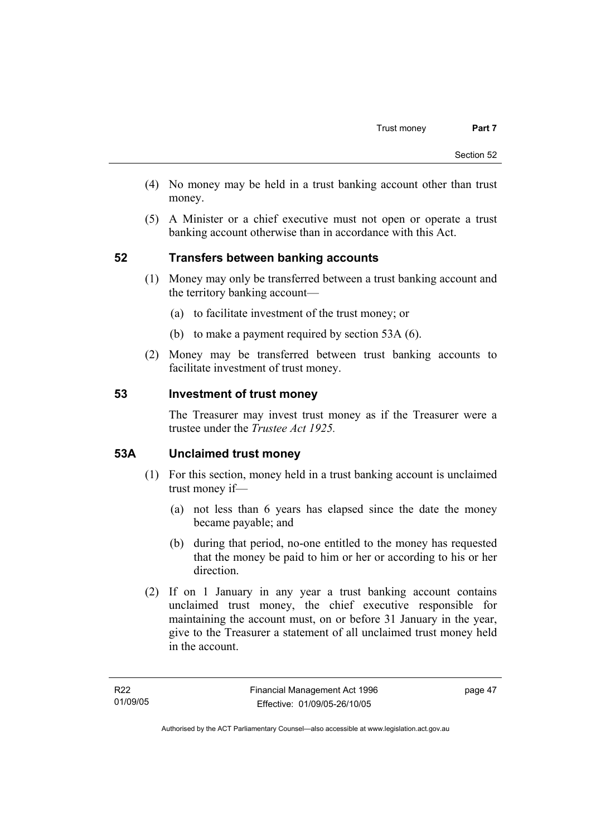- (4) No money may be held in a trust banking account other than trust money.
- (5) A Minister or a chief executive must not open or operate a trust banking account otherwise than in accordance with this Act.

## **52 Transfers between banking accounts**

- (1) Money may only be transferred between a trust banking account and the territory banking account—
	- (a) to facilitate investment of the trust money; or
	- (b) to make a payment required by section 53A (6).
- (2) Money may be transferred between trust banking accounts to facilitate investment of trust money.

#### **53 Investment of trust money**

The Treasurer may invest trust money as if the Treasurer were a trustee under the *Trustee Act 1925.*

#### **53A Unclaimed trust money**

- (1) For this section, money held in a trust banking account is unclaimed trust money if—
	- (a) not less than 6 years has elapsed since the date the money became payable; and
	- (b) during that period, no-one entitled to the money has requested that the money be paid to him or her or according to his or her direction.
- (2) If on 1 January in any year a trust banking account contains unclaimed trust money, the chief executive responsible for maintaining the account must, on or before 31 January in the year, give to the Treasurer a statement of all unclaimed trust money held in the account.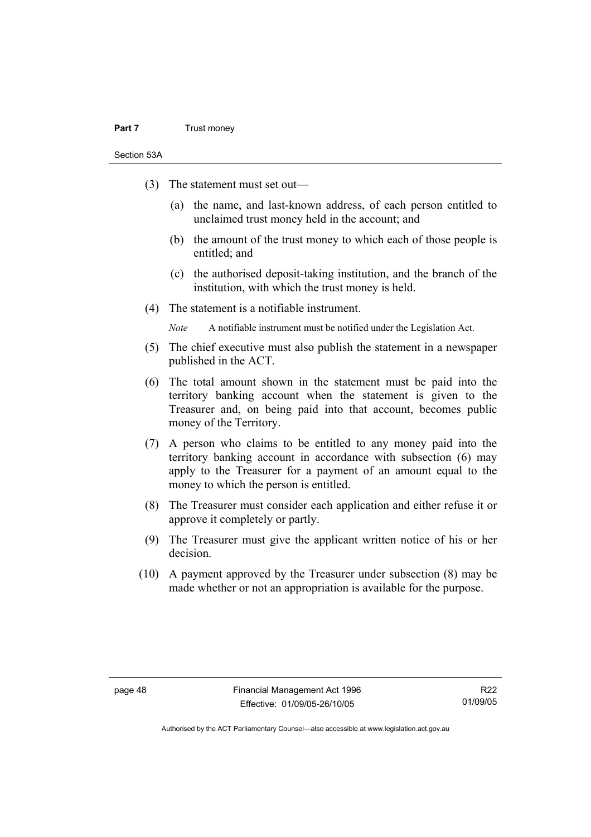#### **Part 7** Trust money

Section 53A

- (3) The statement must set out—
	- (a) the name, and last-known address, of each person entitled to unclaimed trust money held in the account; and
	- (b) the amount of the trust money to which each of those people is entitled; and
	- (c) the authorised deposit-taking institution, and the branch of the institution, with which the trust money is held.
- (4) The statement is a notifiable instrument.

*Note* A notifiable instrument must be notified under the Legislation Act.

- (5) The chief executive must also publish the statement in a newspaper published in the ACT.
- (6) The total amount shown in the statement must be paid into the territory banking account when the statement is given to the Treasurer and, on being paid into that account, becomes public money of the Territory.
- (7) A person who claims to be entitled to any money paid into the territory banking account in accordance with subsection (6) may apply to the Treasurer for a payment of an amount equal to the money to which the person is entitled.
- (8) The Treasurer must consider each application and either refuse it or approve it completely or partly.
- (9) The Treasurer must give the applicant written notice of his or her decision.
- (10) A payment approved by the Treasurer under subsection (8) may be made whether or not an appropriation is available for the purpose.

R22 01/09/05

Authorised by the ACT Parliamentary Counsel—also accessible at www.legislation.act.gov.au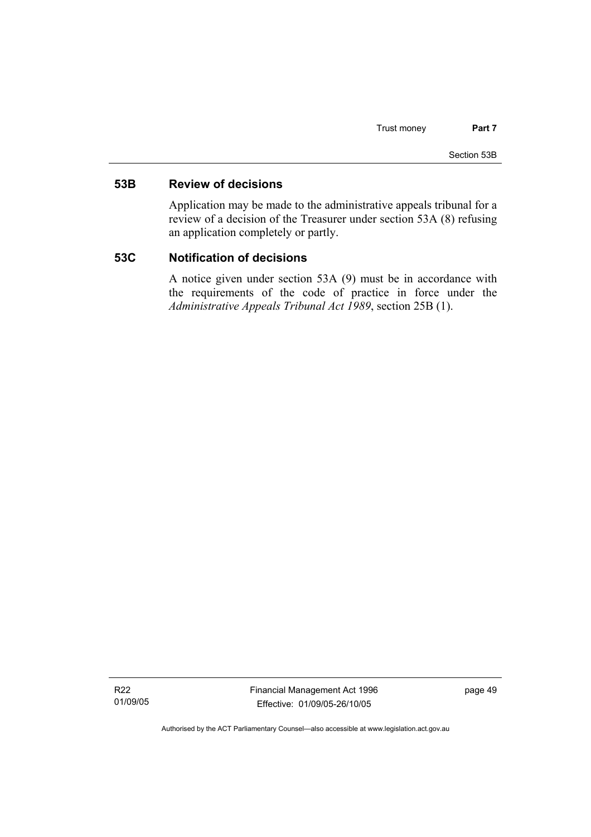#### **53B Review of decisions**

Application may be made to the administrative appeals tribunal for a review of a decision of the Treasurer under section 53A (8) refusing an application completely or partly.

#### **53C Notification of decisions**

A notice given under section 53A (9) must be in accordance with the requirements of the code of practice in force under the *Administrative Appeals Tribunal Act 1989*, section 25B (1).

R22 01/09/05 Financial Management Act 1996 Effective: 01/09/05-26/10/05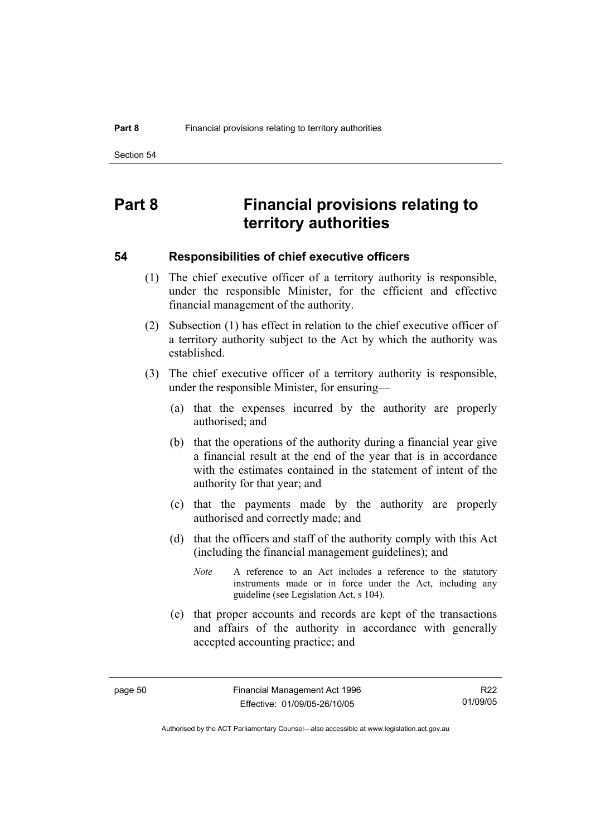# **Part 8 Financial provisions relating to territory authorities**

#### **54 Responsibilities of chief executive officers**

- (1) The chief executive officer of a territory authority is responsible, under the responsible Minister, for the efficient and effective financial management of the authority.
- (2) Subsection (1) has effect in relation to the chief executive officer of a territory authority subject to the Act by which the authority was established.
- (3) The chief executive officer of a territory authority is responsible, under the responsible Minister, for ensuring—
	- (a) that the expenses incurred by the authority are properly authorised; and
	- (b) that the operations of the authority during a financial year give a financial result at the end of the year that is in accordance with the estimates contained in the statement of intent of the authority for that year; and
	- (c) that the payments made by the authority are properly authorised and correctly made; and
	- (d) that the officers and staff of the authority comply with this Act (including the financial management guidelines); and
		- *Note* A reference to an Act includes a reference to the statutory instruments made or in force under the Act, including any guideline (see Legislation Act, s 104).
	- (e) that proper accounts and records are kept of the transactions and affairs of the authority in accordance with generally accepted accounting practice; and

R22 01/09/05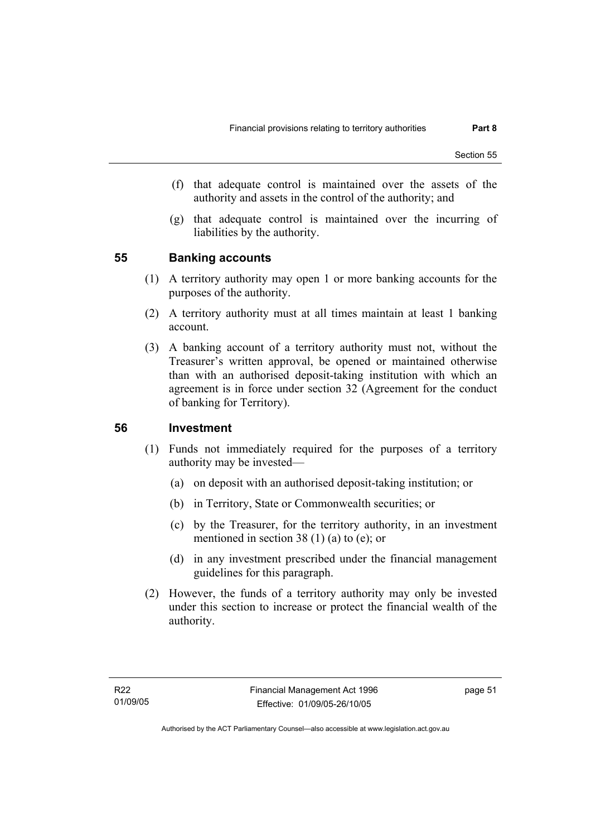- (f) that adequate control is maintained over the assets of the authority and assets in the control of the authority; and
- (g) that adequate control is maintained over the incurring of liabilities by the authority.

#### **55 Banking accounts**

- (1) A territory authority may open 1 or more banking accounts for the purposes of the authority.
- (2) A territory authority must at all times maintain at least 1 banking account.
- (3) A banking account of a territory authority must not, without the Treasurer's written approval, be opened or maintained otherwise than with an authorised deposit-taking institution with which an agreement is in force under section 32 (Agreement for the conduct of banking for Territory).

#### **56 Investment**

- (1) Funds not immediately required for the purposes of a territory authority may be invested—
	- (a) on deposit with an authorised deposit-taking institution; or
	- (b) in Territory, State or Commonwealth securities; or
	- (c) by the Treasurer, for the territory authority, in an investment mentioned in section 38 (1) (a) to (e); or
	- (d) in any investment prescribed under the financial management guidelines for this paragraph.
- (2) However, the funds of a territory authority may only be invested under this section to increase or protect the financial wealth of the authority.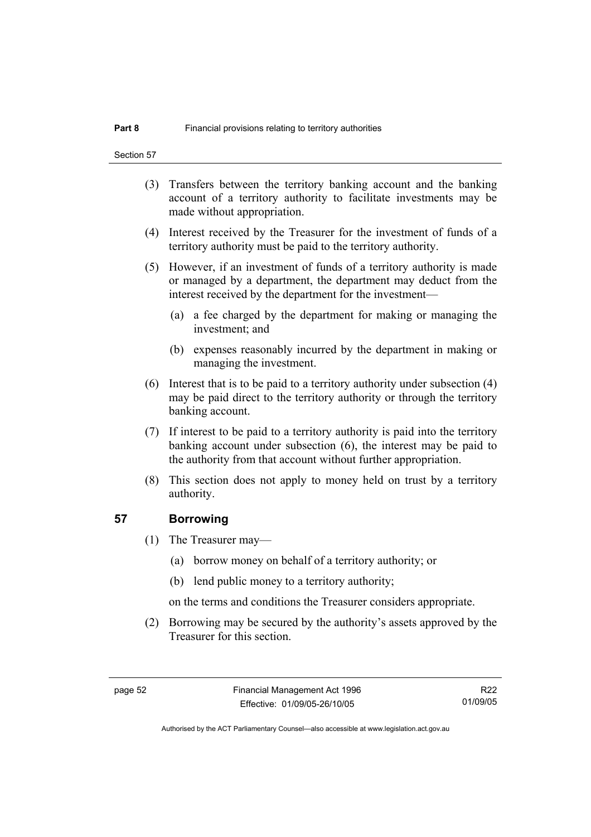- (3) Transfers between the territory banking account and the banking account of a territory authority to facilitate investments may be made without appropriation.
- (4) Interest received by the Treasurer for the investment of funds of a territory authority must be paid to the territory authority.
- (5) However, if an investment of funds of a territory authority is made or managed by a department, the department may deduct from the interest received by the department for the investment—
	- (a) a fee charged by the department for making or managing the investment; and
	- (b) expenses reasonably incurred by the department in making or managing the investment.
- (6) Interest that is to be paid to a territory authority under subsection (4) may be paid direct to the territory authority or through the territory banking account.
- (7) If interest to be paid to a territory authority is paid into the territory banking account under subsection (6), the interest may be paid to the authority from that account without further appropriation.
- (8) This section does not apply to money held on trust by a territory authority.

#### **57 Borrowing**

- (1) The Treasurer may—
	- (a) borrow money on behalf of a territory authority; or
	- (b) lend public money to a territory authority;

on the terms and conditions the Treasurer considers appropriate.

 (2) Borrowing may be secured by the authority's assets approved by the Treasurer for this section.

R22 01/09/05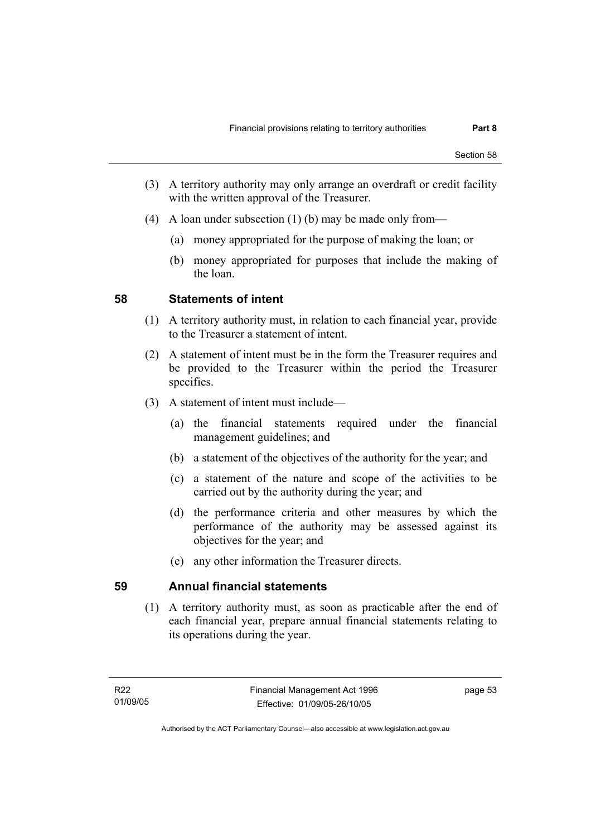- (3) A territory authority may only arrange an overdraft or credit facility with the written approval of the Treasurer.
- (4) A loan under subsection (1) (b) may be made only from—
	- (a) money appropriated for the purpose of making the loan; or
	- (b) money appropriated for purposes that include the making of the loan.

#### **58 Statements of intent**

- (1) A territory authority must, in relation to each financial year, provide to the Treasurer a statement of intent.
- (2) A statement of intent must be in the form the Treasurer requires and be provided to the Treasurer within the period the Treasurer specifies.
- (3) A statement of intent must include—
	- (a) the financial statements required under the financial management guidelines; and
	- (b) a statement of the objectives of the authority for the year; and
	- (c) a statement of the nature and scope of the activities to be carried out by the authority during the year; and
	- (d) the performance criteria and other measures by which the performance of the authority may be assessed against its objectives for the year; and
	- (e) any other information the Treasurer directs.

## **59 Annual financial statements**

 (1) A territory authority must, as soon as practicable after the end of each financial year, prepare annual financial statements relating to its operations during the year.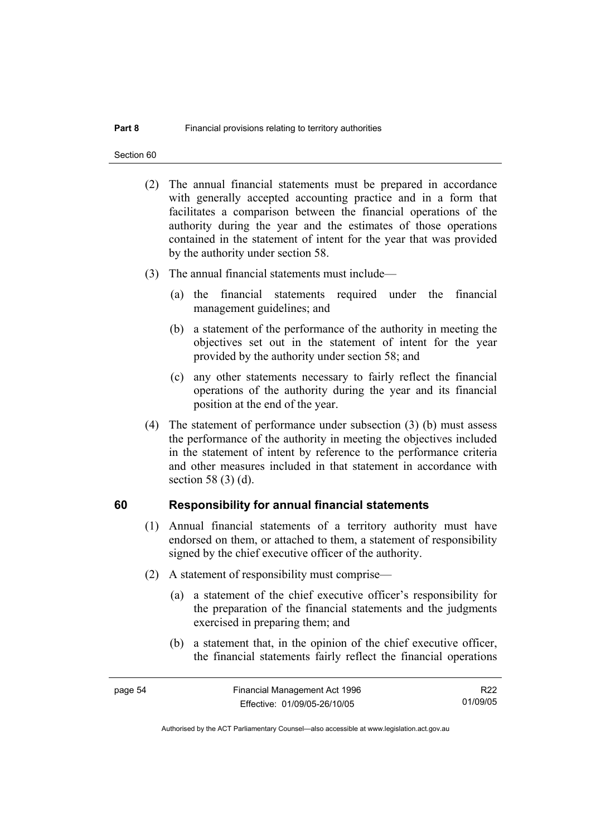Section 60

- (2) The annual financial statements must be prepared in accordance with generally accepted accounting practice and in a form that facilitates a comparison between the financial operations of the authority during the year and the estimates of those operations contained in the statement of intent for the year that was provided by the authority under section 58.
- (3) The annual financial statements must include—
	- (a) the financial statements required under the financial management guidelines; and
	- (b) a statement of the performance of the authority in meeting the objectives set out in the statement of intent for the year provided by the authority under section 58; and
	- (c) any other statements necessary to fairly reflect the financial operations of the authority during the year and its financial position at the end of the year.
- (4) The statement of performance under subsection (3) (b) must assess the performance of the authority in meeting the objectives included in the statement of intent by reference to the performance criteria and other measures included in that statement in accordance with section 58 (3) (d).

#### **60 Responsibility for annual financial statements**

- (1) Annual financial statements of a territory authority must have endorsed on them, or attached to them, a statement of responsibility signed by the chief executive officer of the authority.
- (2) A statement of responsibility must comprise—
	- (a) a statement of the chief executive officer's responsibility for the preparation of the financial statements and the judgments exercised in preparing them; and
	- (b) a statement that, in the opinion of the chief executive officer, the financial statements fairly reflect the financial operations

R22 01/09/05

Authorised by the ACT Parliamentary Counsel—also accessible at www.legislation.act.gov.au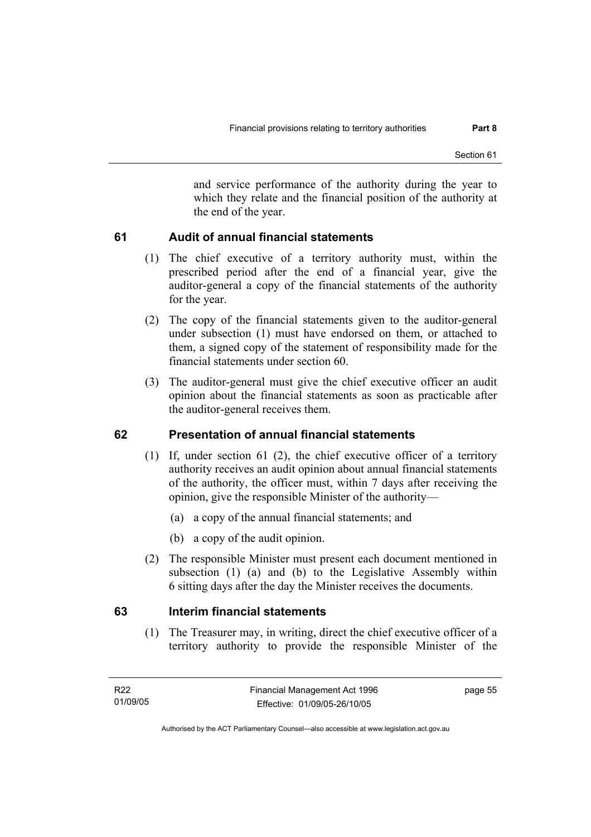and service performance of the authority during the year to which they relate and the financial position of the authority at the end of the year.

## **61 Audit of annual financial statements**

- (1) The chief executive of a territory authority must, within the prescribed period after the end of a financial year, give the auditor-general a copy of the financial statements of the authority for the year.
- (2) The copy of the financial statements given to the auditor-general under subsection (1) must have endorsed on them, or attached to them, a signed copy of the statement of responsibility made for the financial statements under section 60.
- (3) The auditor-general must give the chief executive officer an audit opinion about the financial statements as soon as practicable after the auditor-general receives them.

## **62 Presentation of annual financial statements**

- (1) If, under section 61 (2), the chief executive officer of a territory authority receives an audit opinion about annual financial statements of the authority, the officer must, within 7 days after receiving the opinion, give the responsible Minister of the authority—
	- (a) a copy of the annual financial statements; and
	- (b) a copy of the audit opinion.
- (2) The responsible Minister must present each document mentioned in subsection (1) (a) and (b) to the Legislative Assembly within 6 sitting days after the day the Minister receives the documents.

## **63 Interim financial statements**

 (1) The Treasurer may, in writing, direct the chief executive officer of a territory authority to provide the responsible Minister of the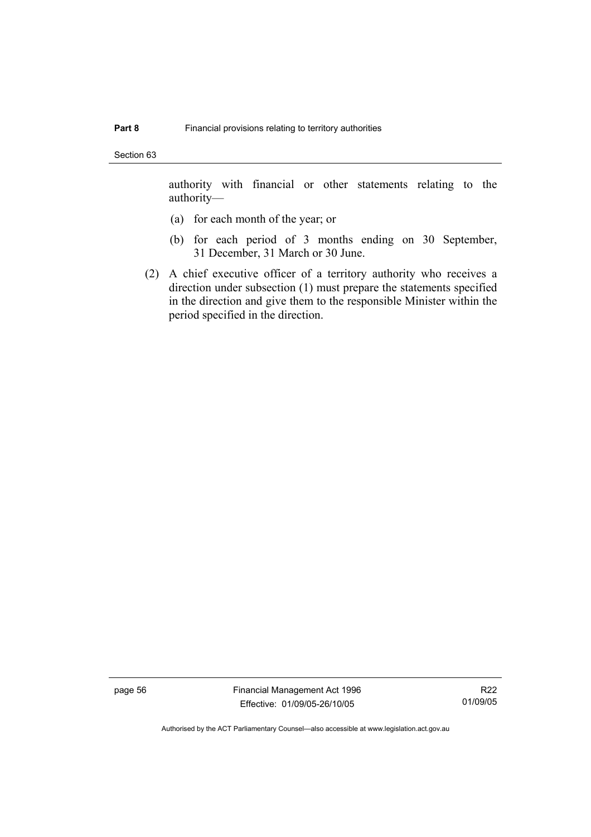Section 63

authority with financial or other statements relating to the authority—

- (a) for each month of the year; or
- (b) for each period of 3 months ending on 30 September, 31 December, 31 March or 30 June.
- (2) A chief executive officer of a territory authority who receives a direction under subsection (1) must prepare the statements specified in the direction and give them to the responsible Minister within the period specified in the direction.

page 56 Financial Management Act 1996 Effective: 01/09/05-26/10/05

R22 01/09/05

Authorised by the ACT Parliamentary Counsel—also accessible at www.legislation.act.gov.au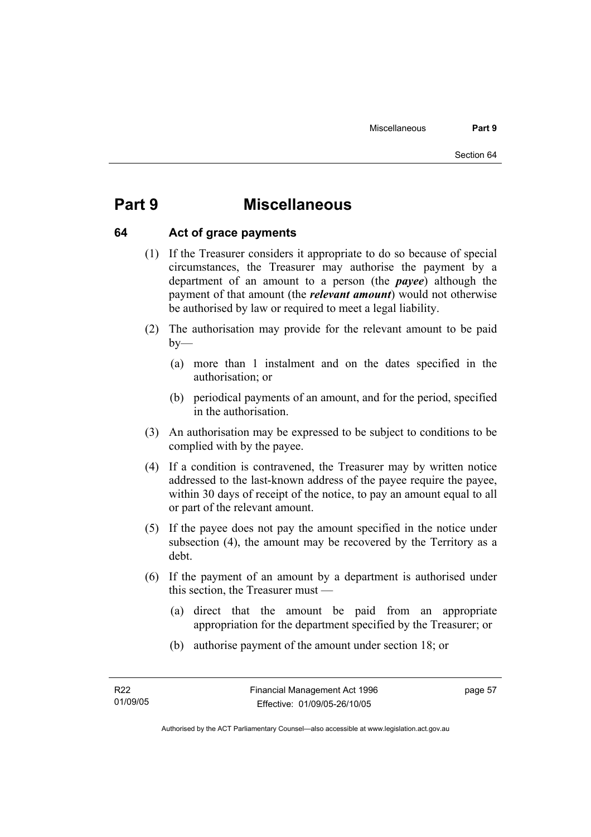# **Part 9 Miscellaneous**

#### **64 Act of grace payments**

- (1) If the Treasurer considers it appropriate to do so because of special circumstances, the Treasurer may authorise the payment by a department of an amount to a person (the *payee*) although the payment of that amount (the *relevant amount*) would not otherwise be authorised by law or required to meet a legal liability.
- (2) The authorisation may provide for the relevant amount to be paid  $by-$ 
	- (a) more than 1 instalment and on the dates specified in the authorisation; or
	- (b) periodical payments of an amount, and for the period, specified in the authorisation.
- (3) An authorisation may be expressed to be subject to conditions to be complied with by the payee.
- (4) If a condition is contravened, the Treasurer may by written notice addressed to the last-known address of the payee require the payee, within 30 days of receipt of the notice, to pay an amount equal to all or part of the relevant amount.
- (5) If the payee does not pay the amount specified in the notice under subsection (4), the amount may be recovered by the Territory as a debt.
- (6) If the payment of an amount by a department is authorised under this section, the Treasurer must —
	- (a) direct that the amount be paid from an appropriate appropriation for the department specified by the Treasurer; or
	- (b) authorise payment of the amount under section 18; or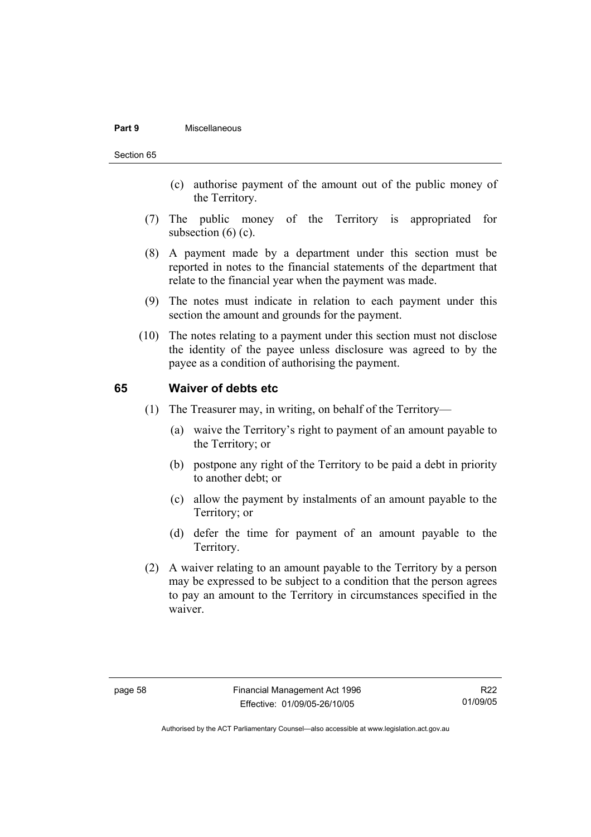#### **Part 9** Miscellaneous

#### Section 65

- (c) authorise payment of the amount out of the public money of the Territory.
- (7) The public money of the Territory is appropriated for subsection  $(6)$   $(c)$ .
- (8) A payment made by a department under this section must be reported in notes to the financial statements of the department that relate to the financial year when the payment was made.
- (9) The notes must indicate in relation to each payment under this section the amount and grounds for the payment.
- (10) The notes relating to a payment under this section must not disclose the identity of the payee unless disclosure was agreed to by the payee as a condition of authorising the payment.

#### **65 Waiver of debts etc**

- (1) The Treasurer may, in writing, on behalf of the Territory—
	- (a) waive the Territory's right to payment of an amount payable to the Territory; or
	- (b) postpone any right of the Territory to be paid a debt in priority to another debt; or
	- (c) allow the payment by instalments of an amount payable to the Territory; or
	- (d) defer the time for payment of an amount payable to the Territory.
- (2) A waiver relating to an amount payable to the Territory by a person may be expressed to be subject to a condition that the person agrees to pay an amount to the Territory in circumstances specified in the waiver.

R22 01/09/05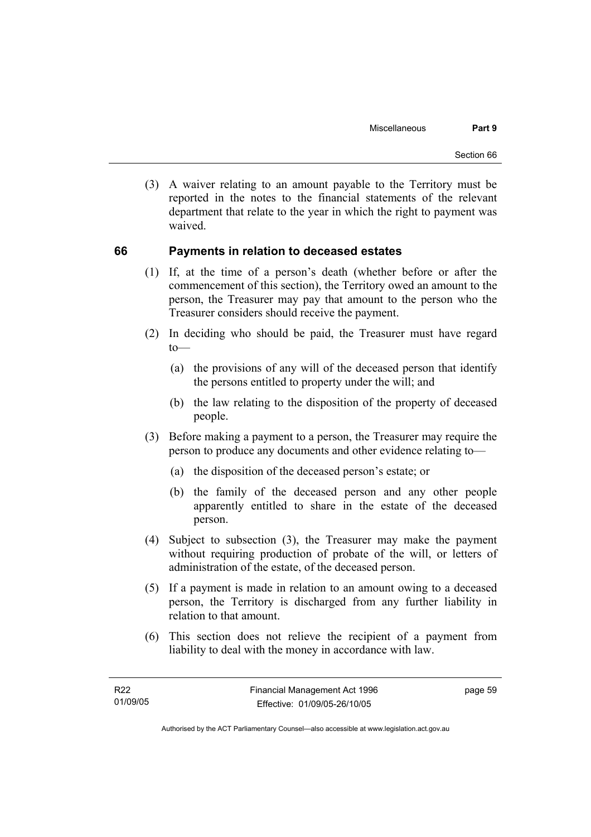(3) A waiver relating to an amount payable to the Territory must be reported in the notes to the financial statements of the relevant department that relate to the year in which the right to payment was waived.

#### **66 Payments in relation to deceased estates**

- (1) If, at the time of a person's death (whether before or after the commencement of this section), the Territory owed an amount to the person, the Treasurer may pay that amount to the person who the Treasurer considers should receive the payment.
- (2) In deciding who should be paid, the Treasurer must have regard  $to$ —
	- (a) the provisions of any will of the deceased person that identify the persons entitled to property under the will; and
	- (b) the law relating to the disposition of the property of deceased people.
- (3) Before making a payment to a person, the Treasurer may require the person to produce any documents and other evidence relating to—
	- (a) the disposition of the deceased person's estate; or
	- (b) the family of the deceased person and any other people apparently entitled to share in the estate of the deceased person.
- (4) Subject to subsection (3), the Treasurer may make the payment without requiring production of probate of the will, or letters of administration of the estate, of the deceased person.
- (5) If a payment is made in relation to an amount owing to a deceased person, the Territory is discharged from any further liability in relation to that amount.
- (6) This section does not relieve the recipient of a payment from liability to deal with the money in accordance with law.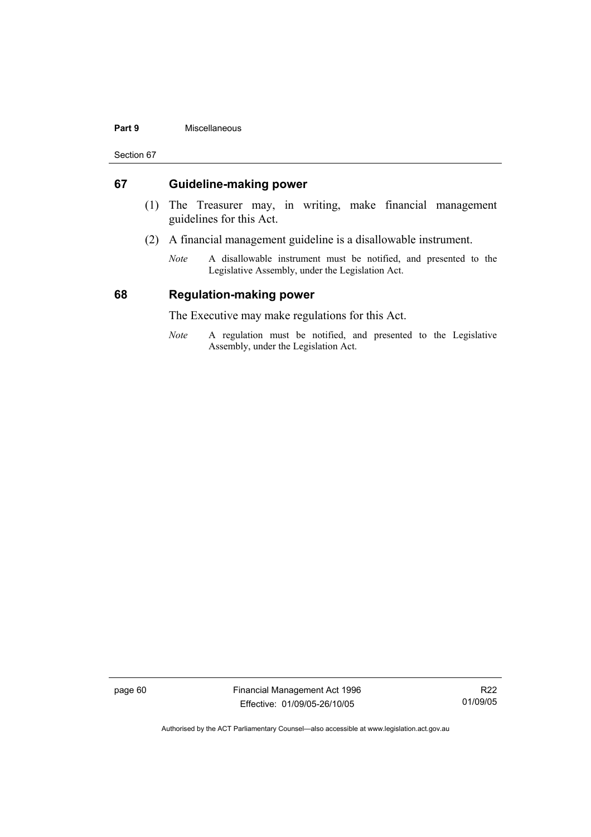#### **Part 9** Miscellaneous

Section 67

#### **67 Guideline-making power**

- (1) The Treasurer may, in writing, make financial management guidelines for this Act.
- (2) A financial management guideline is a disallowable instrument.
	- *Note* A disallowable instrument must be notified, and presented to the Legislative Assembly, under the Legislation Act.

#### **68 Regulation-making power**

The Executive may make regulations for this Act.

*Note* A regulation must be notified, and presented to the Legislative Assembly, under the Legislation Act.

page 60 Financial Management Act 1996 Effective: 01/09/05-26/10/05

R22 01/09/05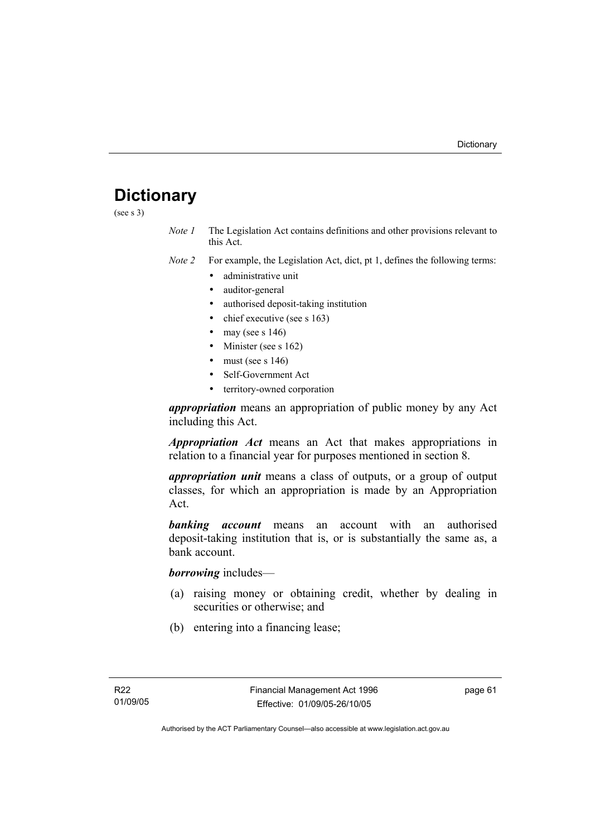# **Dictionary**

(see s 3)

*Note 1* The Legislation Act contains definitions and other provisions relevant to this Act.

*Note 2* For example, the Legislation Act, dict, pt 1, defines the following terms:

- administrative unit
- auditor-general
- authorised deposit-taking institution
- chief executive (see s 163)
- may (see s  $146$ )
- Minister (see s 162)
- must (see s  $146$ )
- Self-Government Act
- territory-owned corporation

*appropriation* means an appropriation of public money by any Act including this Act.

*Appropriation Act* means an Act that makes appropriations in relation to a financial year for purposes mentioned in section 8.

*appropriation unit* means a class of outputs, or a group of output classes, for which an appropriation is made by an Appropriation Act.

*banking account* means an account with an authorised deposit-taking institution that is, or is substantially the same as, a bank account.

*borrowing* includes—

- (a) raising money or obtaining credit, whether by dealing in securities or otherwise; and
- (b) entering into a financing lease;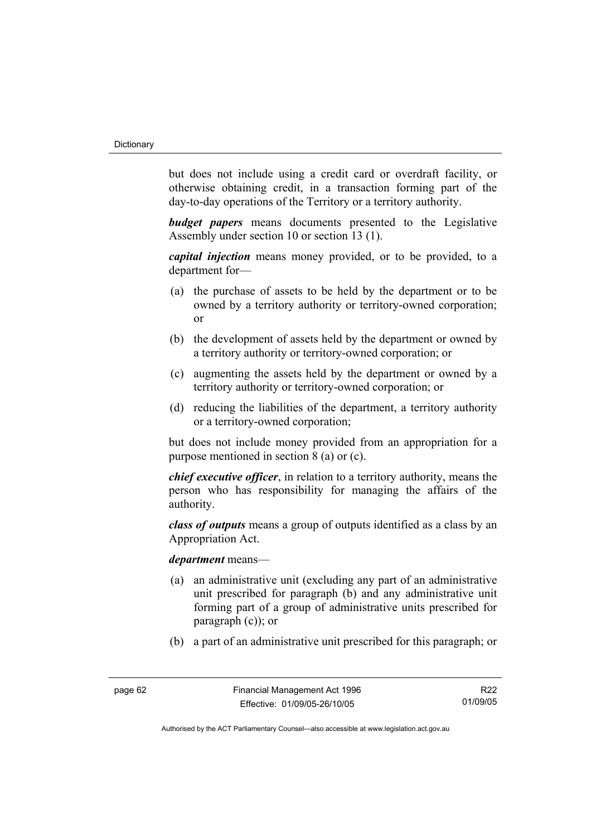but does not include using a credit card or overdraft facility, or otherwise obtaining credit, in a transaction forming part of the day-to-day operations of the Territory or a territory authority.

*budget papers* means documents presented to the Legislative Assembly under section 10 or section 13 (1).

*capital injection* means money provided, or to be provided, to a department for—

- (a) the purchase of assets to be held by the department or to be owned by a territory authority or territory-owned corporation; or
- (b) the development of assets held by the department or owned by a territory authority or territory-owned corporation; or
- (c) augmenting the assets held by the department or owned by a territory authority or territory-owned corporation; or
- (d) reducing the liabilities of the department, a territory authority or a territory-owned corporation;

but does not include money provided from an appropriation for a purpose mentioned in section 8 (a) or (c).

*chief executive officer*, in relation to a territory authority, means the person who has responsibility for managing the affairs of the authority.

*class of outputs* means a group of outputs identified as a class by an Appropriation Act.

#### *department* means—

- (a) an administrative unit (excluding any part of an administrative unit prescribed for paragraph (b) and any administrative unit forming part of a group of administrative units prescribed for paragraph (c)); or
- (b) a part of an administrative unit prescribed for this paragraph; or

R22 01/09/05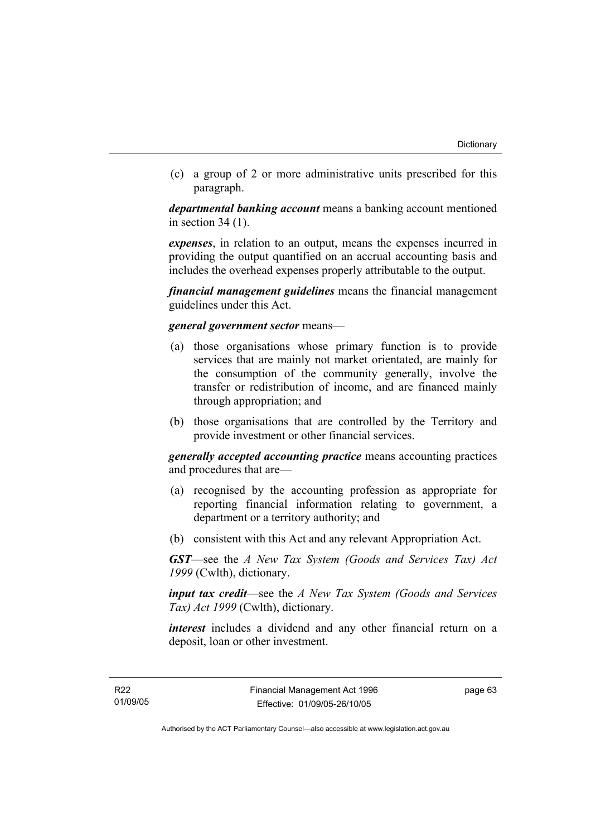(c) a group of 2 or more administrative units prescribed for this paragraph.

*departmental banking account* means a banking account mentioned in section 34 (1).

*expenses*, in relation to an output, means the expenses incurred in providing the output quantified on an accrual accounting basis and includes the overhead expenses properly attributable to the output.

*financial management guidelines* means the financial management guidelines under this Act.

#### *general government sector* means—

- (a) those organisations whose primary function is to provide services that are mainly not market orientated, are mainly for the consumption of the community generally, involve the transfer or redistribution of income, and are financed mainly through appropriation; and
- (b) those organisations that are controlled by the Territory and provide investment or other financial services.

*generally accepted accounting practice* means accounting practices and procedures that are—

- (a) recognised by the accounting profession as appropriate for reporting financial information relating to government, a department or a territory authority; and
- (b) consistent with this Act and any relevant Appropriation Act.

*GST*—see the *A New Tax System (Goods and Services Tax) Act 1999* (Cwlth), dictionary.

*input tax credit*—see the *A New Tax System (Goods and Services Tax) Act 1999* (Cwlth), dictionary.

*interest* includes a dividend and any other financial return on a deposit, loan or other investment.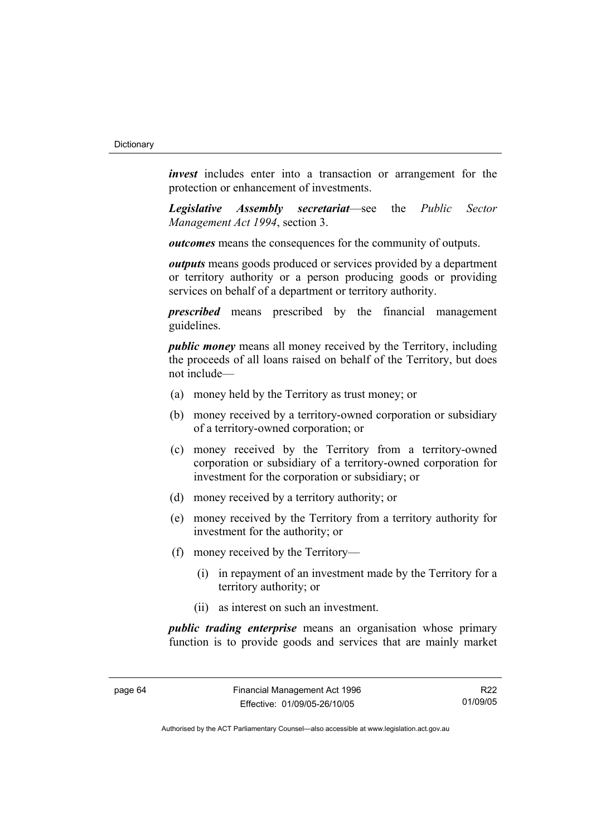*invest* includes enter into a transaction or arrangement for the protection or enhancement of investments.

*Legislative Assembly secretariat*—see the *Public Sector Management Act 1994*, section 3.

*outcomes* means the consequences for the community of outputs.

*outputs* means goods produced or services provided by a department or territory authority or a person producing goods or providing services on behalf of a department or territory authority.

*prescribed* means prescribed by the financial management guidelines.

*public money* means all money received by the Territory, including the proceeds of all loans raised on behalf of the Territory, but does not include—

- (a) money held by the Territory as trust money; or
- (b) money received by a territory-owned corporation or subsidiary of a territory-owned corporation; or
- (c) money received by the Territory from a territory-owned corporation or subsidiary of a territory-owned corporation for investment for the corporation or subsidiary; or
- (d) money received by a territory authority; or
- (e) money received by the Territory from a territory authority for investment for the authority; or
- (f) money received by the Territory—
	- (i) in repayment of an investment made by the Territory for a territory authority; or
	- (ii) as interest on such an investment.

*public trading enterprise* means an organisation whose primary function is to provide goods and services that are mainly market

R22 01/09/05

Authorised by the ACT Parliamentary Counsel—also accessible at www.legislation.act.gov.au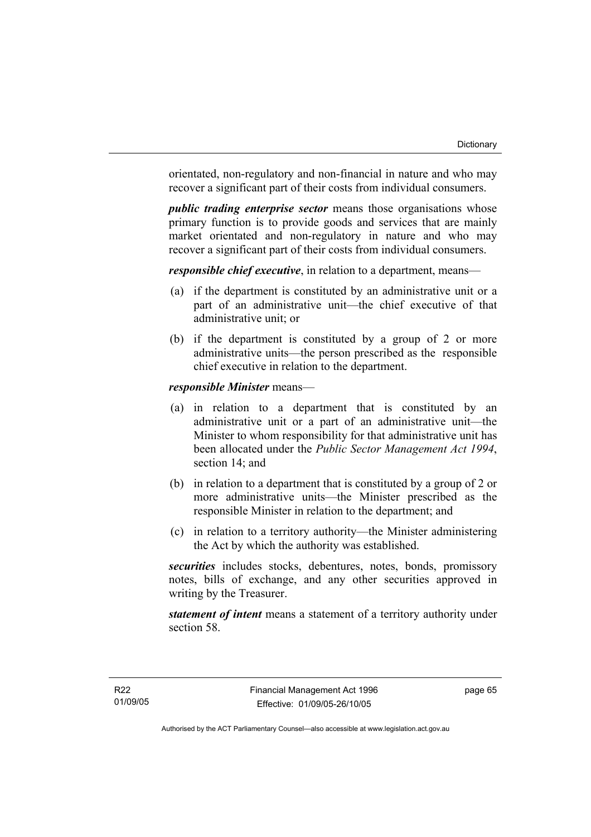orientated, non-regulatory and non-financial in nature and who may recover a significant part of their costs from individual consumers.

*public trading enterprise sector* means those organisations whose primary function is to provide goods and services that are mainly market orientated and non-regulatory in nature and who may recover a significant part of their costs from individual consumers.

*responsible chief executive*, in relation to a department, means—

- (a) if the department is constituted by an administrative unit or a part of an administrative unit—the chief executive of that administrative unit; or
- (b) if the department is constituted by a group of 2 or more administrative units—the person prescribed as the responsible chief executive in relation to the department.

## *responsible Minister* means—

- (a) in relation to a department that is constituted by an administrative unit or a part of an administrative unit—the Minister to whom responsibility for that administrative unit has been allocated under the *Public Sector Management Act 1994*, section 14; and
- (b) in relation to a department that is constituted by a group of 2 or more administrative units—the Minister prescribed as the responsible Minister in relation to the department; and
- (c) in relation to a territory authority—the Minister administering the Act by which the authority was established.

*securities* includes stocks, debentures, notes, bonds, promissory notes, bills of exchange, and any other securities approved in writing by the Treasurer.

*statement of intent* means a statement of a territory authority under section 58.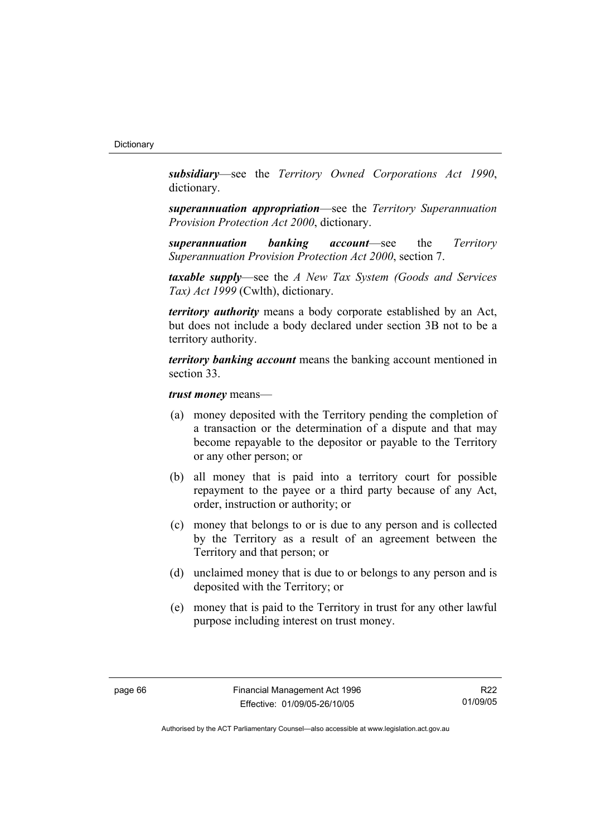*subsidiary*—see the *Territory Owned Corporations Act 1990*, dictionary.

*superannuation appropriation*—see the *Territory Superannuation Provision Protection Act 2000*, dictionary.

*superannuation banking account*—see the *Territory Superannuation Provision Protection Act 2000*, section 7.

*taxable supply*—see the *A New Tax System (Goods and Services Tax) Act 1999* (Cwlth), dictionary.

*territory authority* means a body corporate established by an Act, but does not include a body declared under section 3B not to be a territory authority.

*territory banking account* means the banking account mentioned in section 33.

*trust money* means—

- (a) money deposited with the Territory pending the completion of a transaction or the determination of a dispute and that may become repayable to the depositor or payable to the Territory or any other person; or
- (b) all money that is paid into a territory court for possible repayment to the payee or a third party because of any Act, order, instruction or authority; or
- (c) money that belongs to or is due to any person and is collected by the Territory as a result of an agreement between the Territory and that person; or
- (d) unclaimed money that is due to or belongs to any person and is deposited with the Territory; or
- (e) money that is paid to the Territory in trust for any other lawful purpose including interest on trust money.

R22 01/09/05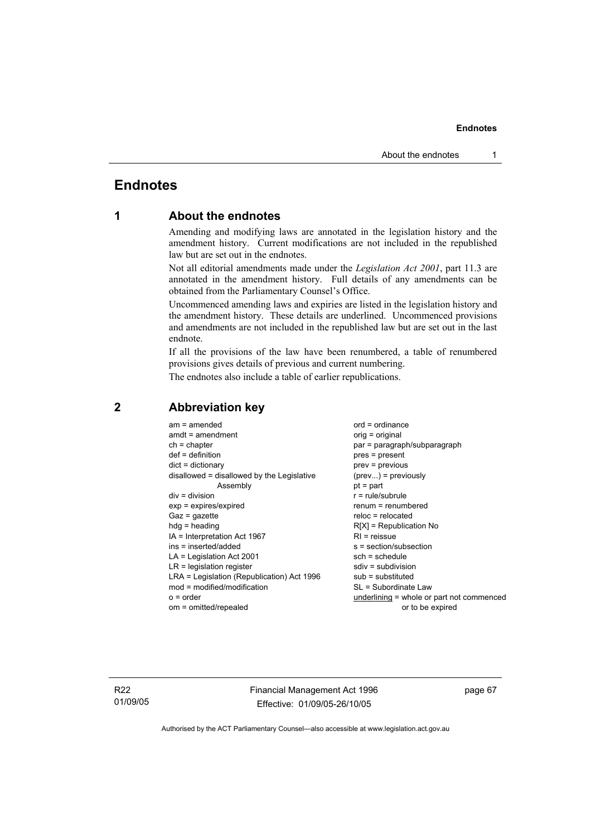# **Endnotes**

# **1 About the endnotes**

Amending and modifying laws are annotated in the legislation history and the amendment history. Current modifications are not included in the republished law but are set out in the endnotes.

Not all editorial amendments made under the *Legislation Act 2001*, part 11.3 are annotated in the amendment history. Full details of any amendments can be obtained from the Parliamentary Counsel's Office.

Uncommenced amending laws and expiries are listed in the legislation history and the amendment history. These details are underlined. Uncommenced provisions and amendments are not included in the republished law but are set out in the last endnote.

If all the provisions of the law have been renumbered, a table of renumbered provisions gives details of previous and current numbering.

The endnotes also include a table of earlier republications.

| $am = amended$                             | $ord = ordinance$                         |
|--------------------------------------------|-------------------------------------------|
| $amdt = amendment$                         | orig = original                           |
| $ch = chapter$                             | par = paragraph/subparagraph              |
| $def = definition$                         | $pres = present$                          |
| $dict = dictionary$                        | $prev = previous$                         |
| disallowed = disallowed by the Legislative | $(\text{prev}) = \text{previously}$       |
| Assembly                                   | $pt = part$                               |
| $div = division$                           | $r = rule/subrule$                        |
| $exp = expires/expired$                    | $renum = renumbered$                      |
| $Gaz = gazette$                            | $reloc = relocated$                       |
| $hdg =$ heading                            | $R[X]$ = Republication No                 |
| IA = Interpretation Act 1967               | $RI =$ reissue                            |
| $ins = inserted/added$                     | $s = section/subsection$                  |
| $LA =$ Legislation Act 2001                | $sch = schedule$                          |
| $LR =$ legislation register                | $sdiv = subdivision$                      |
|                                            |                                           |
| LRA = Legislation (Republication) Act 1996 | $sub =$ substituted                       |
| $mod = modified/modification$              | SL = Subordinate Law                      |
| $o = order$                                | underlining = whole or part not commenced |
| om = omitted/repealed                      | or to be expired                          |

# **2 Abbreviation key**

R22 01/09/05 Financial Management Act 1996 Effective: 01/09/05-26/10/05

page 67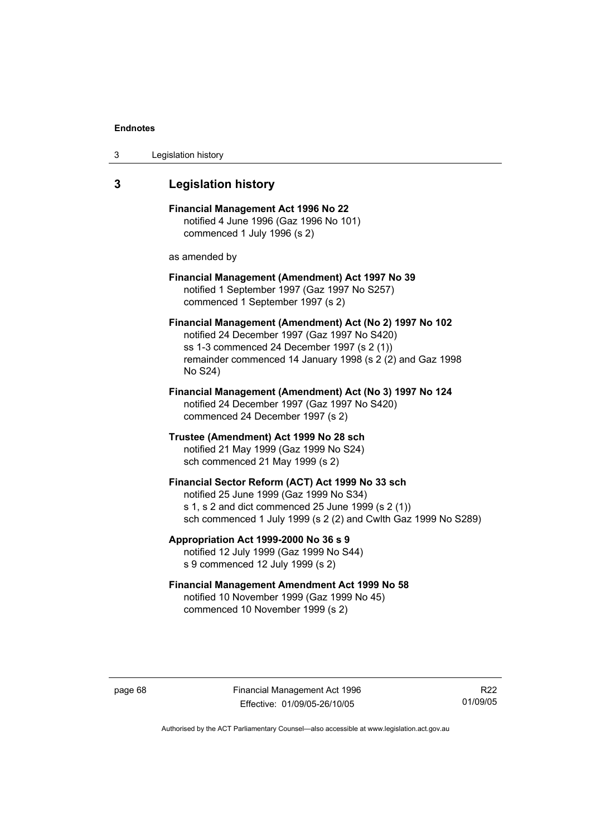| 3 | Legislation history |  |
|---|---------------------|--|
|---|---------------------|--|

# **3 Legislation history**

**Financial Management Act 1996 No 22**  notified 4 June 1996 (Gaz 1996 No 101) commenced 1 July 1996 (s 2)

as amended by

## **Financial Management (Amendment) Act 1997 No 39**  notified 1 September 1997 (Gaz 1997 No S257) commenced 1 September 1997 (s 2)

**Financial Management (Amendment) Act (No 2) 1997 No 102**  notified 24 December 1997 (Gaz 1997 No S420) ss 1-3 commenced 24 December 1997 (s 2 (1)) remainder commenced 14 January 1998 (s 2 (2) and Gaz 1998 No S24)

**Financial Management (Amendment) Act (No 3) 1997 No 124**  notified 24 December 1997 (Gaz 1997 No S420) commenced 24 December 1997 (s 2)

**Trustee (Amendment) Act 1999 No 28 sch**  notified 21 May 1999 (Gaz 1999 No S24) sch commenced 21 May 1999 (s 2)

## **Financial Sector Reform (ACT) Act 1999 No 33 sch**  notified 25 June 1999 (Gaz 1999 No S34) s 1, s 2 and dict commenced 25 June 1999 (s 2 (1)) sch commenced 1 July 1999 (s 2 (2) and Cwlth Gaz 1999 No S289)

**Appropriation Act 1999-2000 No 36 s 9**  notified 12 July 1999 (Gaz 1999 No S44) s 9 commenced 12 July 1999 (s 2)

## **Financial Management Amendment Act 1999 No 58**  notified 10 November 1999 (Gaz 1999 No 45) commenced 10 November 1999 (s 2)

page 68 Financial Management Act 1996 Effective: 01/09/05-26/10/05

R22 01/09/05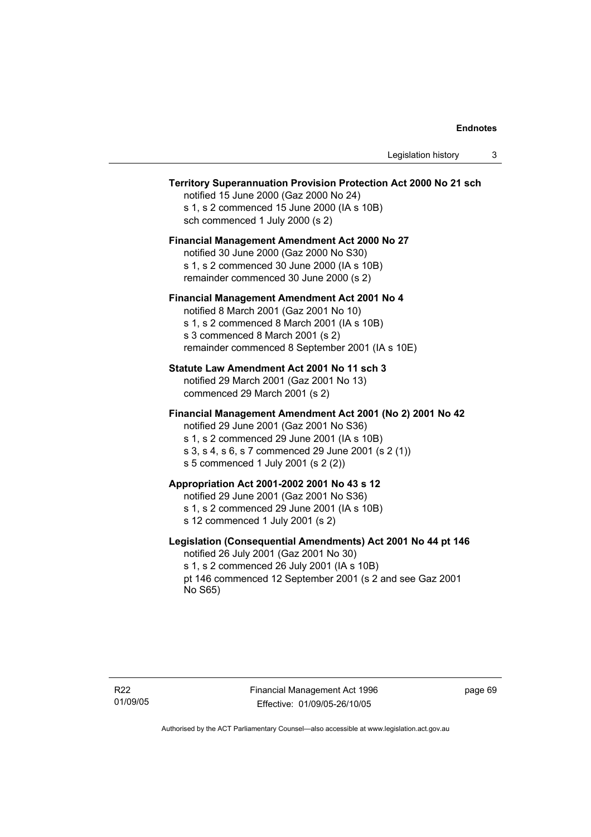## **Territory Superannuation Provision Protection Act 2000 No 21 sch**

notified 15 June 2000 (Gaz 2000 No 24) s 1, s 2 commenced 15 June 2000 (IA s 10B) sch commenced 1 July 2000 (s 2)

## **Financial Management Amendment Act 2000 No 27**

notified 30 June 2000 (Gaz 2000 No S30) s 1, s 2 commenced 30 June 2000 (IA s 10B) remainder commenced 30 June 2000 (s 2)

#### **Financial Management Amendment Act 2001 No 4**

notified 8 March 2001 (Gaz 2001 No 10) s 1, s 2 commenced 8 March 2001 (IA s 10B) s 3 commenced 8 March 2001 (s 2) remainder commenced 8 September 2001 (IA s 10E)

## **Statute Law Amendment Act 2001 No 11 sch 3**

notified 29 March 2001 (Gaz 2001 No 13) commenced 29 March 2001 (s 2)

## **Financial Management Amendment Act 2001 (No 2) 2001 No 42**

notified 29 June 2001 (Gaz 2001 No S36)

- s 1, s 2 commenced 29 June 2001 (IA s 10B)
- s 3, s 4, s 6, s 7 commenced 29 June 2001 (s 2 (1))
- s 5 commenced 1 July 2001 (s 2 (2))

# **Appropriation Act 2001-2002 2001 No 43 s 12**

notified 29 June 2001 (Gaz 2001 No S36)

- s 1, s 2 commenced 29 June 2001 (IA s 10B)
- s 12 commenced 1 July 2001 (s 2)

## **Legislation (Consequential Amendments) Act 2001 No 44 pt 146**

notified 26 July 2001 (Gaz 2001 No 30) s 1, s 2 commenced 26 July 2001 (IA s 10B) pt 146 commenced 12 September 2001 (s 2 and see Gaz 2001 No S65)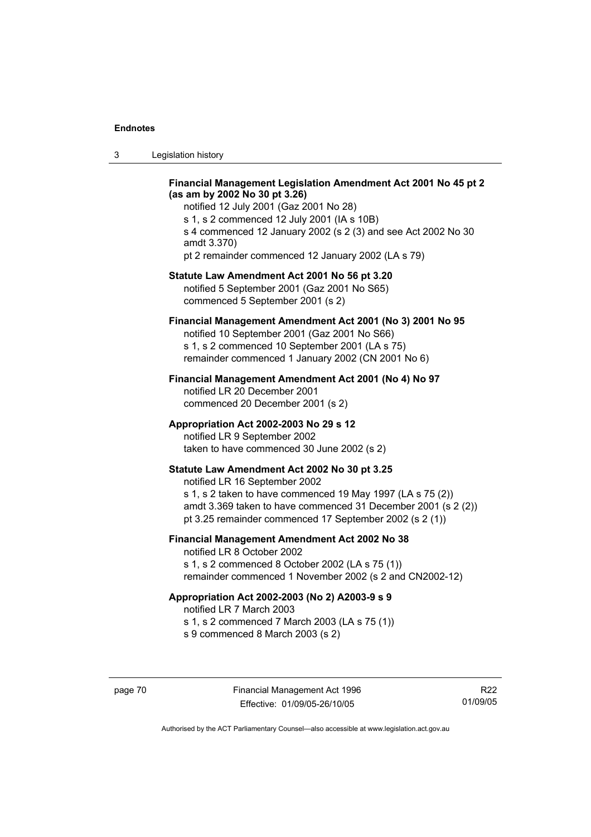| ు | Legislation history |  |
|---|---------------------|--|
|---|---------------------|--|

## **Financial Management Legislation Amendment Act 2001 No 45 pt 2 (as am by 2002 No 30 pt 3.26)**

notified 12 July 2001 (Gaz 2001 No 28) s 1, s 2 commenced 12 July 2001 (IA s 10B) s 4 commenced 12 January 2002 (s 2 (3) and see Act 2002 No 30 amdt 3.370) pt 2 remainder commenced 12 January 2002 (LA s 79)

#### **Statute Law Amendment Act 2001 No 56 pt 3.20**

notified 5 September 2001 (Gaz 2001 No S65) commenced 5 September 2001 (s 2)

# **Financial Management Amendment Act 2001 (No 3) 2001 No 95**

notified 10 September 2001 (Gaz 2001 No S66) s 1, s 2 commenced 10 September 2001 (LA s 75) remainder commenced 1 January 2002 (CN 2001 No 6)

## **Financial Management Amendment Act 2001 (No 4) No 97**

notified LR 20 December 2001 commenced 20 December 2001 (s 2)

## **Appropriation Act 2002-2003 No 29 s 12**

notified LR 9 September 2002 taken to have commenced 30 June 2002 (s 2)

## **Statute Law Amendment Act 2002 No 30 pt 3.25**

notified LR 16 September 2002 s 1, s 2 taken to have commenced 19 May 1997 (LA s 75 (2)) amdt 3.369 taken to have commenced 31 December 2001 (s 2 (2)) pt 3.25 remainder commenced 17 September 2002 (s 2 (1))

# **Financial Management Amendment Act 2002 No 38**

notified LR 8 October 2002 s 1, s 2 commenced 8 October 2002 (LA s 75 (1)) remainder commenced 1 November 2002 (s 2 and CN2002-12)

#### **Appropriation Act 2002-2003 (No 2) A2003-9 s 9**

notified LR 7 March 2003

s 1, s 2 commenced 7 March 2003 (LA s 75 (1))

s 9 commenced 8 March 2003 (s 2)

R22 01/09/05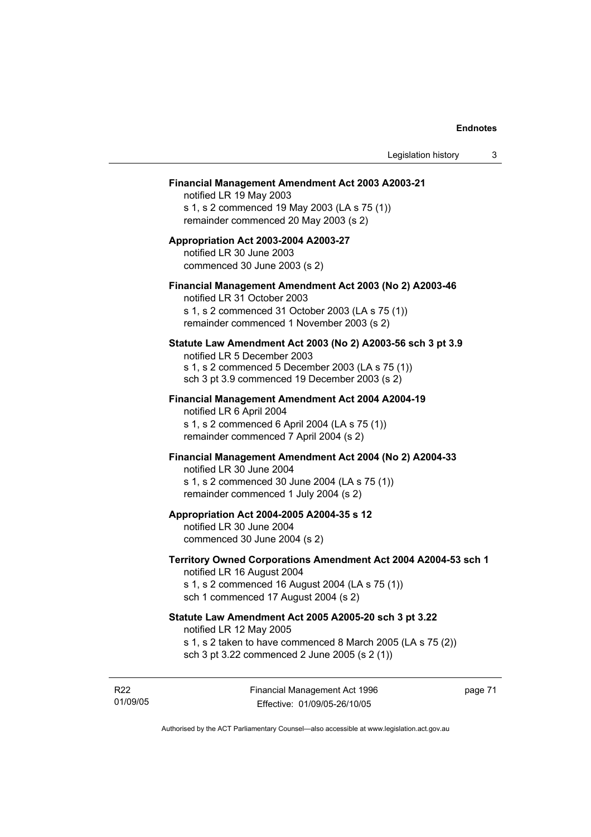#### **Financial Management Amendment Act 2003 A2003-21**

notified LR 19 May 2003 s 1, s 2 commenced 19 May 2003 (LA s 75 (1)) remainder commenced 20 May 2003 (s 2)

## **Appropriation Act 2003-2004 A2003-27**  notified LR 30 June 2003 commenced 30 June 2003 (s 2)

## **Financial Management Amendment Act 2003 (No 2) A2003-46**

notified LR 31 October 2003 s 1, s 2 commenced 31 October 2003 (LA s 75 (1)) remainder commenced 1 November 2003 (s 2)

#### **Statute Law Amendment Act 2003 (No 2) A2003-56 sch 3 pt 3.9**

notified LR 5 December 2003 s 1, s 2 commenced 5 December 2003 (LA s 75 (1)) sch 3 pt 3.9 commenced 19 December 2003 (s 2)

# **Financial Management Amendment Act 2004 A2004-19**  notified LR 6 April 2004

s 1, s 2 commenced 6 April 2004 (LA s 75 (1)) remainder commenced 7 April 2004 (s 2)

#### **Financial Management Amendment Act 2004 (No 2) A2004-33**

notified LR 30 June 2004 s 1, s 2 commenced 30 June 2004 (LA s 75 (1)) remainder commenced 1 July 2004 (s 2)

## **Appropriation Act 2004-2005 A2004-35 s 12**

notified LR 30 June 2004 commenced 30 June 2004 (s 2)

## **Territory Owned Corporations Amendment Act 2004 A2004-53 sch 1**  notified LR 16 August 2004

s 1, s 2 commenced 16 August 2004 (LA s 75 (1)) sch 1 commenced 17 August 2004 (s 2)

# **Statute Law Amendment Act 2005 A2005-20 sch 3 pt 3.22**

notified LR 12 May 2005

- s 1, s 2 taken to have commenced 8 March 2005 (LA s 75 (2))
- sch 3 pt 3.22 commenced 2 June 2005 (s 2 (1))

R22 01/09/05 Financial Management Act 1996 Effective: 01/09/05-26/10/05

page 71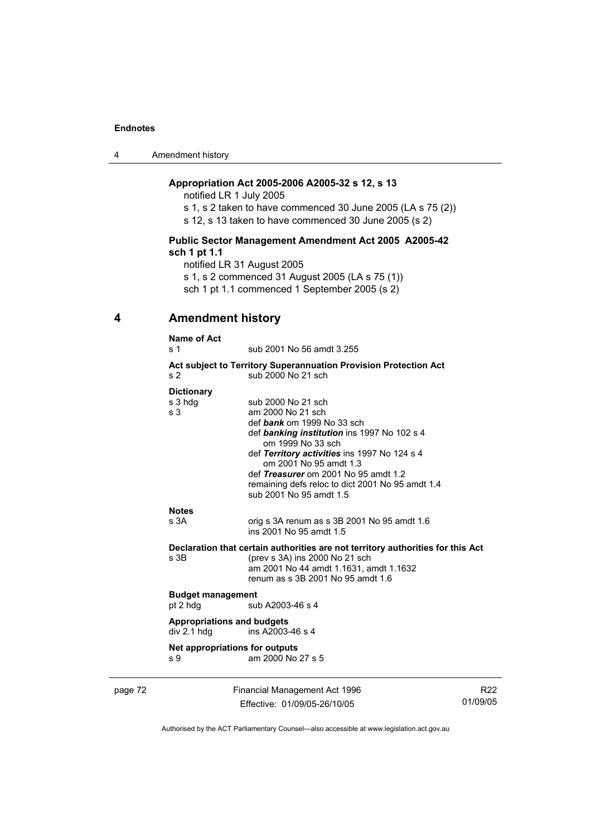4 Amendment history

## **Appropriation Act 2005-2006 A2005-32 s 12, s 13**

notified LR 1 July 2005

s 1, s 2 taken to have commenced 30 June 2005 (LA s 75 (2))

s 12, s 13 taken to have commenced 30 June 2005 (s 2)

## **Public Sector Management Amendment Act 2005 A2005-42 sch 1 pt 1.1**

notified LR 31 August 2005 s 1, s 2 commenced 31 August 2005 (LA s 75 (1)) sch 1 pt 1.1 commenced 1 September 2005 (s 2)

# **4 Amendment history**

#### **Name of Act**

s 1 sub 2001 No 56 amdt 3.255

**Act subject to Territory Superannuation Provision Protection Act** sub 2000 No 21 sch

#### **Dictionary**

| s 3 hdg                                                                         | sub 2000 No 21 sch                                                     |  |
|---------------------------------------------------------------------------------|------------------------------------------------------------------------|--|
| s 3                                                                             | am 2000 No 21 sch                                                      |  |
|                                                                                 | def <i>bank</i> om 1999 No 33 sch                                      |  |
|                                                                                 | def banking institution ins 1997 No 102 s 4                            |  |
|                                                                                 | om 1999 No 33 sch                                                      |  |
|                                                                                 | def Territory activities ins 1997 No 124 s 4<br>om 2001 No 95 amdt 1.3 |  |
|                                                                                 | def Treasurer om 2001 No 95 amdt 1.2                                   |  |
|                                                                                 | remaining defs reloc to dict 2001 No 95 amdt 1.4                       |  |
|                                                                                 | sub 2001 No 95 amdt 1.5                                                |  |
| <b>Notes</b>                                                                    |                                                                        |  |
| s 3A                                                                            | orig s 3A renum as s 3B 2001 No 95 amdt 1.6                            |  |
|                                                                                 | ins 2001 No 95 amdt 1.5                                                |  |
| Declaration that certain authorities are not territory authorities for this Act |                                                                        |  |
| s 3B                                                                            | (prev s 3A) ins 2000 No 21 sch                                         |  |
|                                                                                 | am 2001 No 44 amdt 1.1631, amdt 1.1632                                 |  |
|                                                                                 | renum as s 3B 2001 No 95 amdt 1.6                                      |  |
| <b>Budget management</b>                                                        |                                                                        |  |
| pt 2 hdg                                                                        | sub A2003-46 s 4                                                       |  |
|                                                                                 |                                                                        |  |

# **Appropriations and budgets**

ins  $A2003-46$  s 4 **Net appropriations for outputs**

s 9 am 2000 No 27 s 5

page 72 Financial Management Act 1996 Effective: 01/09/05-26/10/05

R22 01/09/05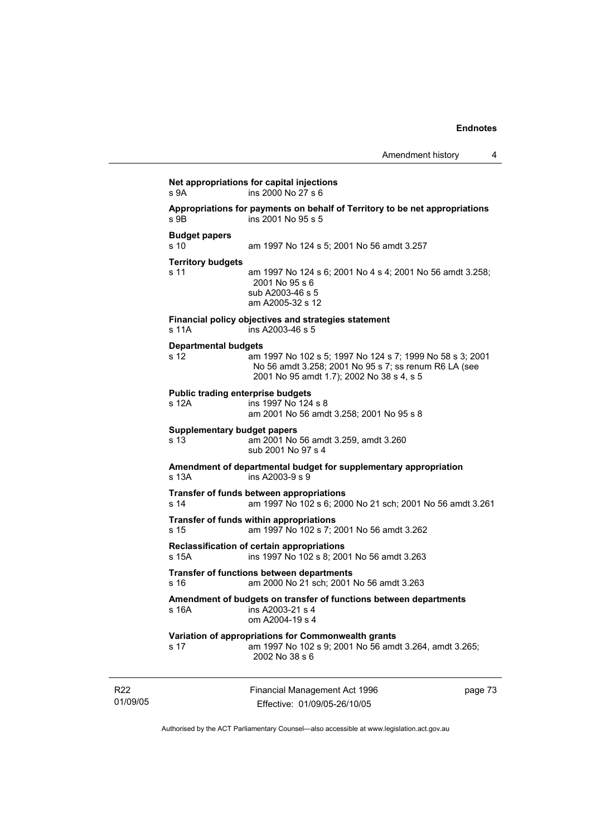| Amendment history |  |
|-------------------|--|
|-------------------|--|

01/09/05 Financial Management Act 1996 Effective: 01/09/05-26/10/05 page 73 **Net appropriations for capital injections** s 9A ins 2000 No 27 s 6 **Appropriations for payments on behalf of Territory to be net appropriations**  s 9B ins 2001 No 95 s 5 **Budget papers**  s 10 am 1997 No 124 s 5; 2001 No 56 amdt 3.257 **Territory budgets**  s 11 am 1997 No 124 s 6; 2001 No 4 s 4; 2001 No 56 amdt 3.258; 2001 No 95 s 6 sub A2003-46 s 5 am A2005-32 s 12 **Financial policy objectives and strategies statement**  s 11A ins A2003-46 s 5 **Departmental budgets** s 12 am 1997 No 102 s 5; 1997 No 124 s 7; 1999 No 58 s 3; 2001 No 56 amdt 3.258; 2001 No 95 s 7; ss renum R6 LA (see 2001 No 95 amdt 1.7); 2002 No 38 s 4, s 5 **Public trading enterprise budgets** s 12A ins 1997 No 124 s 8 am 2001 No 56 amdt 3.258; 2001 No 95 s 8 **Supplementary budget papers**  s 13 am 2001 No 56 amdt 3.259, amdt 3.260 sub 2001 No 97 s 4 **Amendment of departmental budget for supplementary appropriation**  s 13A ins A2003-9 s 9 **Transfer of funds between appropriations** s 14 am 1997 No 102 s 6; 2000 No 21 sch; 2001 No 56 amdt 3.261 **Transfer of funds within appropriations** s 15 am 1997 No 102 s 7; 2001 No 56 amdt 3.262 **Reclassification of certain appropriations** s 15A ins 1997 No 102 s 8; 2001 No 56 amdt 3.263 **Transfer of functions between departments** s 16 am 2000 No 21 sch; 2001 No 56 amdt 3.263 **Amendment of budgets on transfer of functions between departments**  s 16A ins A2003-21 s 4 om A2004-19 s 4 **Variation of appropriations for Commonwealth grants** s 17 am 1997 No 102 s 9; 2001 No 56 amdt 3.264, amdt 3.265; 2002 No 38 s 6

Authorised by the ACT Parliamentary Counsel—also accessible at www.legislation.act.gov.au

R22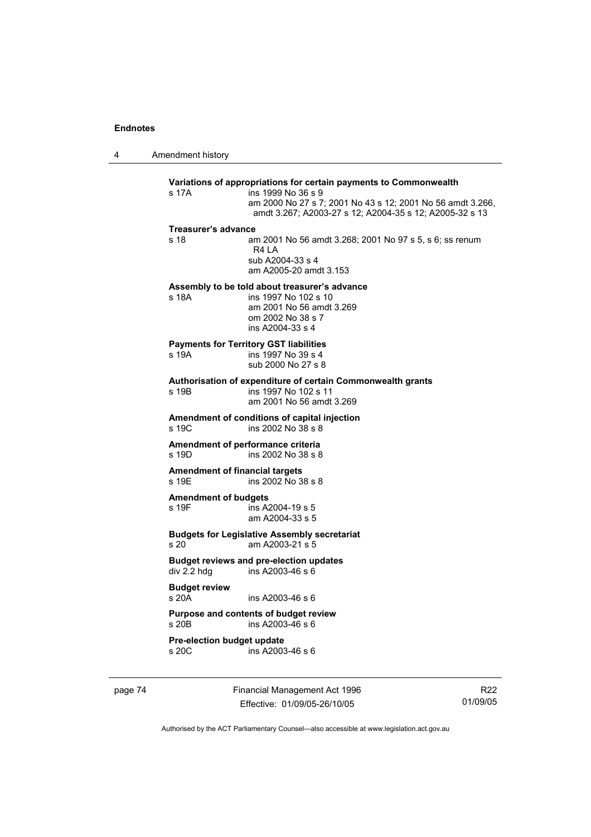4 Amendment history

| s 17A                                | ins 1999 No 36 s 9<br>am 2000 No 27 s 7; 2001 No 43 s 12; 2001 No 56 amdt 3.266,<br>amdt 3.267; A2003-27 s 12; A2004-35 s 12; A2005-32 s 13 |
|--------------------------------------|---------------------------------------------------------------------------------------------------------------------------------------------|
| Treasurer's advance                  |                                                                                                                                             |
| s 18                                 | am 2001 No 56 amdt 3.268; 2001 No 97 s 5, s 6; ss renum<br><b>R4 I A</b><br>sub A2004-33 s 4<br>am A2005-20 amdt 3.153                      |
| s 18A                                | Assembly to be told about treasurer's advance<br>ins 1997 No 102 s 10<br>am 2001 No 56 amdt 3.269<br>om 2002 No 38 s 7<br>ins A2004-33 s 4  |
| s 19A                                | <b>Payments for Territory GST liabilities</b><br>ins 1997 No 39 s 4<br>sub 2000 No 27 s 8                                                   |
| s 19B                                | Authorisation of expenditure of certain Commonwealth grants<br>ins 1997 No 102 s 11<br>am 2001 No 56 amdt 3.269                             |
| s 19C                                | Amendment of conditions of capital injection<br>ins 2002 No 38 s 8                                                                          |
| s 19D                                | Amendment of performance criteria<br>ins 2002 No 38 s 8                                                                                     |
| s 19E                                | <b>Amendment of financial targets</b><br>ins 2002 No 38 s 8                                                                                 |
| <b>Amendment of budgets</b><br>s 19F | ins A2004-19 s 5<br>am A2004-33 s 5                                                                                                         |
| s 20                                 | <b>Budgets for Legislative Assembly secretariat</b><br>am A2003-21 s 5                                                                      |
| div 2.2 hdg                          | <b>Budget reviews and pre-election updates</b><br>ins A2003-46 s 6                                                                          |
| <b>Budget review</b><br>s 20A        | ins A2003-46 s 6                                                                                                                            |
| s 20 <sub>B</sub>                    | Purpose and contents of budget review<br>ins A2003-46 s 6                                                                                   |
| Pre-election budget update<br>s 20C  | ins A2003-46 s 6                                                                                                                            |

page 74 Financial Management Act 1996 Effective: 01/09/05-26/10/05

R22 01/09/05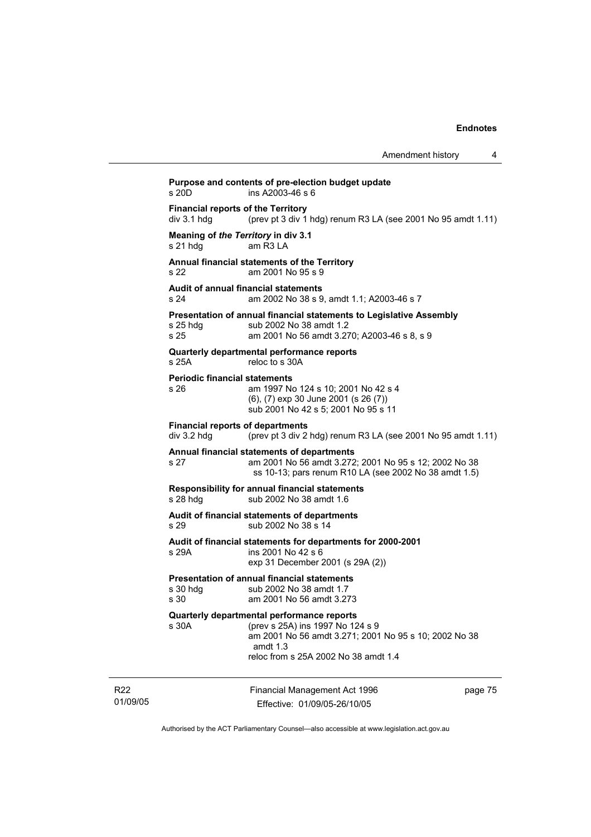| Amendment history |  |
|-------------------|--|
|-------------------|--|

Financial Management Act 1996 page 75 **Purpose and contents of pre-election budget update**  s 20D ins A2003-46 s 6 **Financial reports of the Territory**  div 3.1 hdg (prev pt 3 div 1 hdg) renum R3 LA (see 2001 No 95 amdt 1.11) **Meaning of** *the Territory* **in div 3.1**  s 21 hdg am R3 LA **Annual financial statements of the Territory**  s 22 am 2001 No 95 s 9 **Audit of annual financial statements**  s 24 am 2002 No 38 s 9, amdt 1.1; A2003-46 s 7 **Presentation of annual financial statements to Legislative Assembly**  s 25 hdg sub 2002 No 38 amdt 1.2 s 25 am 2001 No 56 amdt 3.270; A2003-46 s 8, s 9 **Quarterly departmental performance reports**  s 25A reloc to s 30A **Periodic financial statements** s 26 am 1997 No 124 s 10; 2001 No 42 s 4 (6), (7) exp 30 June 2001 (s 26 (7)) sub 2001 No 42 s 5; 2001 No 95 s 11 **Financial reports of departments**  div 3.2 hdg (prev pt 3 div 2 hdg) renum R3 LA (see 2001 No 95 amdt 1.11) **Annual financial statements of departments**  s 27 am 2001 No 56 amdt 3.272; 2001 No 95 s 12; 2002 No 38 ss 10-13; pars renum R10 LA (see 2002 No 38 amdt 1.5) **Responsibility for annual financial statements**  s 28 hdg sub 2002 No 38 amdt 1.6 **Audit of financial statements of departments**  s 29 sub 2002 No 38 s 14 **Audit of financial statements for departments for 2000-2001**  s 29A ins 2001 No 42 s 6 exp 31 December 2001 (s 29A (2)) **Presentation of annual financial statements**<br>s 30 hdg<br> $sub 2002$  No 38 amdt 1.7 sub 2002 No 38 amdt 1.7 s 30 am 2001 No 56 amdt 3.273 **Quarterly departmental performance reports**  (prev s 25A) ins 1997 No 124 s 9 am 2001 No 56 amdt 3.271; 2001 No 95 s 10; 2002 No 38 amdt 1.3 reloc from s 25A 2002 No 38 amdt 1.4

R22 01/09/05

Effective: 01/09/05-26/10/05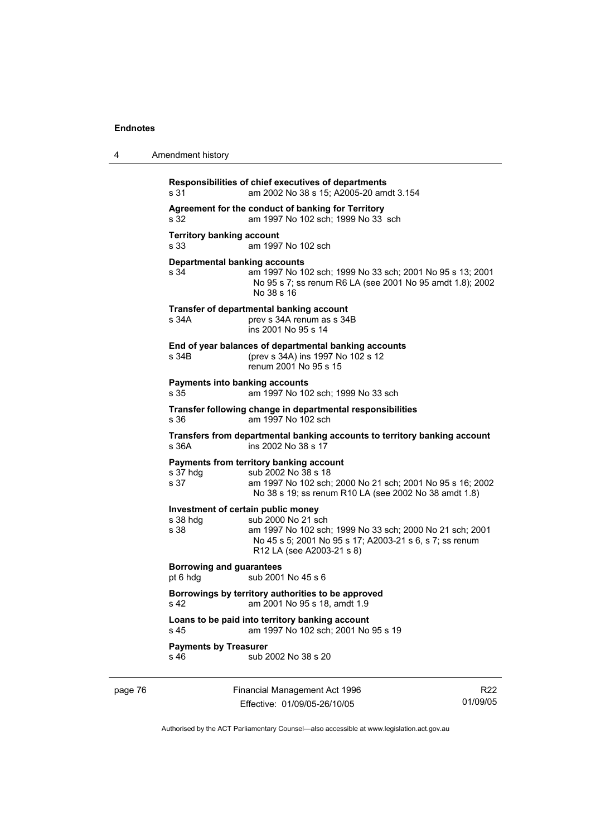| 4       | Amendment history                                                                                                                                                                                                                |
|---------|----------------------------------------------------------------------------------------------------------------------------------------------------------------------------------------------------------------------------------|
|         | Responsibilities of chief executives of departments<br>am 2002 No 38 s 15; A2005-20 amdt 3.154<br>s 31                                                                                                                           |
|         | Agreement for the conduct of banking for Territory<br>am 1997 No 102 sch; 1999 No 33 sch<br>s 32                                                                                                                                 |
|         | <b>Territory banking account</b><br>am 1997 No 102 sch<br>s 33                                                                                                                                                                   |
|         | <b>Departmental banking accounts</b><br>s 34<br>am 1997 No 102 sch; 1999 No 33 sch; 2001 No 95 s 13; 2001<br>No 95 s 7; ss renum R6 LA (see 2001 No 95 amdt 1.8); 2002<br>No 38 s 16                                             |
|         | Transfer of departmental banking account<br>s 34A<br>prev s 34A renum as s 34B<br>ins 2001 No 95 s 14                                                                                                                            |
|         | End of year balances of departmental banking accounts<br>s 34B<br>(prev s 34A) ins 1997 No 102 s 12<br>renum 2001 No 95 s 15                                                                                                     |
|         | <b>Payments into banking accounts</b><br>s 35<br>am 1997 No 102 sch; 1999 No 33 sch                                                                                                                                              |
|         | Transfer following change in departmental responsibilities<br>am 1997 No 102 sch<br>s 36                                                                                                                                         |
|         | Transfers from departmental banking accounts to territory banking account<br>s 36A<br>ins 2002 No 38 s 17                                                                                                                        |
|         | Payments from territory banking account<br>s 37 hdg<br>sub 2002 No 38 s 18<br>am 1997 No 102 sch; 2000 No 21 sch; 2001 No 95 s 16; 2002<br>s 37<br>No 38 s 19; ss renum R10 LA (see 2002 No 38 amdt 1.8)                         |
|         | Investment of certain public money<br>s 38 hdg<br>sub 2000 No 21 sch<br>s 38<br>am 1997 No 102 sch; 1999 No 33 sch; 2000 No 21 sch; 2001<br>No 45 s 5; 2001 No 95 s 17; A2003-21 s 6, s 7; ss renum<br>R12 LA (see A2003-21 s 8) |
|         | Borrowing and guarantees<br>sub 2001 No 45 s 6<br>pt 6 hdg                                                                                                                                                                       |
|         | Borrowings by territory authorities to be approved<br>am 2001 No 95 s 18, amdt 1.9<br>s 42                                                                                                                                       |
|         | Loans to be paid into territory banking account<br>am 1997 No 102 sch; 2001 No 95 s 19<br>s 45                                                                                                                                   |
|         | <b>Payments by Treasurer</b><br>sub 2002 No 38 s 20<br>s 46                                                                                                                                                                      |
| page 76 | R <sub>22</sub><br>Financial Management Act 1996                                                                                                                                                                                 |

Authorised by the ACT Parliamentary Counsel—also accessible at www.legislation.act.gov.au

Effective: 01/09/05-26/10/05

01/09/05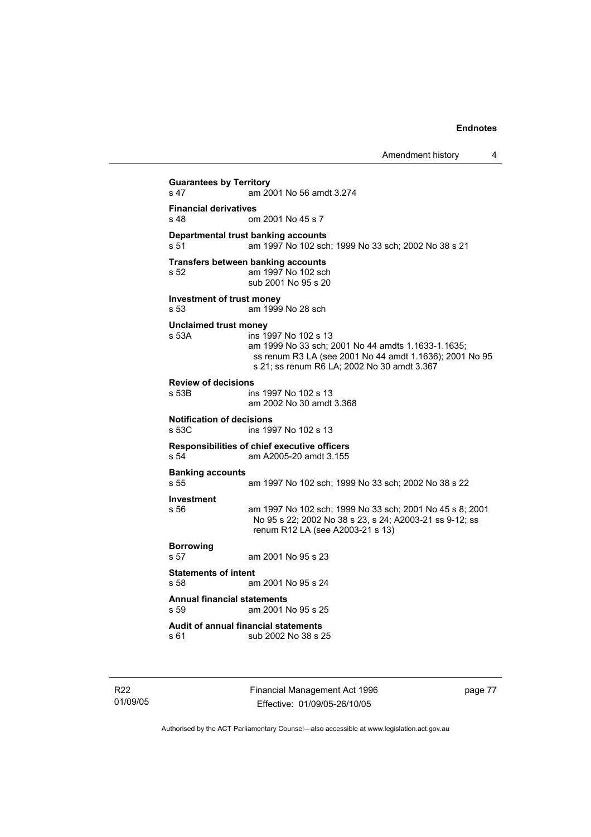Amendment history 4

**Guarantees by Territory**  am 2001 No 56 amdt 3.274 **Financial derivatives**<br>s 48 on om 2001 No 45 s 7 **Departmental trust banking accounts** s 51 am 1997 No 102 sch; 1999 No 33 sch; 2002 No 38 s 21 **Transfers between banking accounts** s 52 am 1997 No 102 sch sub 2001 No 95 s 20 **Investment of trust money**  s 53 am 1999 No 28 sch **Unclaimed trust money**  s 53A ins 1997 No 102 s 13 am 1999 No 33 sch; 2001 No 44 amdts 1.1633-1.1635; ss renum R3 LA (see 2001 No 44 amdt 1.1636); 2001 No 95 s 21; ss renum R6 LA; 2002 No 30 amdt 3.367 **Review of decisions**  s 53B ins 1997 No 102 s 13 am 2002 No 30 amdt 3.368 **Notification of decisions**  ins 1997 No 102 s 13 **Responsibilities of chief executive officers**  s 54 am A2005-20 amdt 3.155 **Banking accounts**  am 1997 No 102 sch; 1999 No 33 sch; 2002 No 38 s 22 **Investment**  s 56 am 1997 No 102 sch; 1999 No 33 sch; 2001 No 45 s 8; 2001 No 95 s 22; 2002 No 38 s 23, s 24; A2003-21 ss 9-12; ss renum R12 LA (see A2003-21 s 13) **Borrowing**  s 57 am 2001 No 95 s 23 **Statements of intent** s 58 am am 2001 No 95 s 24 **Annual financial statements**  s 59 am 2001 No 95 s 25 **Audit of annual financial statements**  sub 2002 No 38 s 25

R22 01/09/05 Financial Management Act 1996 Effective: 01/09/05-26/10/05

page 77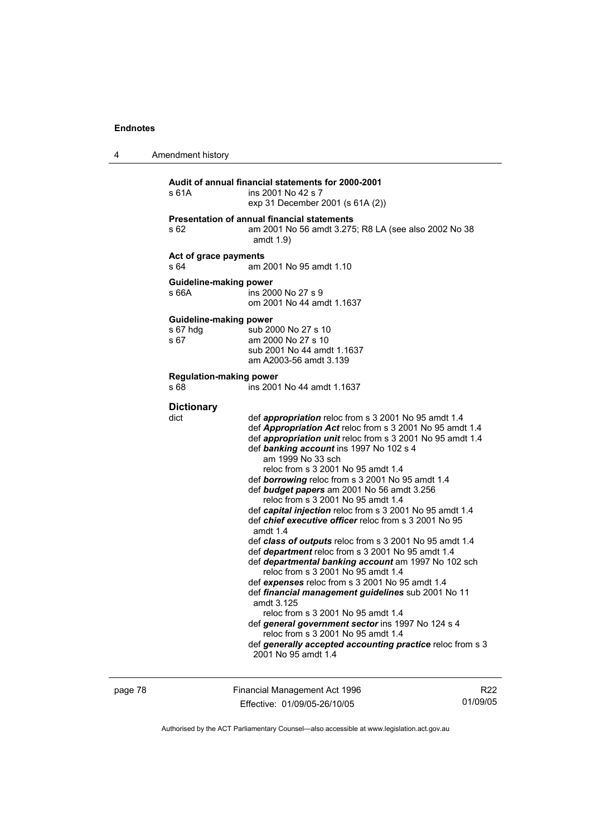4 Amendment history

| Amendment history |                                            |                                                                                                                                                                                                                                                                                                                                                                                                                                                                                                                                                                                                                                                                                                                                                                                                                                                                                                                                                                                                                                                                                                                                     |  |
|-------------------|--------------------------------------------|-------------------------------------------------------------------------------------------------------------------------------------------------------------------------------------------------------------------------------------------------------------------------------------------------------------------------------------------------------------------------------------------------------------------------------------------------------------------------------------------------------------------------------------------------------------------------------------------------------------------------------------------------------------------------------------------------------------------------------------------------------------------------------------------------------------------------------------------------------------------------------------------------------------------------------------------------------------------------------------------------------------------------------------------------------------------------------------------------------------------------------------|--|
|                   | s 61A                                      | Audit of annual financial statements for 2000-2001<br>ins 2001 No 42 s 7<br>exp 31 December 2001 (s 61A (2))                                                                                                                                                                                                                                                                                                                                                                                                                                                                                                                                                                                                                                                                                                                                                                                                                                                                                                                                                                                                                        |  |
|                   | s 62                                       | <b>Presentation of annual financial statements</b><br>am 2001 No 56 amdt 3.275; R8 LA (see also 2002 No 38<br>amdt $1.9$                                                                                                                                                                                                                                                                                                                                                                                                                                                                                                                                                                                                                                                                                                                                                                                                                                                                                                                                                                                                            |  |
|                   | Act of grace payments<br>s 64              | am 2001 No 95 amdt 1.10                                                                                                                                                                                                                                                                                                                                                                                                                                                                                                                                                                                                                                                                                                                                                                                                                                                                                                                                                                                                                                                                                                             |  |
|                   | <b>Guideline-making power</b><br>s 66A     | ins 2000 No 27 s 9<br>om 2001 No 44 amdt 1.1637                                                                                                                                                                                                                                                                                                                                                                                                                                                                                                                                                                                                                                                                                                                                                                                                                                                                                                                                                                                                                                                                                     |  |
|                   | Guideline-making power<br>s 67 hdg<br>s 67 | sub 2000 No 27 s 10<br>am 2000 No 27 s 10<br>sub 2001 No 44 amdt 1.1637<br>am A2003-56 amdt 3.139                                                                                                                                                                                                                                                                                                                                                                                                                                                                                                                                                                                                                                                                                                                                                                                                                                                                                                                                                                                                                                   |  |
|                   | <b>Regulation-making power</b><br>s 68     | ins 2001 No 44 amdt 1.1637                                                                                                                                                                                                                                                                                                                                                                                                                                                                                                                                                                                                                                                                                                                                                                                                                                                                                                                                                                                                                                                                                                          |  |
|                   | <b>Dictionary</b><br>dict                  | def <i>appropriation</i> reloc from s 3 2001 No 95 amdt 1.4<br>def Appropriation Act reloc from s 3 2001 No 95 amdt 1.4<br>def appropriation unit reloc from s 3 2001 No 95 amdt 1.4<br>def banking account ins 1997 No 102 s 4<br>am 1999 No 33 sch<br>reloc from s 3 2001 No 95 amdt 1.4<br>def borrowing reloc from s 3 2001 No 95 amdt 1.4<br>def <b>budget papers</b> am 2001 No 56 amdt 3.256<br>reloc from s 3 2001 No 95 amdt 1.4<br>def capital injection reloc from s 3 2001 No 95 amdt 1.4<br>def chief executive officer reloc from s 3 2001 No 95<br>amdt 1.4<br>def class of outputs reloc from s 3 2001 No 95 amdt 1.4<br>def department reloc from s 3 2001 No 95 amdt 1.4<br>def departmental banking account am 1997 No 102 sch<br>reloc from s 3 2001 No 95 amdt 1.4<br>def expenses reloc from s 3 2001 No 95 amdt 1.4<br>def financial management guidelines sub 2001 No 11<br>amdt 3.125<br>reloc from s 3 2001 No 95 amdt 1.4<br>def general government sector ins 1997 No 124 s 4<br>reloc from s 3 2001 No 95 amdt 1.4<br>def generally accepted accounting practice reloc from s 3<br>2001 No 95 amdt 1.4 |  |

page 78 Financial Management Act 1996 Effective: 01/09/05-26/10/05

R22 01/09/05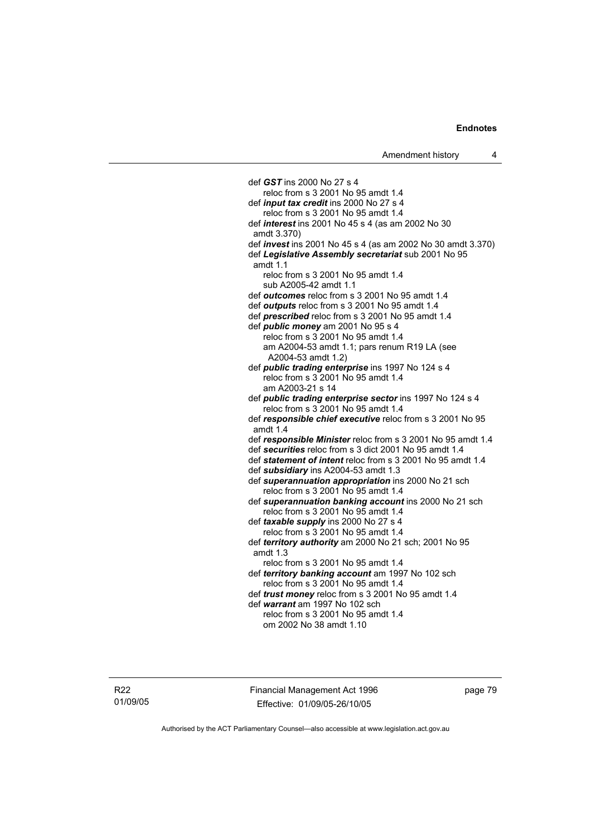def *GST* ins 2000 No 27 s 4 reloc from s 3 2001 No 95 amdt 1.4 def *input tax credit* ins 2000 No 27 s 4 reloc from s 3 2001 No 95 amdt 1.4 def *interest* ins 2001 No 45 s 4 (as am 2002 No 30 amdt 3.370) def *invest* ins 2001 No 45 s 4 (as am 2002 No 30 amdt 3.370) def *Legislative Assembly secretariat* sub 2001 No 95 amdt 1.1 reloc from s 3 2001 No 95 amdt 1.4 sub A2005-42 amdt 1.1 def *outcomes* reloc from s 3 2001 No 95 amdt 1.4 def *outputs* reloc from s 3 2001 No 95 amdt 1.4 def *prescribed* reloc from s 3 2001 No 95 amdt 1.4 def *public money* am 2001 No 95 s 4 reloc from s 3 2001 No 95 amdt 1.4 am A2004-53 amdt 1.1; pars renum R19 LA (see A2004-53 amdt 1.2) def *public trading enterprise* ins 1997 No 124 s 4  $reloc$  from s  $3$  2001 No 95 amdt 1.4 am A2003-21 s 14 def *public trading enterprise sector* ins 1997 No 124 s 4 reloc from s 3 2001 No 95 amdt 1.4 def *responsible chief executive* reloc from s 3 2001 No 95 amdt 1.4 def *responsible Minister* reloc from s 3 2001 No 95 amdt 1.4 def *securities* reloc from s 3 dict 2001 No 95 amdt 1.4 def *statement of intent* reloc from s 3 2001 No 95 amdt 1.4 def *subsidiary* ins A2004-53 amdt 1.3 def *superannuation appropriation* ins 2000 No 21 sch reloc from s 3 2001 No 95 amdt 1.4 def *superannuation banking account* ins 2000 No 21 sch reloc from s 3 2001 No 95 amdt 1.4 def *taxable supply* ins 2000 No 27 s 4 reloc from s 3 2001 No 95 amdt 1.4 def *territory authority* am 2000 No 21 sch; 2001 No 95 amdt 1.3 reloc from s 3 2001 No 95 amdt 1.4 def *territory banking account* am 1997 No 102 sch reloc from s 3 2001 No 95 amdt 1.4 def *trust money* reloc from s 3 2001 No 95 amdt 1.4 def *warrant* am 1997 No 102 sch reloc from s 3 2001 No 95 amdt 1.4 om 2002 No 38 amdt 1.10

R22 01/09/05 Financial Management Act 1996 Effective: 01/09/05-26/10/05

page 79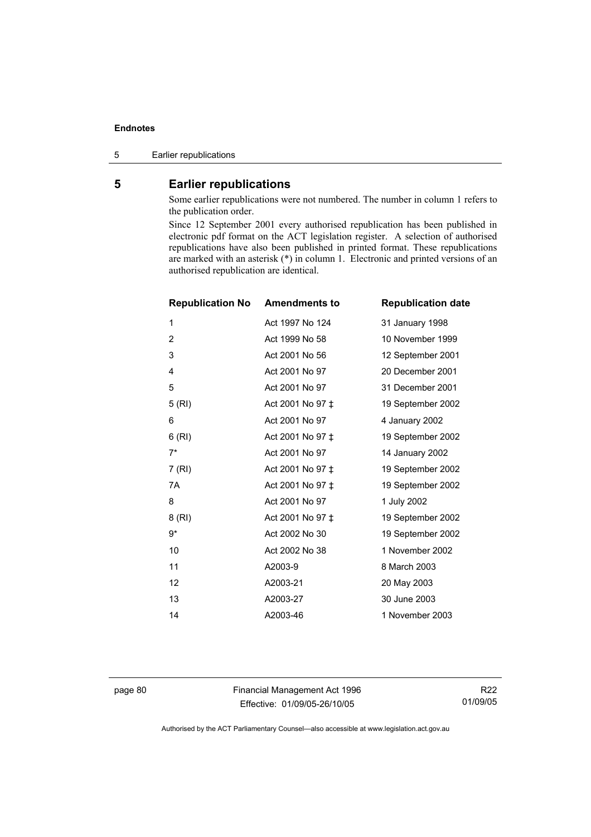5 Earlier republications

# **5 Earlier republications**

Some earlier republications were not numbered. The number in column 1 refers to the publication order.

Since 12 September 2001 every authorised republication has been published in electronic pdf format on the ACT legislation register. A selection of authorised republications have also been published in printed format. These republications are marked with an asterisk (\*) in column 1. Electronic and printed versions of an authorised republication are identical.

| <b>Republication No</b> | <b>Amendments to</b> | <b>Republication date</b> |
|-------------------------|----------------------|---------------------------|
| 1                       | Act 1997 No 124      | 31 January 1998           |
| 2                       | Act 1999 No 58       | 10 November 1999          |
| 3                       | Act 2001 No 56       | 12 September 2001         |
| 4                       | Act 2001 No 97       | 20 December 2001          |
| 5                       | Act 2001 No 97       | 31 December 2001          |
| 5(RI)                   | Act 2001 No 97 ±     | 19 September 2002         |
| 6                       | Act 2001 No 97       | 4 January 2002            |
| 6(RI)                   | Act 2001 No 97 ±     | 19 September 2002         |
| $7^*$                   | Act 2001 No 97       | 14 January 2002           |
| 7 (RI)                  | Act 2001 No 97 ±     | 19 September 2002         |
| 7A                      | Act 2001 No 97 ‡     | 19 September 2002         |
| 8                       | Act 2001 No 97       | 1 July 2002               |
| 8(RI)                   | Act 2001 No 97 ‡     | 19 September 2002         |
| 9*                      | Act 2002 No 30       | 19 September 2002         |
| 10                      | Act 2002 No 38       | 1 November 2002           |
| 11                      | A2003-9              | 8 March 2003              |
| 12                      | A2003-21             | 20 May 2003               |
| 13                      | A2003-27             | 30 June 2003              |
| 14                      | A2003-46             | 1 November 2003           |

page 80 Financial Management Act 1996 Effective: 01/09/05-26/10/05

R22 01/09/05